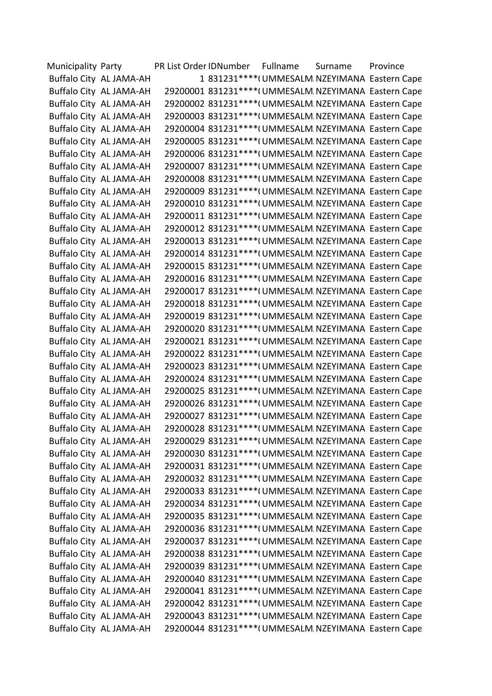| Municipality Party |                         | PR List Order IDNumber Fullname | Surname | Province                                               |
|--------------------|-------------------------|---------------------------------|---------|--------------------------------------------------------|
|                    | Buffalo City AL JAMA-AH |                                 |         | 1 831231 **** (UMMESALM NZEYIMANA Eastern Cape         |
|                    | Buffalo City AL JAMA-AH |                                 |         | 29200001 831231 **** ( UMMESALM NZEYIMANA Eastern Cape |
|                    | Buffalo City AL JAMA-AH |                                 |         | 29200002 831231 **** ( UMMESALM NZEYIMANA Eastern Cape |
|                    | Buffalo City AL JAMA-AH |                                 |         | 29200003 831231 **** (UMMESALM NZEYIMANA Eastern Cape  |
|                    | Buffalo City AL JAMA-AH |                                 |         | 29200004 831231 **** (UMMESALM NZEYIMANA Eastern Cape  |
|                    | Buffalo City AL JAMA-AH |                                 |         | 29200005 831231 **** (UMMESALM NZEYIMANA Eastern Cape  |
|                    | Buffalo City AL JAMA-AH |                                 |         | 29200006 831231 **** ( UMMESALM NZEYIMANA Eastern Cape |
|                    | Buffalo City AL JAMA-AH |                                 |         | 29200007 831231 **** (UMMESALM NZEYIMANA Eastern Cape  |
|                    | Buffalo City AL JAMA-AH |                                 |         | 29200008 831231 **** (UMMESALM NZEYIMANA Eastern Cape  |
|                    | Buffalo City AL JAMA-AH |                                 |         | 29200009 831231 **** (UMMESALM NZEYIMANA Eastern Cape  |
|                    | Buffalo City AL JAMA-AH |                                 |         | 29200010 831231 **** (UMMESALM NZEYIMANA Eastern Cape  |
|                    | Buffalo City AL JAMA-AH |                                 |         | 29200011 831231 **** (UMMESALM NZEYIMANA Eastern Cape  |
|                    | Buffalo City AL JAMA-AH |                                 |         | 29200012 831231 **** (UMMESALM NZEYIMANA Eastern Cape  |
|                    | Buffalo City AL JAMA-AH |                                 |         | 29200013 831231 **** (UMMESALM NZEYIMANA Eastern Cape  |
|                    | Buffalo City AL JAMA-AH |                                 |         | 29200014 831231 **** (UMMESALM NZEYIMANA Eastern Cape  |
|                    | Buffalo City AL JAMA-AH |                                 |         | 29200015 831231 **** (UMMESALM NZEYIMANA Eastern Cape  |
|                    | Buffalo City AL JAMA-AH |                                 |         | 29200016 831231 **** (UMMESALM NZEYIMANA Eastern Cape  |
|                    | Buffalo City AL JAMA-AH |                                 |         | 29200017 831231 **** ( UMMESALM NZEYIMANA Eastern Cape |
|                    | Buffalo City AL JAMA-AH |                                 |         | 29200018 831231 **** (UMMESALM NZEYIMANA Eastern Cape  |
|                    | Buffalo City AL JAMA-AH |                                 |         | 29200019 831231 **** (UMMESALM NZEYIMANA Eastern Cape  |
|                    | Buffalo City AL JAMA-AH |                                 |         | 29200020 831231 **** (UMMESALM NZEYIMANA Eastern Cape  |
|                    | Buffalo City AL JAMA-AH |                                 |         | 29200021 831231 **** (UMMESALM NZEYIMANA Eastern Cape  |
|                    | Buffalo City AL JAMA-AH |                                 |         | 29200022 831231 **** (UMMESALM NZEYIMANA Eastern Cape  |
|                    | Buffalo City AL JAMA-AH |                                 |         | 29200023 831231 **** (UMMESALM NZEYIMANA Eastern Cape  |
|                    | Buffalo City AL JAMA-AH |                                 |         | 29200024 831231 **** (UMMESALM NZEYIMANA Eastern Cape  |
|                    | Buffalo City AL JAMA-AH |                                 |         | 29200025 831231 **** ( UMMESALM NZEYIMANA Eastern Cape |
|                    | Buffalo City AL JAMA-AH |                                 |         | 29200026 831231 **** (UMMESALM NZEYIMANA Eastern Cape  |
|                    | Buffalo City AL JAMA-AH |                                 |         | 29200027 831231 **** (UMMESALM NZEYIMANA Eastern Cape  |
|                    | Buffalo City AL JAMA-AH |                                 |         | 29200028 831231 **** (UMMESALM NZEYIMANA Eastern Cape  |
|                    | Buffalo City AL JAMA-AH |                                 |         | 29200029 831231 **** (UMMESALM NZEYIMANA Eastern Cape  |
|                    | Buffalo City AL JAMA-AH |                                 |         | 29200030 831231 **** (UMMESALM NZEYIMANA Eastern Cape  |
|                    | Buffalo City AL JAMA-AH |                                 |         | 29200031 831231 **** (UMMESALM NZEYIMANA Eastern Cape  |
|                    | Buffalo City AL JAMA-AH |                                 |         | 29200032 831231 **** (UMMESALM NZEYIMANA Eastern Cape  |
|                    | Buffalo City AL JAMA-AH |                                 |         | 29200033 831231 **** (UMMESALM NZEYIMANA Eastern Cape  |
|                    | Buffalo City AL JAMA-AH |                                 |         | 29200034 831231 **** (UMMESALM NZEYIMANA Eastern Cape  |
|                    | Buffalo City AL JAMA-AH |                                 |         | 29200035 831231 **** (UMMESALM NZEYIMANA Eastern Cape  |
|                    | Buffalo City AL JAMA-AH |                                 |         | 29200036 831231 **** (UMMESALM NZEYIMANA Eastern Cape  |
|                    | Buffalo City AL JAMA-AH |                                 |         | 29200037 831231 **** (UMMESALM NZEYIMANA Eastern Cape  |
|                    | Buffalo City AL JAMA-AH |                                 |         | 29200038 831231 **** ( UMMESALM NZEYIMANA Eastern Cape |
|                    | Buffalo City AL JAMA-AH |                                 |         | 29200039 831231 **** (UMMESALM NZEYIMANA Eastern Cape  |
|                    | Buffalo City AL JAMA-AH |                                 |         | 29200040 831231 **** (UMMESALM NZEYIMANA Eastern Cape  |
|                    | Buffalo City AL JAMA-AH |                                 |         | 29200041 831231 **** (UMMESALM NZEYIMANA Eastern Cape  |
|                    | Buffalo City AL JAMA-AH |                                 |         | 29200042 831231 **** (UMMESALM NZEYIMANA Eastern Cape  |
|                    | Buffalo City AL JAMA-AH |                                 |         | 29200043 831231 **** (UMMESALM NZEYIMANA Eastern Cape  |
|                    | Buffalo City AL JAMA-AH |                                 |         | 29200044 831231 **** (UMMESALM NZEYIMANA Eastern Cape  |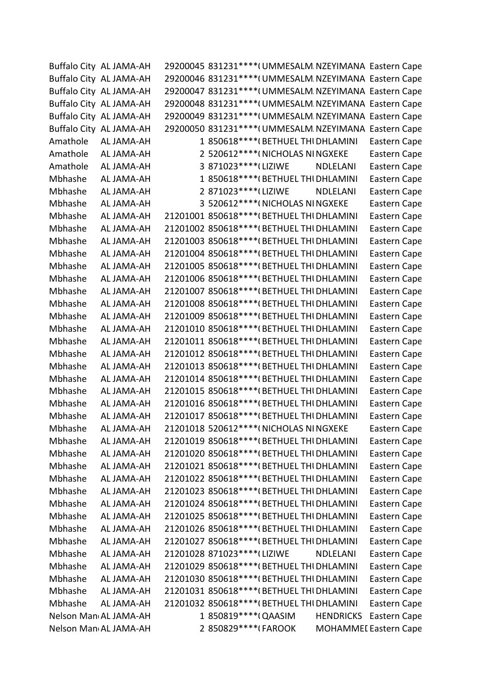|          | Buffalo City AL JAMA-AH | 29200045 831231 **** ( UMMESALM NZEYIMANA Eastern Cape |                               |
|----------|-------------------------|--------------------------------------------------------|-------------------------------|
|          | Buffalo City AL JAMA-AH | 29200046 831231 **** ( UMMESALM NZEYIMANA Eastern Cape |                               |
|          | Buffalo City AL JAMA-AH | 29200047 831231 **** ( UMMESALM NZEYIMANA Eastern Cape |                               |
|          | Buffalo City AL JAMA-AH | 29200048 831231 **** (UMMESALM NZEYIMANA Eastern Cape  |                               |
|          | Buffalo City AL JAMA-AH | 29200049 831231 **** (UMMESALM NZEYIMANA Eastern Cape  |                               |
|          | Buffalo City AL JAMA-AH | 29200050 831231 **** (UMMESALM NZEYIMANA Eastern Cape  |                               |
| Amathole | AL JAMA-AH              | 1 850618**** (BETHUEL THI DHLAMINI                     | Eastern Cape                  |
| Amathole | AL JAMA-AH              | 2 520612 **** (NICHOLAS NINGXEKE                       | Eastern Cape                  |
| Amathole | AL JAMA-AH              | 3 871023 **** (LIZIWE<br><b>NDLELANI</b>               | Eastern Cape                  |
| Mbhashe  | AL JAMA-AH              | 1 850618**** (BETHUEL THI DHLAMINI                     | Eastern Cape                  |
| Mbhashe  | AL JAMA-AH              | 2 871023 **** (LIZIWE<br><b>NDLELANI</b>               | Eastern Cape                  |
| Mbhashe  | AL JAMA-AH              | 3 520612 **** (NICHOLAS NINGXEKE                       | Eastern Cape                  |
| Mbhashe  | AL JAMA-AH              | 21201001 850618 **** (BETHUEL THI DHLAMINI             | Eastern Cape                  |
| Mbhashe  | AL JAMA-AH              | 21201002 850618 **** (BETHUEL THI DHLAMINI             | Eastern Cape                  |
| Mbhashe  | AL JAMA-AH              | 21201003 850618 **** (BETHUEL THI DHLAMINI             | Eastern Cape                  |
| Mbhashe  | AL JAMA-AH              | 21201004 850618 **** (BETHUEL THI DHLAMINI             | Eastern Cape                  |
| Mbhashe  | AL JAMA-AH              | 21201005 850618 **** (BETHUEL THI DHLAMINI             | Eastern Cape                  |
| Mbhashe  | AL JAMA-AH              | 21201006 850618 **** (BETHUEL THI DHLAMINI             | Eastern Cape                  |
| Mbhashe  | AL JAMA-AH              | 21201007 850618 **** (BETHUEL THI DHLAMINI             | Eastern Cape                  |
| Mbhashe  | AL JAMA-AH              | 21201008 850618 **** (BETHUEL THI DHLAMINI             | Eastern Cape                  |
| Mbhashe  | AL JAMA-AH              | 21201009 850618 **** (BETHUEL THI DHLAMINI             | Eastern Cape                  |
| Mbhashe  | AL JAMA-AH              | 21201010 850618 **** (BETHUEL THI DHLAMINI             | Eastern Cape                  |
| Mbhashe  | AL JAMA-AH              | 21201011 850618 **** (BETHUEL THI DHLAMINI             | Eastern Cape                  |
| Mbhashe  | AL JAMA-AH              | 21201012 850618 **** (BETHUEL THI DHLAMINI             | Eastern Cape                  |
| Mbhashe  | AL JAMA-AH              | 21201013 850618 **** (BETHUEL THI DHLAMINI             | Eastern Cape                  |
| Mbhashe  | AL JAMA-AH              | 21201014 850618 **** (BETHUEL THI DHLAMINI             | Eastern Cape                  |
| Mbhashe  | AL JAMA-AH              | 21201015 850618 **** (BETHUEL THI DHLAMINI             | Eastern Cape                  |
| Mbhashe  | AL JAMA-AH              | 21201016 850618 **** (BETHUEL THI DHLAMINI             | Eastern Cape                  |
| Mbhashe  | AL JAMA-AH              | 21201017 850618 **** (BETHUEL THI DHLAMINI             | Eastern Cape                  |
| Mbhashe  | AL JAMA-AH              | 21201018 520612 **** (NICHOLAS NINGXEKE                | Eastern Cape                  |
| Mbhashe  | AL JAMA-AH              | 21201019 850618 **** (BETHUEL THI DHLAMINI             | Eastern Cape                  |
| Mbhashe  | AL JAMA-AH              | 21201020 850618 **** (BETHUEL THI DHLAMINI             | Eastern Cape                  |
| Mbhashe  | AL JAMA-AH              | 21201021 850618 **** (BETHUEL THI DHLAMINI             | Eastern Cape                  |
| Mbhashe  | AL JAMA-AH              | 21201022 850618 **** (BETHUEL THI DHLAMINI             | Eastern Cape                  |
| Mbhashe  | AL JAMA-AH              | 21201023 850618 **** (BETHUEL THI DHLAMINI             | Eastern Cape                  |
| Mbhashe  | AL JAMA-AH              | 21201024 850618 **** (BETHUEL THI DHLAMINI             | Eastern Cape                  |
| Mbhashe  | AL JAMA-AH              | 21201025 850618 **** (BETHUEL THI DHLAMINI             | Eastern Cape                  |
| Mbhashe  | AL JAMA-AH              | 21201026 850618 **** (BETHUEL THI DHLAMINI             | Eastern Cape                  |
| Mbhashe  | AL JAMA-AH              | 21201027 850618 **** (BETHUEL THI DHLAMINI             | Eastern Cape                  |
| Mbhashe  | AL JAMA-AH              | 21201028 871023 **** (LIZIWE<br><b>NDLELANI</b>        | Eastern Cape                  |
| Mbhashe  | AL JAMA-AH              | 21201029 850618 **** (BETHUEL THI DHLAMINI             | Eastern Cape                  |
| Mbhashe  | AL JAMA-AH              | 21201030 850618 **** (BETHUEL THI DHLAMINI             | Eastern Cape                  |
| Mbhashe  | AL JAMA-AH              | 21201031 850618 **** (BETHUEL THI DHLAMINI             | Eastern Cape                  |
| Mbhashe  | AL JAMA-AH              | 21201032 850618 **** (BETHUEL THI DHLAMINI             | Eastern Cape                  |
|          | Nelson Man AL JAMA-AH   | 1 850819 **** (QAASIM                                  | <b>HENDRICKS</b> Eastern Cape |
|          | Nelson Man AL JAMA-AH   | 2 850829 **** (FAROOK                                  | <b>MOHAMMEI Eastern Cape</b>  |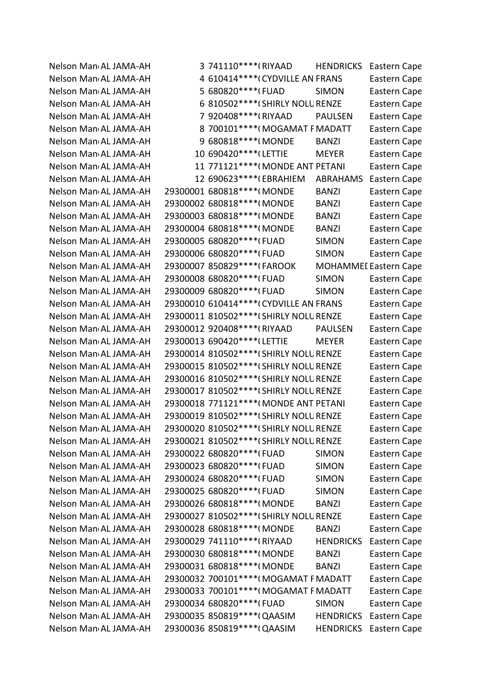Nelson Man<sub>d</sub> AL JAMA-AH 3 741110\*\*\*\*(RIYAAD HENDRICKS Eastern Cape Nelson Man<sub>d</sub> AL JAMA-AH 4 610414\*\*\*\*(CYDVILLE AN FRANS Eastern Cape Nelson Man<sub>'</sub> AL JAMA-AH 5 680820\*\*\*\*(FUAD SIMON Eastern Cape Nelson Man<sub>'</sub> AL JAMA-AH 6 810502\*\*\*\* (SHIRLY NOLU RENZE Eastern Cape Nelson Man<sub>'</sub>AL JAMA-AH 7 920408\*\*\*\*(RIYAAD PAULSEN Eastern Cape Nelson Man<sub>'</sub> AL JAMA-AH 8 700101\*\*\*\* (MOGAMAT F MADATT Eastern Cape Nelson Man<sub>'</sub> AL JAMA-AH 9 680818\*\*\*\*(MONDE BANZI Eastern Cape Nelson Man<sub>d</sub> AL JAMA-AH 10 690420\*\*\*\* (LETTIE MEYER Eastern Cape Nelson Man<sub>'</sub> AL JAMA-AH 11 771121\*\*\*\* (MONDE ANT PETANI Eastern Cape Nelson Man<sub>d</sub> AL JAMA-AH 12 690623\*\*\*\* (EBRAHIEM ABRAHAMS Eastern Cape Nelson Man<sub>'</sub> AL JAMA-AH 29300001 680818\*\*\*\*(MONDE BANZI Eastern Cape Nelson Man<sub>'</sub> AL JAMA-AH 29300002 680818\*\*\*\*(MONDE BANZI Eastern Cape Nelson Man<sub>'</sub> AL JAMA-AH 29300003 680818\*\*\*\*(MONDE BANZI Eastern Cape Nelson Man<sub>'</sub> AL JAMA-AH 29300004 680818\*\*\*\*(MONDE BANZI Eastern Cape Nelson Man<sub>'</sub> AL JAMA-AH 29300005 680820\*\*\*\*(FUAD SIMON Eastern Cape Nelson Man<sub>'</sub> AL JAMA-AH 29300006 680820\*\*\*\*(FUAD SIMON Eastern Cape Nelson Man<sub>'</sub> AL JAMA-AH 29300007 850829\*\*\*\* (FAROOK MOHAMMEI Eastern Cape Nelson Man<sub>'</sub> AL JAMA-AH 29300008 680820\*\*\*\*(FUAD SIMON Eastern Cape Nelson Man<sub>'</sub> AL JAMA-AH 29300009 680820\*\*\*\*(FUAD SIMON Eastern Cape Nelson Man<sub>'</sub> AL JAMA-AH 29300010 610414\*\*\*\*\*(CYDVILLE AN FRANS Eastern Cape Nelson Man<sub>d</sub> AL JAMA-AH 29300011 810502\*\*\*\* (SHIRLY NOLU RENZE Eastern Cape Nelson Man<sub>'</sub> AL JAMA-AH 29300012 920408\*\*\*\*(RIYAAD PAULSEN Eastern Cape Nelson Man<sub>d</sub> AL JAMA-AH 29300013 690420\*\*\*\* (LETTIE MEYER Eastern Cape Nelson Man<sub>'</sub> AL JAMA-AH 29300014 810502\*\*\*\* (SHIRLY NOLU RENZE Eastern Cape Nelson Man<sub>'</sub> AL JAMA-AH 29300015 810502\*\*\*\* (SHIRLY NOLU RENZE Eastern Cape Nelson Man<sub>'</sub> AL JAMA-AH 29300016 810502\*\*\*\* (SHIRLY NOLU RENZE Eastern Cape Nelson Man<sub>d</sub> AL JAMA-AH 29300017 810502\*\*\*\* (SHIRLY NOLU RENZE Eastern Cape Nelson Man<sub>'</sub> AL JAMA-AH 29300018 771121\*\*\*\*(MONDE ANT PETANI Eastern Cape Nelson Man<sub>'</sub> AL JAMA-AH 29300019 810502\*\*\*\* (SHIRLY NOLU RENZE Eastern Cape Nelson Man<sub>d</sub> AL JAMA-AH 29300020 810502\*\*\*\* (SHIRLY NOLU RENZE Eastern Cape Nelson Man<sub>'</sub> AL JAMA-AH 29300021 810502\*\*\*\* (SHIRLY NOLU RENZE Eastern Cape Nelson Man<sub>'</sub> AL JAMA-AH 29300022 680820\*\*\*\*(FUAD SIMON Eastern Cape Nelson Man<sub>'</sub> AL JAMA-AH 29300023 680820\*\*\*\*(FUAD SIMON Eastern Cape Nelson Man<sub>'</sub> AL JAMA-AH 29300024 680820\*\*\*\*(FUAD SIMON Eastern Cape Nelson Man<sub>'</sub> AL JAMA-AH 29300025 680820\*\*\*\*(FUAD SIMON Eastern Cape Nelson Man<sub>'</sub> AL JAMA-AH 29300026 680818\*\*\*\*(MONDE BANZI Eastern Cape Nelson Man<sub>'</sub> AL JAMA-AH 29300027 810502\*\*\*\* (SHIRLY NOLU RENZE Eastern Cape Nelson Man<sub>'</sub> AL JAMA-AH 29300028 680818\*\*\*\*(MONDE BANZI Eastern Cape Nelson Man<sub>'</sub> AL JAMA-AH 29300029 741110\*\*\*\* (RIYAAD HENDRICKS Eastern Cape Nelson Man<sub>'</sub> AL JAMA-AH 29300030 680818\*\*\*\*(MONDE BANZI Eastern Cape Nelson Man<sub>'</sub> AL JAMA-AH 29300031 680818\*\*\*\*(MONDE BANZI Eastern Cape Nelson Man<sub>'</sub> AL JAMA-AH 29300032 700101\*\*\*\*(MOGAMAT FMADATT Eastern Cape Nelson Man<sub>'</sub> AL JAMA-AH 29300033 700101\*\*\*\*(MOGAMAT FMADATT Eastern Cape Nelson Man<sub>'</sub> AL JAMA-AH 29300034 680820\*\*\*\*(FUAD SIMON Eastern Cape Nelson Man<sub>d</sub> AL JAMA-AH 29300035 850819\*\*\*\* (QAASIM HENDRICKS Eastern Cape Nelson Man<sub>d</sub> AL JAMA-AH 29300036 850819\*\*\*\*\* (QAASIM HENDRICKS Eastern Cape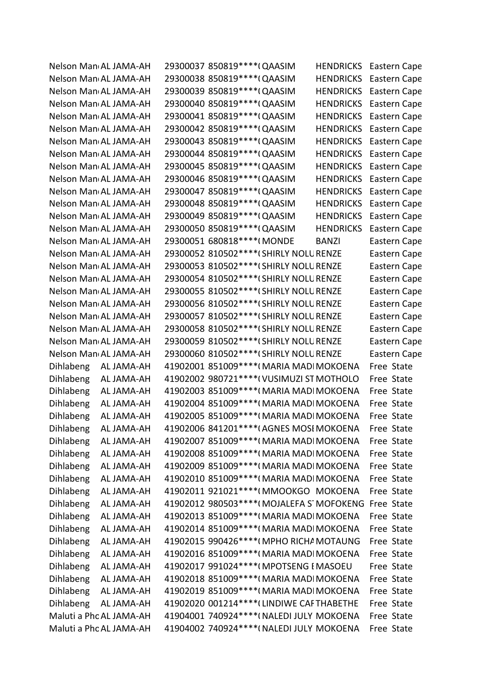|                  | Nelson Man AL JAMA-AH   | 29300037 850819 **** ( QAASIM<br><b>HENDRICKS</b>    | Eastern Cape |
|------------------|-------------------------|------------------------------------------------------|--------------|
|                  | Nelson Man AL JAMA-AH   | 29300038 850819 **** (QAASIM<br><b>HENDRICKS</b>     | Eastern Cape |
|                  | Nelson Man AL JAMA-AH   | 29300039 850819 **** (QAASIM<br><b>HENDRICKS</b>     | Eastern Cape |
|                  | Nelson Man AL JAMA-AH   | 29300040 850819 **** (QAASIM<br><b>HENDRICKS</b>     | Eastern Cape |
|                  | Nelson Man AL JAMA-AH   | 29300041 850819 **** (QAASIM<br><b>HENDRICKS</b>     | Eastern Cape |
|                  | Nelson Man AL JAMA-AH   | 29300042 850819 **** (QAASIM<br><b>HENDRICKS</b>     | Eastern Cape |
|                  | Nelson Man AL JAMA-AH   | 29300043 850819 **** (QAASIM<br><b>HENDRICKS</b>     | Eastern Cape |
|                  | Nelson Man AL JAMA-AH   | 29300044 850819 **** (QAASIM<br><b>HENDRICKS</b>     | Eastern Cape |
|                  | Nelson Man AL JAMA-AH   | 29300045 850819 **** (QAASIM<br><b>HENDRICKS</b>     | Eastern Cape |
|                  | Nelson Man AL JAMA-AH   | 29300046 850819 **** (QAASIM<br><b>HENDRICKS</b>     | Eastern Cape |
|                  | Nelson Man AL JAMA-AH   | 29300047 850819 **** ( QAASIM<br><b>HENDRICKS</b>    | Eastern Cape |
|                  | Nelson Man AL JAMA-AH   | 29300048 850819 **** (QAASIM<br><b>HENDRICKS</b>     | Eastern Cape |
|                  | Nelson Man AL JAMA-AH   | 29300049 850819 **** (QAASIM<br><b>HENDRICKS</b>     | Eastern Cape |
|                  | Nelson Man AL JAMA-AH   | 29300050 850819 **** ( QAASIM<br><b>HENDRICKS</b>    | Eastern Cape |
|                  | Nelson Man AL JAMA-AH   | 29300051 680818 **** (MONDE<br><b>BANZI</b>          | Eastern Cape |
|                  | Nelson Man AL JAMA-AH   | 29300052 810502 **** (SHIRLY NOLU RENZE              | Eastern Cape |
|                  | Nelson Man AL JAMA-AH   | 29300053 810502 **** (SHIRLY NOLU RENZE              | Eastern Cape |
|                  | Nelson Man AL JAMA-AH   | 29300054 810502 **** (SHIRLY NOLU RENZE              | Eastern Cape |
|                  | Nelson Man AL JAMA-AH   | 29300055 810502 **** (SHIRLY NOLU RENZE              | Eastern Cape |
|                  | Nelson Man AL JAMA-AH   | 29300056 810502 **** (SHIRLY NOLU RENZE              | Eastern Cape |
|                  | Nelson Man AL JAMA-AH   | 29300057 810502 **** (SHIRLY NOLU RENZE              | Eastern Cape |
|                  | Nelson Man AL JAMA-AH   | 29300058 810502 **** (SHIRLY NOLU RENZE              | Eastern Cape |
|                  | Nelson Man AL JAMA-AH   | 29300059 810502 **** (SHIRLY NOLU RENZE              | Eastern Cape |
|                  | Nelson Man AL JAMA-AH   | 29300060 810502 **** (SHIRLY NOLU RENZE              | Eastern Cape |
| <b>Dihlabeng</b> | AL JAMA-AH              | 41902001 851009 **** (MARIA MADI MOKOENA             | Free State   |
| <b>Dihlabeng</b> | AL JAMA-AH              | 41902002 980721 **** ( VUSIMUZI ST MOTHOLO           | Free State   |
| <b>Dihlabeng</b> | AL JAMA-AH              | 41902003 851009 **** (MARIA MADI MOKOENA             | Free State   |
| <b>Dihlabeng</b> | AL JAMA-AH              | 41902004 851009 **** (MARIA MADI MOKOENA             | Free State   |
| <b>Dihlabeng</b> | AL JAMA-AH              | 41902005 851009 **** (MARIA MADI MOKOENA             | Free State   |
| Dihlabeng        | AL JAMA-AH              | 41902006 841201****(AGNES MOSI MOKOENA               | Free State   |
| Dihlabeng        | AL JAMA-AH              | 41902007 851009 **** (MARIA MADI MOKOENA             | Free State   |
| Dihlabeng        |                         | 41902008 851009 **** (MARIA MADI MOKOENA             | Free State   |
|                  | AL JAMA-AH              |                                                      |              |
| Dihlabeng        | AL JAMA-AH              | 41902009 851009 **** (MARIA MADI MOKOENA             | Free State   |
| Dihlabeng        | AL JAMA-AH              | 41902010 851009 **** (MARIA MADI MOKOENA             | Free State   |
| <b>Dihlabeng</b> | AL JAMA-AH              | 41902011 921021 **** (MMOOKGO MOKOENA                | Free State   |
| Dihlabeng        | AL JAMA-AH              | 41902012 980503 **** (MOJALEFA S MOFOKENG Free State |              |
| Dihlabeng        | AL JAMA-AH              | 41902013 851009 **** (MARIA MADI MOKOENA             | Free State   |
| Dihlabeng        | AL JAMA-AH              | 41902014 851009 **** (MARIA MADI MOKOENA             | Free State   |
| Dihlabeng        | AL JAMA-AH              | 41902015 990426 **** (MPHO RICHA MOTAUNG             | Free State   |
| Dihlabeng        | AL JAMA-AH              | 41902016 851009 **** (MARIA MADI MOKOENA             | Free State   |
| <b>Dihlabeng</b> | AL JAMA-AH              | 41902017 991024 **** (MPOTSENG I MASOEU              | Free State   |
| <b>Dihlabeng</b> | AL JAMA-AH              | 41902018 851009 **** (MARIA MADI MOKOENA             | Free State   |
| <b>Dihlabeng</b> | AL JAMA-AH              | 41902019 851009 **** (MARIA MADI MOKOENA             | Free State   |
| Dihlabeng        | AL JAMA-AH              | 41902020 001214 **** (LINDIWE CAFTHABETHE            | Free State   |
|                  | Maluti a Phc AL JAMA-AH | 41904001 740924 **** (NALEDI JULY MOKOENA            | Free State   |
|                  | Maluti a Phc AL JAMA-AH | 41904002 740924 **** ( NALEDI JULY MOKOENA           | Free State   |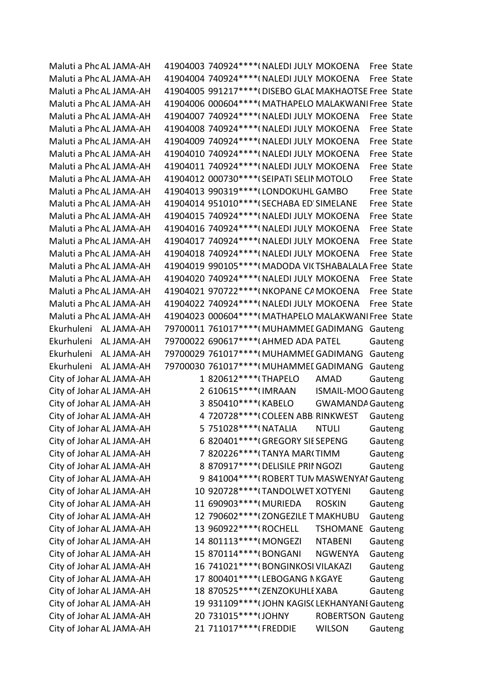Maluti a Phc AL JAMA-AH 41904003 740924\*\*\*\*(NALEDI JULY MOKOENA Free State Maluti a Phc AL JAMA-AH 41904004 740924\*\*\*\*\*(NALEDI JULY MOKOENA Free State Maluti a Phc AL JAMA-AH 41904005 991217\*\*\*\*(DISEBO GLAI MAKHAOTSE Free State Maluti a Phc AL JAMA-AH 41904006 000604\*\*\*\*(MATHAPELO MALAKWANI Free State Maluti a Phc AL JAMA-AH 41904007 740924\*\*\*\*(NALEDI JULY MOKOENA Free State Maluti a Phc AL JAMA-AH 41904008 740924\*\*\*\*(NALEDI JULY MOKOENA Free State Maluti a Phc AL JAMA-AH 41904009 740924\*\*\*\*\*(NALEDI JULY MOKOENA Free State Maluti a Phc AL JAMA-AH 41904010 740924\*\*\*\*(NALEDI JULY MOKOENA Free State Maluti a Phc AL JAMA-AH 41904011 740924\*\*\*\*(NALEDI JULY MOKOENA Free State Maluti a Phc AL JAMA-AH 41904012 000730\*\*\*\*(SEIPATI SELIN MOTOLO Free State Maluti a Phc AL JAMA-AH 41904013 990319\*\*\*\* (LONDOKUHL GAMBO Free State Maluti a Phc AL JAMA-AH 41904014 951010\*\*\*\* (SECHABA ED'SIMELANE Free State Maluti a Phc AL JAMA-AH 41904015 740924\*\*\*\*\*(NALEDI JULY MOKOENA Free State Maluti a Phc AL JAMA-AH 41904016 740924\*\*\*\*(NALEDI JULY MOKOENA Free State Maluti a Phc AL JAMA-AH 41904017 740924\*\*\*\*\*(NALEDI JULY MOKOENA Free State Maluti a Phc AL JAMA-AH 41904018 740924\*\*\*\*( NALEDI JULY MOKOENA Free State Maluti a Phc AL JAMA-AH 41904019 990105\*\*\*\*(MADODA VICTSHABALALA Free State Maluti a Phc AL JAMA-AH 41904020 740924\*\*\*\*(NALEDI JULY MOKOENA Free State Maluti a Phc AL JAMA-AH 41904021 970722\*\*\*\*(NKOPANE CAMOKOENA Free State Maluti a Phc AL JAMA-AH 41904022 740924\*\*\*\*(NALEDI JULY MOKOENA Free State Maluti a Phc AL JAMA-AH 41904023 000604\*\*\*\*(MATHAPELO MALAKWANI Free State Ekurhuleni AL JAMA-AH 79700011 761017\*\*\*\*(MUHAMMEL GADIMANG Gauteng Ekurhuleni AL JAMA-AH 79700022 690617\*\*\*\*(AHMED ADA PATEL Gauteng Ekurhuleni AL JAMA-AH 79700029 761017\*\*\*\*(MUHAMMEI GADIMANG Gauteng Ekurhuleni AL JAMA-AH 79700030 761017\*\*\*\*(MUHAMMEL GADIMANG Gauteng City of Johar AL JAMA-AH 1 820612\*\*\*\* (THAPELO AMAD Gauteng City of Johar AL JAMA-AH 2 610615\*\*\*\* IMRAAN ISMAIL-MOO Gauteng City of Johar AL JAMA-AH 3 850410\*\*\*\*(KABELO GWAMANDA Gauteng City of Johar AL JAMA-AH 4 720728\*\*\*\*(COLEEN ABBIRINKWEST Gauteng City of Johar AL JAMA-AH 5 751028\*\*\*\*(NATALIA NTULI Gauteng City of Johar AL JAMA-AH 6 820401\*\*\*\*(GREGORY SIE SEPENG Gauteng City of Johar AL JAMA-AH 7 820226\*\*\*\* TANYA MARCTIMM Gauteng City of Johar AL JAMA-AH 8 870917\*\*\*\*(DELISILE PRINGOZI Gauteng City of Johar AL JAMA-AH 9 841004\*\*\*\*(ROBERT TUN MASWENYAI Gauteng City of Johar AL JAMA-AH 10 920728\*\*\*\* TANDOLWET XOTYENI Gauteng City of Johar AL JAMA-AH 11 690903\*\*\*\*(MURIEDA ROSKIN Gauteng City of Johar AL JAMA-AH 12 790602\*\*\*\* (ZONGEZILE T MAKHUBU Gauteng City of Johar AL JAMA-AH 13 960922\*\*\*\*(ROCHELL TSHOMANE Gauteng City of Johar AL JAMA-AH 14 801113\*\*\*\*(MONGEZI NTABENI Gauteng City of Johar AL JAMA-AH 15 870114\*\*\*\*(BONGANI NGWENYA Gauteng City of Johar AL JAMA-AH 16 741021\*\*\*\*(BONGINKOSI VILAKAZI Gauteng City of Johar AL JAMA-AH 17 800401\*\*\*\*(LEBOGANG N KGAYE Gauteng City of Johar AL JAMA-AH 18 870525\*\*\*\*(ZENZOKUHLEXABA Gauteng City of Johar AL JAMA-AH 19 931109\*\*\*\* (JOHN KAGISC LEKHANYANI Gauteng City of Johar AL JAMA-AH 20 731015\*\*\*\*\*(JOHNY ROBERTSON Gauteng City of Johar AL JAMA-AH 21 711017\*\*\*\*(FREDDIE WILSON Gauteng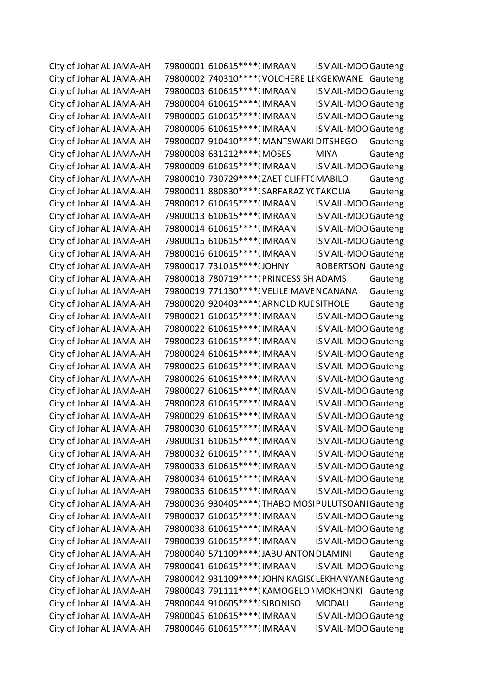| City of Johar AL JAMA-AH | 79800001 610615 **** (IMRAAN                         | <b>ISMAIL-MOO Gauteng</b> |         |
|--------------------------|------------------------------------------------------|---------------------------|---------|
| City of Johar AL JAMA-AH | 79800002 740310****(VOLCHERE LIKGEKWANE Gauteng      |                           |         |
| City of Johar AL JAMA-AH | 79800003 610615 **** (IMRAAN                         | <b>ISMAIL-MOO Gauteng</b> |         |
| City of Johar AL JAMA-AH | 79800004 610615 **** (IMRAAN                         | <b>ISMAIL-MOO Gauteng</b> |         |
| City of Johar AL JAMA-AH | 79800005 610615 **** (IMRAAN                         | <b>ISMAIL-MOO Gauteng</b> |         |
| City of Johar AL JAMA-AH | 79800006 610615 **** (IMRAAN                         | <b>ISMAIL-MOO Gauteng</b> |         |
| City of Johar AL JAMA-AH | 79800007 910410 **** (MANTSWAKI DITSHEGO             |                           | Gauteng |
| City of Johar AL JAMA-AH | 79800008 631212 **** (MOSES                          | <b>MIYA</b>               | Gauteng |
| City of Johar AL JAMA-AH | 79800009 610615 **** (IMRAAN                         | <b>ISMAIL-MOO Gauteng</b> |         |
| City of Johar AL JAMA-AH | 79800010 730729 **** (ZAET CLIFFT (MABILO            |                           | Gauteng |
| City of Johar AL JAMA-AH | 79800011 880830 **** (SARFARAZ YCTAKOLIA             |                           | Gauteng |
| City of Johar AL JAMA-AH | 79800012 610615 **** (IMRAAN                         | <b>ISMAIL-MOO Gauteng</b> |         |
| City of Johar AL JAMA-AH | 79800013 610615 **** (IMRAAN                         | <b>ISMAIL-MOO Gauteng</b> |         |
| City of Johar AL JAMA-AH | 79800014 610615 **** (IMRAAN                         | <b>ISMAIL-MOO Gauteng</b> |         |
| City of Johar AL JAMA-AH | 79800015 610615 **** (IMRAAN                         | <b>ISMAIL-MOO Gauteng</b> |         |
| City of Johar AL JAMA-AH | 79800016 610615 **** (IMRAAN                         | <b>ISMAIL-MOO Gauteng</b> |         |
| City of Johar AL JAMA-AH | 79800017 731015 **** (JOHNY                          | <b>ROBERTSON Gauteng</b>  |         |
| City of Johar AL JAMA-AH | 79800018 780719 **** (PRINCESS SH ADAMS              |                           | Gauteng |
| City of Johar AL JAMA-AH | 79800019 771130**** ( VELILE MAVE NCANANA            |                           | Gauteng |
| City of Johar AL JAMA-AH | 79800020 920403 **** (ARNOLD KUL SITHOLE             |                           | Gauteng |
| City of Johar AL JAMA-AH | 79800021 610615 **** (IMRAAN                         | <b>ISMAIL-MOO Gauteng</b> |         |
| City of Johar AL JAMA-AH | 79800022 610615 **** (IMRAAN                         | <b>ISMAIL-MOO Gauteng</b> |         |
| City of Johar AL JAMA-AH | 79800023 610615 **** (IMRAAN                         | <b>ISMAIL-MOO Gauteng</b> |         |
| City of Johar AL JAMA-AH | 79800024 610615 **** (IMRAAN                         | <b>ISMAIL-MOO Gauteng</b> |         |
| City of Johar AL JAMA-AH | 79800025 610615 **** (IMRAAN                         | <b>ISMAIL-MOO Gauteng</b> |         |
| City of Johar AL JAMA-AH | 79800026 610615 **** (IMRAAN                         | <b>ISMAIL-MOO Gauteng</b> |         |
| City of Johar AL JAMA-AH | 79800027 610615 **** (IMRAAN                         | <b>ISMAIL-MOO Gauteng</b> |         |
| City of Johar AL JAMA-AH | 79800028 610615 **** (IMRAAN                         | <b>ISMAIL-MOO Gauteng</b> |         |
| City of Johar AL JAMA-AH | 79800029 610615 **** (IMRAAN                         | <b>ISMAIL-MOO Gauteng</b> |         |
| City of Johar AL JAMA-AH | 79800030 610615 **** (IMRAAN                         | <b>ISMAIL-MOO Gauteng</b> |         |
| City of Johar AL JAMA-AH | 79800031 610615 **** (IMRAAN                         | <b>ISMAIL-MOO Gauteng</b> |         |
| City of Johar AL JAMA-AH | 79800032 610615 **** (IMRAAN                         | <b>ISMAIL-MOO Gauteng</b> |         |
| City of Johar AL JAMA-AH | 79800033 610615 **** (IMRAAN                         | <b>ISMAIL-MOO Gauteng</b> |         |
| City of Johar AL JAMA-AH | 79800034 610615 **** (IMRAAN                         | <b>ISMAIL-MOO Gauteng</b> |         |
| City of Johar AL JAMA-AH | 79800035 610615 **** (IMRAAN                         | <b>ISMAIL-MOO Gauteng</b> |         |
| City of Johar AL JAMA-AH | 79800036 930405 **** (THABO MOSI PULUTSOANI Gauteng  |                           |         |
| City of Johar AL JAMA-AH | 79800037 610615 **** (IMRAAN                         | <b>ISMAIL-MOO Gauteng</b> |         |
| City of Johar AL JAMA-AH | 79800038 610615 **** (IMRAAN                         | ISMAIL-MOO Gauteng        |         |
| City of Johar AL JAMA-AH | 79800039 610615 **** (IMRAAN                         | <b>ISMAIL-MOO Gauteng</b> |         |
| City of Johar AL JAMA-AH | 79800040 571109 **** (JABU ANTON DLAMINI             |                           | Gauteng |
| City of Johar AL JAMA-AH | 79800041 610615 **** (IMRAAN                         | <b>ISMAIL-MOO Gauteng</b> |         |
| City of Johar AL JAMA-AH | 79800042 931109 **** (JOHN KAGIS( LEKHANYANI Gauteng |                           |         |
| City of Johar AL JAMA-AH | 79800043 791111 **** (KAMOGELO \ MOKHONKI            |                           | Gauteng |
| City of Johar AL JAMA-AH | 79800044 910605 **** (SIBONISO                       | <b>MODAU</b>              | Gauteng |
| City of Johar AL JAMA-AH | 79800045 610615 **** (IMRAAN                         | <b>ISMAIL-MOO Gauteng</b> |         |
| City of Johar AL JAMA-AH | 79800046 610615 **** (IMRAAN                         | <b>ISMAIL-MOO Gauteng</b> |         |
|                          |                                                      |                           |         |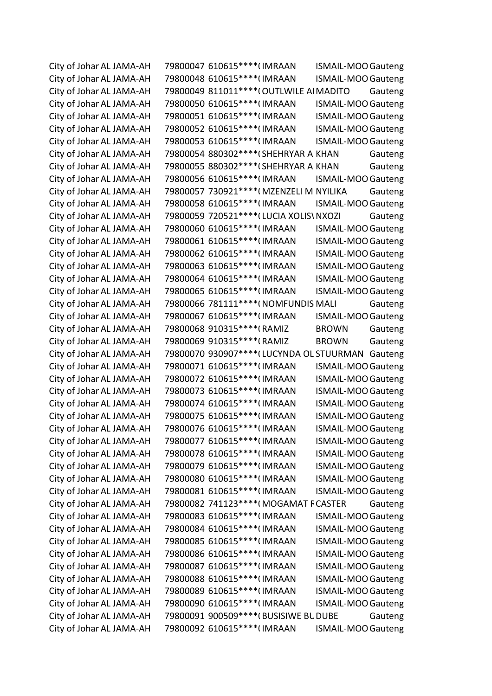City of Johar AL JAMA-AH 79800047 610615\*\*\*\*(IMRAAN ISMAIL-MOO Gauteng City of Johar AL JAMA-AH 79800048 610615\*\*\*\*(IMRAAN ISMAIL-MOO Gauteng City of Johar AL JAMA-AH 79800049 811011\*\*\*\*(OUTLWILE AI MADITO Gauteng City of Johar AL JAMA-AH 79800050 610615\*\*\*\*(IMRAAN ISMAIL-MOO Gauteng City of Johar AL JAMA-AH 79800051 610615\*\*\*\*(IMRAAN ISMAIL-MOO Gauteng City of Johar AL JAMA-AH 79800052 610615\*\*\*\*(IMRAAN ISMAIL-MOO Gauteng City of Johar AL JAMA-AH 79800053 610615\*\*\*\*(IMRAAN ISMAIL-MOO Gauteng City of Johar AL JAMA-AH 79800054 880302\*\*\*\*(SHEHRYAR A KHAN Gauteng City of Johar AL JAMA-AH 79800055 880302\*\*\*\*(SHEHRYAR A KHAN Gauteng City of Johar AL JAMA-AH 79800056 610615\*\*\*\*(IMRAAN ISMAIL-MOO Gauteng City of Johar AL JAMA-AH 79800057 730921\*\*\*\*(MZENZELI M NYILIKA Gauteng City of Johar AL JAMA-AH 79800058 610615\*\*\*\*(IMRAAN ISMAIL-MOO Gauteng City of Johar AL JAMA-AH 79800059 720521\*\*\*\* (LUCIA XOLIS\ NXOZI Gauteng City of Johar AL JAMA-AH 79800060 610615\*\*\*\*(IMRAAN ISMAIL-MOO Gauteng City of Johar AL JAMA-AH 79800061 610615\*\*\*\*(IMRAAN ISMAIL-MOO Gauteng City of Johar AL JAMA-AH 79800062 610615\*\*\*\*(IMRAAN ISMAIL-MOO Gauteng City of Johar AL JAMA-AH 79800063 610615\*\*\*\*(IMRAAN ISMAIL-MOO Gauteng City of Johar AL JAMA-AH 79800064 610615\*\*\*\*(IMRAAN ISMAIL-MOO Gauteng City of Johar AL JAMA-AH 79800065 610615\*\*\*\*(IMRAAN ISMAIL-MOO Gauteng City of Johar AL JAMA-AH 79800066 781111\*\*\*\*(NOMFUNDIS MALI Gauteng City of Johar AL JAMA-AH 79800067 610615\*\*\*\*(IMRAAN ISMAIL-MOO Gauteng City of Johar AL JAMA-AH 79800068 910315\*\*\*\*(RAMIZ BROWN Gauteng City of Johar AL JAMA-AH 79800069 910315\*\*\*\*(RAMIZ BROWN Gauteng City of Johar AL JAMA-AH 79800070 930907\*\*\*\* (LUCYNDA OL STUURMAN Gauteng City of Johar AL JAMA-AH 79800071 610615\*\*\*\*(IMRAAN ISMAIL-MOO Gauteng City of Johar AL JAMA-AH 79800072 610615\*\*\*\*(IMRAAN ISMAIL-MOO Gauteng City of Johar AL JAMA-AH 79800073 610615\*\*\*\*(IMRAAN ISMAIL-MOO Gauteng City of Johar AL JAMA-AH 79800074 610615\*\*\*\*(IMRAAN ISMAIL-MOO Gauteng City of Johar AL JAMA-AH 79800075 610615\*\*\*\*(IMRAAN ISMAIL-MOO Gauteng City of Johar AL JAMA-AH 79800076 610615\*\*\*\*(IMRAAN ISMAIL-MOO Gauteng City of Johar AL JAMA-AH 79800077 610615\*\*\*\*(IMRAAN ISMAIL-MOO Gauteng City of Johar AL JAMA-AH 79800078 610615\*\*\*\*(IMRAAN ISMAIL-MOO Gauteng City of Johar AL JAMA-AH 79800079 610615\*\*\*\*(IMRAAN ISMAIL-MOO Gauteng City of Johar AL JAMA-AH 79800080 610615\*\*\*\*(IMRAAN ISMAIL-MOO Gauteng City of Johar AL JAMA-AH 79800081 610615\*\*\*\*(IMRAAN ISMAIL-MOO Gauteng City of Johar AL JAMA-AH 79800082 741123\*\*\*\*(MOGAMAT F CASTER Gauteng City of Johar AL JAMA-AH 79800083 610615\*\*\*\*(IMRAAN ISMAIL-MOO Gauteng City of Johar AL JAMA-AH 79800084 610615\*\*\*\*(IMRAAN ISMAIL-MOO Gauteng City of Johar AL JAMA-AH 79800085 610615\*\*\*\*(IMRAAN ISMAIL-MOO Gauteng City of Johar AL JAMA-AH 79800086 610615\*\*\*\*(IMRAAN ISMAIL-MOO Gauteng City of Johar AL JAMA-AH 79800087 610615\*\*\*\*(IMRAAN ISMAIL-MOO Gauteng City of Johar AL JAMA-AH 79800088 610615\*\*\*\*(IMRAAN ISMAIL-MOO Gauteng City of Johar AL JAMA-AH 79800089 610615\*\*\*\*(IMRAAN ISMAIL-MOO Gauteng City of Johar AL JAMA-AH 79800090 610615\*\*\*\*(IMRAAN ISMAIL-MOO Gauteng City of Johar AL JAMA-AH 79800091 900509\*\*\*\*(BUSISIWE BUDUBE Gauteng City of Johar AL JAMA-AH 79800092 610615\*\*\*\*(IMRAAN ISMAIL-MOO Gauteng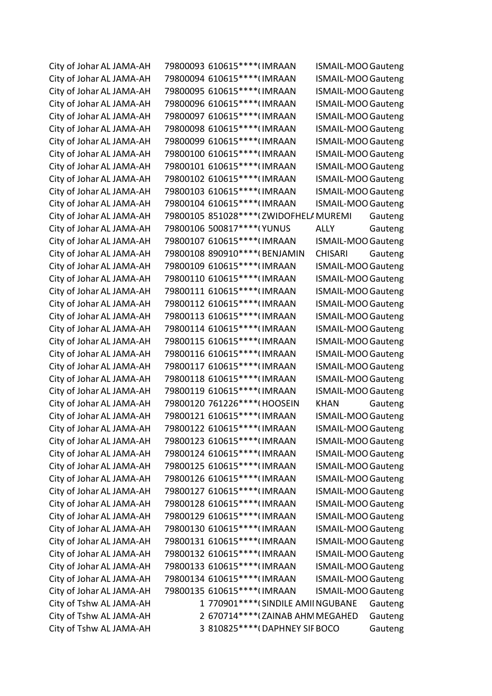City of Johar AL JAMA-AH 79800093 610615\*\*\*\*(IMRAAN ISMAIL-MOO Gauteng City of Johar AL JAMA-AH 79800094 610615\*\*\*\*(IMRAAN ISMAIL-MOO Gauteng City of Johar AL JAMA-AH 79800095 610615\*\*\*\*(IMRAAN ISMAIL-MOO Gauteng City of Johar AL JAMA-AH 79800096 610615\*\*\*\*(IMRAAN ISMAIL-MOO Gauteng City of Johar AL JAMA-AH 79800097 610615\*\*\*\*(IMRAAN ISMAIL-MOO Gauteng City of Johar AL JAMA-AH 79800098 610615\*\*\*\*(IMRAAN ISMAIL-MOO Gauteng City of Johar AL JAMA-AH 79800099 610615\*\*\*\*(IMRAAN ISMAIL-MOO Gauteng City of Johar AL JAMA-AH 79800100 610615\*\*\*\*(IMRAAN ISMAIL-MOO Gauteng City of Johar AL JAMA-AH 79800101 610615\*\*\*\*(IMRAAN ISMAIL-MOO Gauteng City of Johar AL JAMA-AH 79800102 610615\*\*\*\*(IMRAAN ISMAIL-MOO Gauteng City of Johar AL JAMA-AH 79800103 610615\*\*\*\*(IMRAAN ISMAIL-MOO Gauteng City of Johar AL JAMA-AH 79800104 610615\*\*\*\*(IMRAAN ISMAIL-MOO Gauteng City of Johar AL JAMA-AH 79800105 851028\*\*\*\* (ZWIDOFHELA MUREMI Gauteng City of Johar AL JAMA-AH  $-79800106$  500817\*\*\*\*(YUNUS ALLY Gauteng City of Johar AL JAMA-AH 79800107 610615\*\*\*\*(IMRAAN ISMAIL-MOO Gauteng City of Johar AL JAMA-AH 79800108 890910\*\*\*\*(BENJAMIN CHISARI Gauteng City of Johar AL JAMA-AH 79800109 610615\*\*\*\*(IMRAAN ISMAIL-MOO Gauteng City of Johar AL JAMA-AH 79800110 610615\*\*\*\*(IMRAAN ISMAIL-MOO Gauteng City of Johar AL JAMA-AH 79800111 610615\*\*\*\*(IMRAAN ISMAIL-MOO Gauteng City of Johar AL JAMA-AH 79800112 610615\*\*\*\*(IMRAAN ISMAIL-MOO Gauteng City of Johar AL JAMA-AH 79800113 610615\*\*\*\*(IMRAAN ISMAIL-MOO Gauteng City of Johar AL JAMA-AH 79800114 610615\*\*\*\*(IMRAAN ISMAIL-MOO Gauteng City of Johar AL JAMA-AH 79800115 610615\*\*\*\*(IMRAAN ISMAIL-MOO Gauteng City of Johar AL JAMA-AH 79800116 610615\*\*\*\*(IMRAAN ISMAIL-MOO Gauteng City of Johar AL JAMA-AH 79800117 610615\*\*\*\*(IMRAAN ISMAIL-MOO Gauteng City of Johar AL JAMA-AH 79800118 610615\*\*\*\*(IMRAAN ISMAIL-MOO Gauteng City of Johar AL JAMA-AH 79800119 610615\*\*\*\*(IMRAAN ISMAIL-MOO Gauteng City of Johar AL JAMA-AH 79800120 761226\*\*\*\*(HOOSEIN KHAN Gauteng City of Johar AL JAMA-AH 79800121 610615\*\*\*\*(IMRAAN ISMAIL-MOO Gauteng City of Johar AL JAMA-AH 79800122 610615\*\*\*\*(IMRAAN ISMAIL-MOO Gauteng City of Johar AL JAMA-AH 79800123 610615\*\*\*\*(IMRAAN ISMAIL-MOO Gauteng City of Johar AL JAMA-AH 79800124 610615\*\*\*\*(IMRAAN ISMAIL-MOO Gauteng City of Johar AL JAMA-AH 79800125 610615\*\*\*\*(IMRAAN ISMAIL-MOO Gauteng City of Johar AL JAMA-AH 79800126 610615\*\*\*\*(IMRAAN ISMAIL-MOO Gauteng City of Johar AL JAMA-AH 79800127 610615\*\*\*\*(IMRAAN ISMAIL-MOO Gauteng City of Johar AL JAMA-AH 79800128 610615\*\*\*\*(IMRAAN ISMAIL-MOO Gauteng City of Johar AL JAMA-AH 79800129 610615\*\*\*\*(IMRAAN ISMAIL-MOO Gauteng City of Johar AL JAMA-AH 79800130 610615\*\*\*\*(IMRAAN ISMAIL-MOO Gauteng City of Johar AL JAMA-AH 79800131 610615\*\*\*\*(IMRAAN ISMAIL-MOO Gauteng City of Johar AL JAMA-AH 79800132 610615\*\*\*\*(IMRAAN ISMAIL-MOO Gauteng City of Johar AL JAMA-AH 79800133 610615\*\*\*\*(IMRAAN ISMAIL-MOO Gauteng City of Johar AL JAMA-AH 79800134 610615\*\*\*\*(IMRAAN ISMAIL-MOO Gauteng City of Johar AL JAMA-AH 79800135 610615\*\*\*\*(IMRAAN ISMAIL-MOO Gauteng City of Tshw AL JAMA-AH 1 770901\*\*\*\* (SINDILE AMII NGUBANE Gauteng City of Tshw AL JAMA-AH 2 670714\*\*\*\* (ZAINAB AHM MEGAHED Gauteng City of Tshw AL JAMA-AH 3 810825\*\*\*\*(DAPHNEY SIF BOCO Gauteng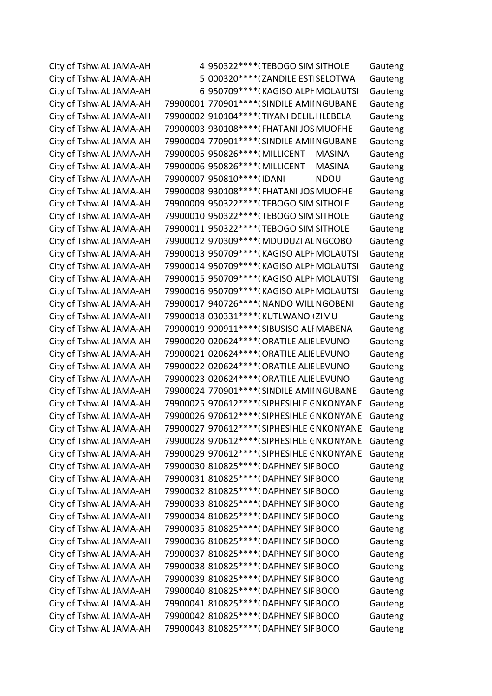City of Tshw AL JAMA-AH 4 950322\*\*\*\*(TEBOGO SIM SITHOLE Gauteng City of Tshw AL JAMA-AH 5 000320\*\*\*\* (ZANDILE ESTISELOTWA Gauteng City of Tshw AL JAMA-AH 6 950709\*\*\*\*(KAGISO ALPH MOLAUTSI Gauteng City of Tshw AL JAMA-AH 79900001 770901\*\*\*\* (SINDILE AMIINGUBANE Gauteng City of Tshw AL JAMA-AH 79900002 910104\*\*\*\*(TIYANI DELIL HLEBELA Gauteng City of Tshw AL JAMA-AH 79900003 930108\*\*\*\*(FHATANI JOS MUOFHE Gauteng City of Tshw AL JAMA-AH 79900004 770901\*\*\*\* (SINDILE AMII NGUBANE Gauteng City of Tshw AL JAMA-AH 79900005 950826\*\*\*\*(MILLICENT MASINA Gauteng City of Tshw AL JAMA-AH 79900006 950826\*\*\*\*(MILLICENT MASINA Gauteng City of Tshw AL JAMA-AH  $79900007950810***$ <sup>\*</sup>IDANI NDOU Gauteng City of Tshw AL JAMA-AH 79900008 930108\*\*\*\*(FHATANI JOS MUOFHE Gauteng City of Tshw AL JAMA-AH 79900009 950322\*\*\*\*(TEBOGO SIM SITHOLE Gauteng City of Tshw AL JAMA-AH 79900010 950322\*\*\*\* (TEBOGO SIM SITHOLE Gauteng City of Tshw AL JAMA-AH 79900011 950322\*\*\*\* (TEBOGO SIM SITHOLE Gauteng City of Tshw AL JAMA-AH 79900012 970309\*\*\*\*(MDUDUZI AL NGCOBO Gauteng City of Tshw AL JAMA-AH 79900013 950709\*\*\*\*(KAGISO ALPI MOLAUTSI Gauteng City of Tshw AL JAMA-AH 79900014 950709\*\*\*\*(KAGISO ALPI MOLAUTSI Gauteng City of Tshw AL JAMA-AH 79900015 950709\*\*\*\*(KAGISO ALPI MOLAUTSI Gauteng City of Tshw AL JAMA-AH 79900016 950709\*\*\*\*(KAGISO ALPI MOLAUTSI Gauteng City of Tshw AL JAMA-AH 79900017 940726\*\*\*\*(NANDO WILL NGOBENI Gauteng City of Tshw AL JAMA-AH 79900018 030331 $***$ <sup>(KUTLWANO (ZIMU Gauteng)</sup> City of Tshw AL JAMA-AH 79900019 900911\*\*\*\*(SIBUSISO ALF MABENA Gauteng City of Tshw AL JAMA-AH 79900020 020624\*\*\*\*(ORATILE ALIE LEVUNO Gauteng City of Tshw AL JAMA-AH 79900021 020624\*\*\*\*(ORATILE ALIE LEVUNO Gauteng City of Tshw AL JAMA-AH 79900022 020624\*\*\*\*(ORATILE ALIE LEVUNO Gauteng City of Tshw AL JAMA-AH 79900023 020624\*\*\*\*(ORATILE ALIE LEVUNO Gauteng City of Tshw AL JAMA-AH 79900024 770901\*\*\*\*(SINDILE AMIINGUBANE Gauteng City of Tshw AL JAMA-AH 79900025 970612\*\*\*\*(SIPHESIHLE CNKONYANE Gauteng City of Tshw AL JAMA-AH 79900026 970612\*\*\*\* (SIPHESIHLE CNKONYANE Gauteng City of Tshw AL JAMA-AH 79900027 970612\*\*\*\* (SIPHESIHLE CNKONYANE Gauteng City of Tshw AL JAMA-AH 79900028 970612\*\*\*\* (SIPHESIHLE CNKONYANE Gauteng City of Tshw AL JAMA-AH 79900029 970612\*\*\*\* (SIPHESIHLE CNKONYANE Gauteng City of Tshw AL JAMA-AH 79900030 810825\*\*\*\*(DAPHNEY SIF BOCO Gauteng City of Tshw AL JAMA-AH 79900031 810825\*\*\*\*(DAPHNEY SIF BOCO Gauteng City of Tshw AL JAMA-AH 79900032 810825\*\*\*\*(DAPHNEY SIF BOCO Gauteng City of Tshw AL JAMA-AH 79900033 810825\*\*\*\*(DAPHNEY SIF BOCO Gauteng City of Tshw AL JAMA-AH 79900034 810825\*\*\*\*(DAPHNEY SIF BOCO Gauteng City of Tshw AL JAMA-AH 79900035 810825\*\*\*\*(DAPHNEY SIF BOCO Gauteng City of Tshw AL JAMA-AH 79900036 810825\*\*\*\*(DAPHNEY SIF BOCO Gauteng City of Tshw AL JAMA-AH 79900037 810825\*\*\*\*(DAPHNEY SIF BOCO Gauteng City of Tshw AL JAMA-AH 79900038 810825\*\*\*\*(DAPHNEY SIF BOCO Gauteng City of Tshw AL JAMA-AH  $-79900039810825***$  (DAPHNEY SIF BOCO Gauteng City of Tshw AL JAMA-AH 79900040 810825\*\*\*\*(DAPHNEY SIF BOCO Gauteng City of Tshw AL JAMA-AH 79900041 810825\*\*\*\*(DAPHNEY SIF BOCO Gauteng City of Tshw AL JAMA-AH 79900042 810825\*\*\*\*(DAPHNEY SIF BOCO Gauteng City of Tshw AL JAMA-AH 79900043 810825\*\*\*\*(DAPHNEY SIF BOCO Gauteng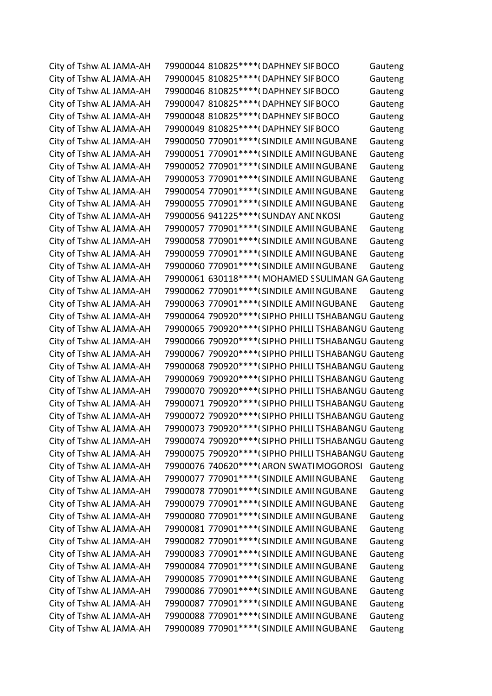City of Tshw AL JAMA-AH 79900044 810825\*\*\*\*(DAPHNEY SIF BOCO Gauteng City of Tshw AL JAMA-AH 79900045 810825\*\*\*\*(DAPHNEY SIF BOCO Gauteng City of Tshw AL JAMA-AH 79900046 810825\*\*\*\*(DAPHNEY SIF BOCO Gauteng City of Tshw AL JAMA-AH 79900047 810825\*\*\*\*(DAPHNEY SIF BOCO Gauteng City of Tshw AL JAMA-AH 79900048 810825\*\*\*\*(DAPHNEY SIF BOCO Gauteng City of Tshw AL JAMA-AH 79900049 810825\*\*\*\*(DAPHNEY SIF BOCO Gauteng City of Tshw AL JAMA-AH 79900050 770901\*\*\*\* (SINDILE AMII NGUBANE Gauteng City of Tshw AL JAMA-AH 79900051 770901\*\*\*\* (SINDILE AMII NGUBANE Gauteng City of Tshw AL JAMA-AH 79900052 770901\*\*\*\* (SINDILE AMII NGUBANE Gauteng City of Tshw AL JAMA-AH 79900053 770901\*\*\*\*(SINDILE AMIINGUBANE Gauteng City of Tshw AL JAMA-AH 79900054 770901\*\*\*\*(SINDILE AMIINGUBANE Gauteng City of Tshw AL JAMA-AH 79900055 770901\*\*\*\* (SINDILE AMII NGUBANE Gauteng City of Tshw AL JAMA-AH 79900056 941225\*\*\*\* (SUNDAY ANL NKOSI Gauteng City of Tshw AL JAMA-AH 79900057 770901\*\*\*\* (SINDILE AMII NGUBANE Gauteng City of Tshw AL JAMA-AH 79900058 770901\*\*\*\* (SINDILE AMII NGUBANE Gauteng City of Tshw AL JAMA-AH 79900059 770901\*\*\*\* (SINDILE AMIINGUBANE Gauteng City of Tshw AL JAMA-AH 79900060 770901\*\*\*\* (SINDILE AMIINGUBANE Gauteng City of Tshw AL JAMA-AH 79900061 630118\*\*\*\*(MOHAMED SSULIMAN GA Gauteng City of Tshw AL JAMA-AH 79900062 770901\*\*\*\* (SINDILE AMII NGUBANE Gauteng City of Tshw AL JAMA-AH 79900063 770901\*\*\*\* (SINDILE AMII NGUBANE Gauteng City of Tshw AL JAMA-AH 79900064 790920\*\*\*\* (SIPHO PHILLI TSHABANGU Gauteng City of Tshw AL JAMA-AH 79900065 790920\*\*\*\*(SIPHO PHILLI TSHABANGU Gauteng City of Tshw AL JAMA-AH 79900066 790920\*\*\*\*(SIPHO PHILLI TSHABANGU Gauteng City of Tshw AL JAMA-AH 79900067 790920\*\*\*\* (SIPHO PHILLI TSHABANGU Gauteng City of Tshw AL JAMA-AH 79900068 790920\*\*\*\* (SIPHO PHILLI TSHABANGU Gauteng City of Tshw AL JAMA-AH 79900069 790920\*\*\*\* (SIPHO PHILLI TSHABANGU Gauteng City of Tshw AL JAMA-AH 79900070 790920\*\*\*\*(SIPHO PHILLI TSHABANGU Gauteng City of Tshw AL JAMA-AH 79900071 790920\*\*\*\*(SIPHO PHILLI TSHABANGU Gauteng City of Tshw AL JAMA-AH 79900072 790920\*\*\*\* (SIPHO PHILLI TSHABANGU Gauteng City of Tshw AL JAMA-AH 79900073 790920\*\*\*\* (SIPHO PHILLI TSHABANGU Gauteng City of Tshw AL JAMA-AH 79900074 790920\*\*\*\* (SIPHO PHILLI TSHABANGU Gauteng City of Tshw AL JAMA-AH 79900075 790920\*\*\*\* (SIPHO PHILLI TSHABANGU Gauteng City of Tshw AL JAMA-AH 79900076 740620\*\*\*\*(ARON SWATIMOGOROSI Gauteng City of Tshw AL JAMA-AH 79900077 770901\*\*\*\*(SINDILE AMIINGUBANE Gauteng City of Tshw AL JAMA-AH 79900078 770901\*\*\*\* (SINDILE AMIINGUBANE Gauteng City of Tshw AL JAMA-AH 79900079 770901\*\*\*\* (SINDILE AMIINGUBANE Gauteng City of Tshw AL JAMA-AH 79900080 770901\*\*\*\* (SINDILE AMIINGUBANE Gauteng City of Tshw AL JAMA-AH 79900081 770901\*\*\*\* (SINDILE AMII NGUBANE Gauteng City of Tshw AL JAMA-AH 79900082 770901\*\*\*\* (SINDILE AMII NGUBANE Gauteng City of Tshw AL JAMA-AH 79900083 770901\*\*\*\* (SINDILE AMIINGUBANE Gauteng City of Tshw AL JAMA-AH 79900084 770901\*\*\*\* (SINDILE AMIINGUBANE Gauteng City of Tshw AL JAMA-AH 79900085 770901\*\*\*\* (SINDILE AMIINGUBANE Gauteng City of Tshw AL JAMA-AH 79900086 770901\*\*\*\* (SINDILE AMIINGUBANE Gauteng City of Tshw AL JAMA-AH 79900087 770901\*\*\*\* (SINDILE AMII NGUBANE Gauteng City of Tshw AL JAMA-AH 79900088 770901\*\*\*\*(SINDILE AMIINGUBANE Gauteng City of Tshw AL JAMA-AH 79900089 770901\*\*\*\*(SINDILE AMIINGUBANE Gauteng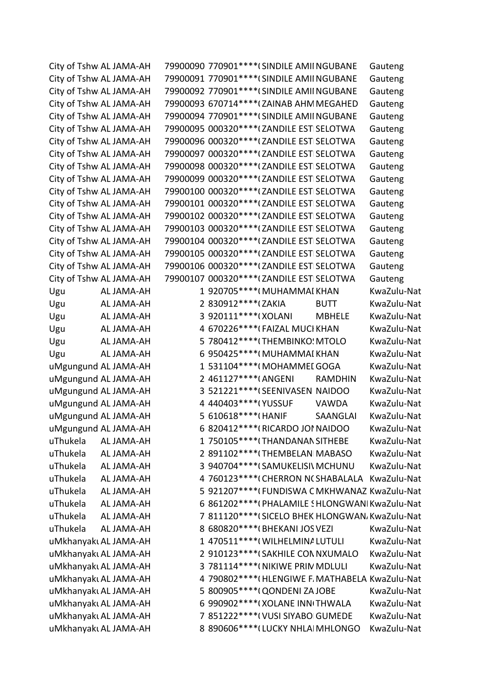|          | City of Tshw AL JAMA-AH |                       | 79900090 770901 **** (SINDILE AMII NGUBANE |                | Gauteng                                          |
|----------|-------------------------|-----------------------|--------------------------------------------|----------------|--------------------------------------------------|
|          | City of Tshw AL JAMA-AH |                       | 79900091 770901 **** (SINDILE AMII NGUBANE |                | Gauteng                                          |
|          | City of Tshw AL JAMA-AH |                       | 79900092 770901 **** (SINDILE AMII NGUBANE |                | Gauteng                                          |
|          | City of Tshw AL JAMA-AH |                       | 79900093 670714 **** (ZAINAB AHM MEGAHED   |                | Gauteng                                          |
|          | City of Tshw AL JAMA-AH |                       | 79900094 770901 **** (SINDILE AMII NGUBANE |                | Gauteng                                          |
|          | City of Tshw AL JAMA-AH |                       | 79900095 000320 **** (ZANDILE EST SELOTWA  |                | Gauteng                                          |
|          | City of Tshw AL JAMA-AH |                       | 79900096 000320 **** (ZANDILE EST SELOTWA  |                | Gauteng                                          |
|          | City of Tshw AL JAMA-AH |                       | 79900097 000320 **** (ZANDILE EST SELOTWA  |                | Gauteng                                          |
|          | City of Tshw AL JAMA-AH |                       | 79900098 000320 **** (ZANDILE EST SELOTWA  |                | Gauteng                                          |
|          | City of Tshw AL JAMA-AH |                       | 79900099 000320 **** (ZANDILE EST SELOTWA  |                | Gauteng                                          |
|          | City of Tshw AL JAMA-AH |                       | 79900100 000320 **** (ZANDILE EST SELOTWA  |                | Gauteng                                          |
|          | City of Tshw AL JAMA-AH |                       | 79900101 000320 **** (ZANDILE EST SELOTWA  |                | Gauteng                                          |
|          | City of Tshw AL JAMA-AH |                       | 79900102 000320 **** (ZANDILE EST SELOTWA  |                | Gauteng                                          |
|          | City of Tshw AL JAMA-AH |                       | 79900103 000320 **** (ZANDILE EST SELOTWA  |                | Gauteng                                          |
|          | City of Tshw AL JAMA-AH |                       | 79900104 000320 **** (ZANDILE EST SELOTWA  |                | Gauteng                                          |
|          | City of Tshw AL JAMA-AH |                       | 79900105 000320 **** (ZANDILE EST SELOTWA  |                | Gauteng                                          |
|          | City of Tshw AL JAMA-AH |                       | 79900106 000320 **** (ZANDILE EST SELOTWA  |                | Gauteng                                          |
|          | City of Tshw AL JAMA-AH |                       | 79900107 000320 **** (ZANDILE EST SELOTWA  |                | Gauteng                                          |
| Ugu      | AL JAMA-AH              |                       | 1 920705 **** (MUHAMMAI KHAN               |                | KwaZulu-Nat                                      |
| Ugu      | AL JAMA-AH              | 2 830912 **** (ZAKIA  |                                            | <b>BUTT</b>    | KwaZulu-Nat                                      |
| Ugu      | AL JAMA-AH              | 3 920111 **** (XOLANI |                                            | <b>MBHELE</b>  | KwaZulu-Nat                                      |
| Ugu      | AL JAMA-AH              |                       | 4 670226 **** (FAIZAL MUCI KHAN            |                | KwaZulu-Nat                                      |
| Ugu      | AL JAMA-AH              |                       | 5 780412****(THEMBINKO: MTOLO              |                | KwaZulu-Nat                                      |
| Ugu      | AL JAMA-AH              |                       | 6 950425 **** (MUHAMMAI KHAN               |                | KwaZulu-Nat                                      |
|          | uMgungund AL JAMA-AH    |                       | 1 531104****(MOHAMMEI GOGA                 |                | KwaZulu-Nat                                      |
|          | uMgungund AL JAMA-AH    | 2 461127****(ANGENI   |                                            | <b>RAMDHIN</b> | KwaZulu-Nat                                      |
|          | uMgungund AL JAMA-AH    |                       | 3 521221 **** (SEENIVASEN NAIDOO           |                | KwaZulu-Nat                                      |
|          | uMgungund AL JAMA-AH    | 4 440403 **** (YUSSUF |                                            | <b>VAWDA</b>   | KwaZulu-Nat                                      |
|          | uMgungund AL JAMA-AH    | 5 610618 **** (HANIF  |                                            | SAANGLAI       | KwaZulu-Nat                                      |
|          | uMgungund AL JAMA-AH    |                       | 6 820412 **** (RICARDO JOI NAIDOO          |                | KwaZulu-Nat                                      |
| uThukela | AL JAMA-AH              |                       | 1 750105****(THANDANAN SITHEBE             |                | KwaZulu-Nat                                      |
| uThukela | AL JAMA-AH              |                       | 2 891102 **** (THEMBELAN MABASO            |                | KwaZulu-Nat                                      |
| uThukela | AL JAMA-AH              |                       | 3 940704 **** (SAMUKELISI\ MCHUNU          |                | KwaZulu-Nat                                      |
| uThukela | AL JAMA-AH              |                       |                                            |                | 4 760123 **** (CHERRON N(SHABALALA KwaZulu-Nat   |
| uThukela | AL JAMA-AH              |                       |                                            |                | 5 921207****(FUNDISWA CMKHWANAZ KwaZulu-Nat      |
| uThukela | AL JAMA-AH              |                       |                                            |                | 6 861202 **** (PHALAMILE SHLONGWANI KwaZulu-Nat  |
| uThukela | AL JAMA-AH              |                       |                                            |                | 7 811120****(SICELO BHEK HLONGWAN, KwaZulu-Nat   |
| uThukela | AL JAMA-AH              |                       | 8 680820 **** (BHEKANI JOS VEZI            |                | KwaZulu-Nat                                      |
|          | uMkhanyakı AL JAMA-AH   |                       | 1 470511 **** (WILHELMINA LUTULI           |                | KwaZulu-Nat                                      |
|          | uMkhanyakı AL JAMA-AH   |                       | 2 910123 **** (SAKHILE CON NXUMALO         |                | KwaZulu-Nat                                      |
|          | uMkhanyakı AL JAMA-AH   |                       | 3 781114****(NIKIWE PRIN MDLULI            |                | KwaZulu-Nat                                      |
|          | uMkhanyakı AL JAMA-AH   |                       |                                            |                | 4 790802 **** (HLENGIWE F. MATHABELA KwaZulu-Nat |
|          | uMkhanyakı AL JAMA-AH   |                       | 5 800905 **** (QONDENI ZA JOBE             |                | KwaZulu-Nat                                      |
|          | uMkhanyakı AL JAMA-AH   |                       | 6 990902 **** (XOLANE INN THWALA           |                | KwaZulu-Nat                                      |
|          | uMkhanyakı AL JAMA-AH   |                       | 7 851222 **** ( VUSI SIYABO GUMEDE         |                | KwaZulu-Nat                                      |
|          | uMkhanyakı AL JAMA-AH   |                       | 8 890606**** (LUCKY NHLAI MHLONGO          |                | KwaZulu-Nat                                      |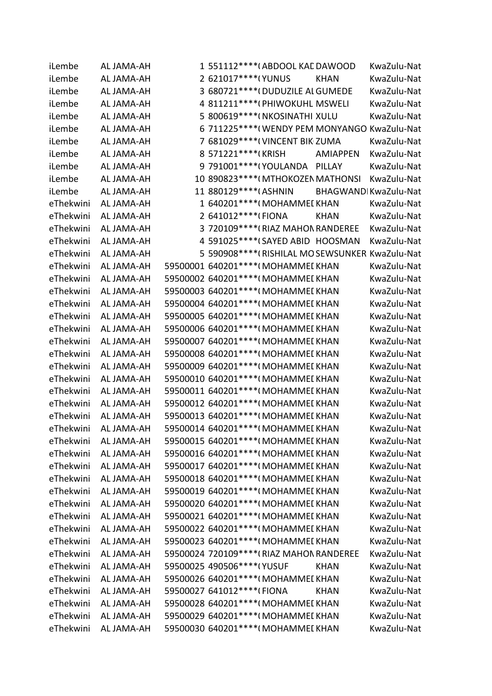| iLembe    | AL JAMA-AH | 1 551112****(ABDOOL KAL DAWOOD                   |                 | KwaZulu-Nat           |
|-----------|------------|--------------------------------------------------|-----------------|-----------------------|
| iLembe    | AL JAMA-AH | 2 621017*****(YUNUS                              | <b>KHAN</b>     | KwaZulu-Nat           |
| iLembe    | AL JAMA-AH | 3 680721 **** (DUDUZILE AL GUMEDE                |                 | KwaZulu-Nat           |
| iLembe    | AL JAMA-AH | 4 811211 **** (PHIWOKUHL MSWELI                  |                 | KwaZulu-Nat           |
| iLembe    | AL JAMA-AH | 5 800619 **** (NKOSINATHI XULU                   |                 | KwaZulu-Nat           |
| iLembe    | AL JAMA-AH | 6 711225 **** (WENDY PEM MONYANGO KwaZulu-Nat    |                 |                       |
| iLembe    | AL JAMA-AH | 7 681029 **** (VINCENT BIK ZUMA                  |                 | KwaZulu-Nat           |
| iLembe    | AL JAMA-AH | 8 571221 **** (KRISH                             | <b>AMIAPPEN</b> | KwaZulu-Nat           |
| iLembe    | AL JAMA-AH | 9 791001 **** (YOULANDA PILLAY                   |                 | KwaZulu-Nat           |
| iLembe    | AL JAMA-AH | 10 890823 **** (MTHOKOZEN MATHONSI               |                 | KwaZulu-Nat           |
| iLembe    | AL JAMA-AH | 11 880129 **** (ASHNIN                           |                 | BHAGWANDI KwaZulu-Nat |
| eThekwini | AL JAMA-AH | 1 640201 **** (MOHAMMEI KHAN                     |                 | KwaZulu-Nat           |
| eThekwini | AL JAMA-AH | 2 641012****(FIONA                               | <b>KHAN</b>     | KwaZulu-Nat           |
| eThekwini | AL JAMA-AH | 3 720109**** (RIAZ MAHON RANDEREE                |                 | KwaZulu-Nat           |
| eThekwini | AL JAMA-AH | 4 591025 **** (SAYED ABID HOOSMAN                |                 | KwaZulu-Nat           |
| eThekwini | AL JAMA-AH | 5 590908 **** (RISHILAL MO SEWSUNKER KwaZulu-Nat |                 |                       |
| eThekwini | AL JAMA-AH | 59500001 640201 **** (MOHAMMEI KHAN              |                 | KwaZulu-Nat           |
| eThekwini | AL JAMA-AH | 59500002 640201 **** (MOHAMMEI KHAN              |                 | KwaZulu-Nat           |
| eThekwini | AL JAMA-AH | 59500003 640201 **** (MOHAMMEI KHAN              |                 | KwaZulu-Nat           |
| eThekwini | AL JAMA-AH | 59500004 640201 **** (MOHAMMEI KHAN              |                 | KwaZulu-Nat           |
| eThekwini | AL JAMA-AH | 59500005 640201 **** (MOHAMMEI KHAN              |                 | KwaZulu-Nat           |
| eThekwini | AL JAMA-AH | 59500006 640201 **** (MOHAMMEI KHAN              |                 | KwaZulu-Nat           |
| eThekwini | AL JAMA-AH | 59500007 640201 **** (MOHAMMEI KHAN              |                 | KwaZulu-Nat           |
| eThekwini | AL JAMA-AH | 59500008 640201 **** (MOHAMMEI KHAN              |                 | KwaZulu-Nat           |
| eThekwini | AL JAMA-AH | 59500009 640201 **** (MOHAMMEI KHAN              |                 | KwaZulu-Nat           |
| eThekwini | AL JAMA-AH | 59500010 640201 **** (MOHAMMEI KHAN              |                 | KwaZulu-Nat           |
| eThekwini | AL JAMA-AH | 59500011 640201 **** (MOHAMMEI KHAN              |                 | KwaZulu-Nat           |
| eThekwini | AL JAMA-AH | 59500012 640201 **** (MOHAMMEI KHAN              |                 | KwaZulu-Nat           |
| eThekwini | AL JAMA-AH | 59500013 640201 **** (MOHAMMEI KHAN              |                 | KwaZulu-Nat           |
| eThekwini | AL JAMA-AH | 59500014 640201****(MOHAMMEI KHAN                |                 | KwaZulu-Nat           |
| eThekwini | AL JAMA-AH | 59500015 640201 **** (MOHAMMEI KHAN              |                 | KwaZulu-Nat           |
| eThekwini | AL JAMA-AH | 59500016 640201 **** (MOHAMMEI KHAN              |                 | KwaZulu-Nat           |
| eThekwini | AL JAMA-AH | 59500017 640201 **** (MOHAMMEI KHAN              |                 | KwaZulu-Nat           |
| eThekwini | AL JAMA-AH | 59500018 640201 **** (MOHAMMEI KHAN              |                 | KwaZulu-Nat           |
| eThekwini | AL JAMA-AH | 59500019 640201 **** (MOHAMMEI KHAN              |                 | KwaZulu-Nat           |
| eThekwini | AL JAMA-AH | 59500020 640201 **** (MOHAMMEI KHAN              |                 | KwaZulu-Nat           |
| eThekwini | AL JAMA-AH | 59500021 640201 **** (MOHAMMEI KHAN              |                 | KwaZulu-Nat           |
| eThekwini | AL JAMA-AH | 59500022 640201 **** (MOHAMMEI KHAN              |                 | KwaZulu-Nat           |
| eThekwini | AL JAMA-AH | 59500023 640201 **** (MOHAMMEI KHAN              |                 | KwaZulu-Nat           |
| eThekwini | AL JAMA-AH | 59500024 720109 **** (RIAZ MAHON RANDEREE        |                 | KwaZulu-Nat           |
| eThekwini | AL JAMA-AH | 59500025 490506 **** (YUSUF                      | <b>KHAN</b>     | KwaZulu-Nat           |
| eThekwini | AL JAMA-AH | 59500026 640201 **** (MOHAMMEI KHAN              |                 | KwaZulu-Nat           |
| eThekwini | AL JAMA-AH | 59500027 641012 **** (FIONA                      | <b>KHAN</b>     | KwaZulu-Nat           |
| eThekwini | AL JAMA-AH | 59500028 640201 **** (MOHAMMEI KHAN              |                 | KwaZulu-Nat           |
| eThekwini | AL JAMA-AH | 59500029 640201 **** (MOHAMMEI KHAN              |                 | KwaZulu-Nat           |
| eThekwini | AL JAMA-AH | 59500030 640201 **** (MOHAMMEI KHAN              |                 | KwaZulu-Nat           |
|           |            |                                                  |                 |                       |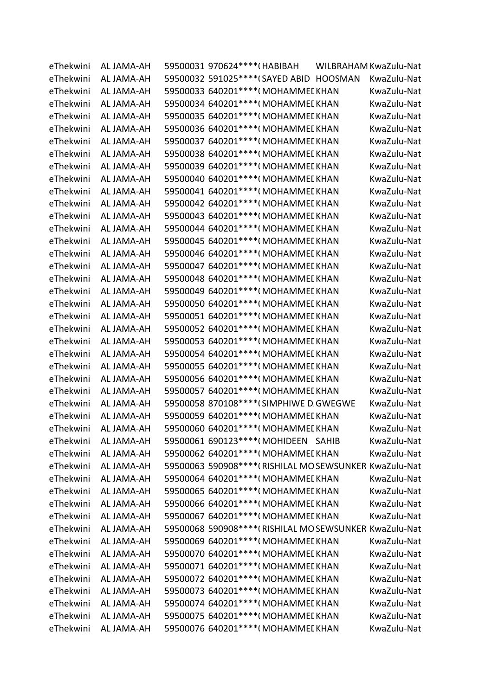| eThekwini | AL JAMA-AH | 59500031 970624 **** (HABIBAH                          | WILBRAHAM KwaZulu-Nat |             |
|-----------|------------|--------------------------------------------------------|-----------------------|-------------|
| eThekwini | AL JAMA-AH | 59500032 591025 **** (SAYED ABID HOOSMAN               |                       | KwaZulu-Nat |
| eThekwini | AL JAMA-AH | 59500033 640201 **** (MOHAMMEL KHAN                    |                       | KwaZulu-Nat |
| eThekwini | AL JAMA-AH | 59500034 640201 **** (MOHAMMEL KHAN                    |                       | KwaZulu-Nat |
| eThekwini | AL JAMA-AH | 59500035 640201 **** (MOHAMMEI KHAN                    |                       | KwaZulu-Nat |
| eThekwini | AL JAMA-AH | 59500036 640201 **** (MOHAMMEL KHAN                    |                       | KwaZulu-Nat |
| eThekwini | AL JAMA-AH | 59500037 640201 **** (MOHAMMEL KHAN                    |                       | KwaZulu-Nat |
| eThekwini | AL JAMA-AH | 59500038 640201 **** (MOHAMMEL KHAN                    |                       | KwaZulu-Nat |
| eThekwini | AL JAMA-AH | 59500039 640201 **** (MOHAMMEL KHAN                    |                       | KwaZulu-Nat |
| eThekwini | AL JAMA-AH | 59500040 640201 **** (MOHAMMEI KHAN                    |                       | KwaZulu-Nat |
| eThekwini | AL JAMA-AH | 59500041 640201 **** (MOHAMMEI KHAN                    |                       | KwaZulu-Nat |
| eThekwini | AL JAMA-AH | 59500042 640201 **** (MOHAMMEL KHAN                    |                       | KwaZulu-Nat |
| eThekwini | AL JAMA-AH | 59500043 640201 **** (MOHAMMEI KHAN                    |                       | KwaZulu-Nat |
| eThekwini | AL JAMA-AH | 59500044 640201 **** (MOHAMMEI KHAN                    |                       | KwaZulu-Nat |
| eThekwini | AL JAMA-AH | 59500045 640201 **** (MOHAMMEI KHAN                    |                       | KwaZulu-Nat |
| eThekwini | AL JAMA-AH | 59500046 640201 **** (MOHAMMEI KHAN                    |                       | KwaZulu-Nat |
| eThekwini | AL JAMA-AH | 59500047 640201 **** (MOHAMMEI KHAN                    |                       | KwaZulu-Nat |
| eThekwini | AL JAMA-AH | 59500048 640201 **** (MOHAMMEI KHAN                    |                       | KwaZulu-Nat |
| eThekwini | AL JAMA-AH | 59500049 640201 **** (MOHAMMEI KHAN                    |                       | KwaZulu-Nat |
| eThekwini | AL JAMA-AH | 59500050 640201 **** (MOHAMMEI KHAN                    |                       | KwaZulu-Nat |
| eThekwini | AL JAMA-AH | 59500051 640201 **** (MOHAMMEI KHAN                    |                       | KwaZulu-Nat |
| eThekwini | AL JAMA-AH | 59500052 640201 **** (MOHAMMEI KHAN                    |                       | KwaZulu-Nat |
| eThekwini | AL JAMA-AH | 59500053 640201 **** (MOHAMMEI KHAN                    |                       | KwaZulu-Nat |
| eThekwini | AL JAMA-AH | 59500054 640201 **** (MOHAMMEI KHAN                    |                       | KwaZulu-Nat |
| eThekwini | AL JAMA-AH | 59500055 640201 **** (MOHAMMEI KHAN                    |                       | KwaZulu-Nat |
| eThekwini | AL JAMA-AH | 59500056 640201 **** (MOHAMMEI KHAN                    |                       | KwaZulu-Nat |
| eThekwini | AL JAMA-AH | 59500057 640201 **** (MOHAMMEL KHAN                    |                       | KwaZulu-Nat |
| eThekwini | AL JAMA-AH | 59500058 870108 **** (SIMPHIWE D. GWEGWE               |                       | KwaZulu-Nat |
| eThekwini | AL JAMA-AH | 59500059 640201 **** (MOHAMMEL KHAN                    |                       | KwaZulu-Nat |
| eThekwini | AL JAMA-AH | 59500060 640201 **** (MOHAMMEI KHAN                    |                       | KwaZulu-Nat |
| eThekwini | AL JAMA-AH | 59500061 690123 **** (MOHIDEEN SAHIB                   |                       | KwaZulu-Nat |
| eThekwini | AL JAMA-AH | 59500062 640201 **** (MOHAMMEI KHAN                    |                       | KwaZulu-Nat |
| eThekwini | AL JAMA-AH | 59500063 590908 **** (RISHILAL MOSEWSUNKER KwaZulu-Nat |                       |             |
| eThekwini | AL JAMA-AH | 59500064 640201 **** (MOHAMMEI KHAN                    |                       | KwaZulu-Nat |
| eThekwini | AL JAMA-AH | 59500065 640201 **** (MOHAMMEI KHAN                    |                       | KwaZulu-Nat |
| eThekwini | AL JAMA-AH | 59500066 640201 **** (MOHAMMEI KHAN                    |                       | KwaZulu-Nat |
| eThekwini | AL JAMA-AH | 59500067 640201 **** (MOHAMMEI KHAN                    |                       | KwaZulu-Nat |
| eThekwini | AL JAMA-AH | 59500068 590908 **** (RISHILAL MOSEWSUNKER KwaZulu-Nat |                       |             |
| eThekwini | AL JAMA-AH | 59500069 640201 **** (MOHAMMEI KHAN                    |                       | KwaZulu-Nat |
| eThekwini | AL JAMA-AH | 59500070 640201 **** (MOHAMMEI KHAN                    |                       | KwaZulu-Nat |
| eThekwini | AL JAMA-AH | 59500071 640201 **** (MOHAMMEI KHAN                    |                       | KwaZulu-Nat |
| eThekwini | AL JAMA-AH | 59500072 640201 **** (MOHAMMEI KHAN                    |                       | KwaZulu-Nat |
| eThekwini | AL JAMA-AH | 59500073 640201 **** (MOHAMMEI KHAN                    |                       | KwaZulu-Nat |
| eThekwini | AL JAMA-AH | 59500074 640201****(MOHAMMEI KHAN                      |                       | KwaZulu-Nat |
| eThekwini | AL JAMA-AH | 59500075 640201 **** (MOHAMMEI KHAN                    |                       | KwaZulu-Nat |
| eThekwini | AL JAMA-AH | 59500076 640201 **** (MOHAMMEI KHAN                    |                       | KwaZulu-Nat |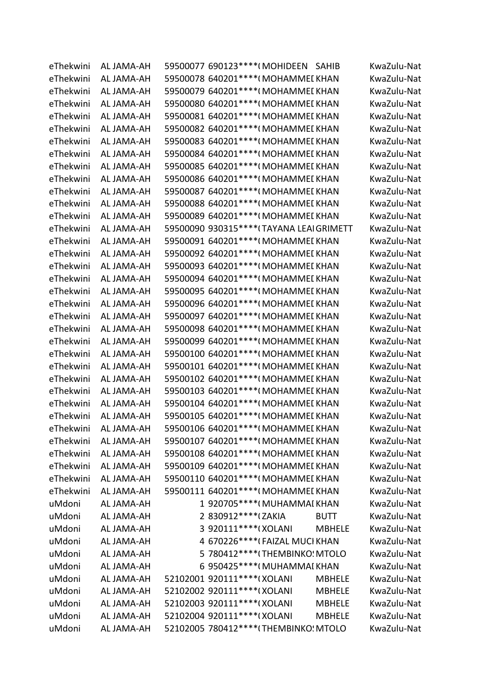| eThekwini | AL JAMA-AH | 59500077 690123****(MOHIDEEN SAHIB            | KwaZulu-Nat |
|-----------|------------|-----------------------------------------------|-------------|
| eThekwini | AL JAMA-AH | 59500078 640201 **** (MOHAMMEI KHAN           | KwaZulu-Nat |
| eThekwini | AL JAMA-AH | 59500079 640201 **** (MOHAMMEI KHAN           | KwaZulu-Nat |
| eThekwini | AL JAMA-AH | 59500080 640201 **** (MOHAMMEI KHAN           | KwaZulu-Nat |
| eThekwini | AL JAMA-AH | 59500081 640201 **** (MOHAMMEI KHAN           | KwaZulu-Nat |
| eThekwini | AL JAMA-AH | 59500082 640201 **** (MOHAMMEI KHAN           | KwaZulu-Nat |
| eThekwini | AL JAMA-AH | 59500083 640201 **** (MOHAMMEI KHAN           | KwaZulu-Nat |
| eThekwini | AL JAMA-AH | 59500084 640201 **** (MOHAMMEI KHAN           | KwaZulu-Nat |
| eThekwini | AL JAMA-AH | 59500085 640201 **** (MOHAMMEI KHAN           | KwaZulu-Nat |
| eThekwini | AL JAMA-AH | 59500086 640201 **** (MOHAMMEI KHAN           | KwaZulu-Nat |
| eThekwini | AL JAMA-AH | 59500087 640201 **** (MOHAMMEI KHAN           | KwaZulu-Nat |
| eThekwini | AL JAMA-AH | 59500088 640201 **** (MOHAMMEI KHAN           | KwaZulu-Nat |
| eThekwini | AL JAMA-AH | 59500089 640201 **** (MOHAMMEI KHAN           | KwaZulu-Nat |
| eThekwini | AL JAMA-AH | 59500090 930315 **** (TAYANA LEAI GRIMETT     | KwaZulu-Nat |
| eThekwini | AL JAMA-AH | 59500091 640201 **** (MOHAMMEI KHAN           | KwaZulu-Nat |
| eThekwini | AL JAMA-AH | 59500092 640201 **** (MOHAMMEI KHAN           | KwaZulu-Nat |
| eThekwini | AL JAMA-AH | 59500093 640201 **** (MOHAMMEI KHAN           | KwaZulu-Nat |
| eThekwini | AL JAMA-AH | 59500094 640201 **** (MOHAMMEL KHAN           | KwaZulu-Nat |
| eThekwini | AL JAMA-AH | 59500095 640201 **** (MOHAMMEI KHAN           | KwaZulu-Nat |
| eThekwini | AL JAMA-AH | 59500096 640201 **** (MOHAMMEI KHAN           | KwaZulu-Nat |
| eThekwini | AL JAMA-AH | 59500097 640201 **** (MOHAMMEI KHAN           | KwaZulu-Nat |
| eThekwini | AL JAMA-AH | 59500098 640201 **** (MOHAMMEI KHAN           | KwaZulu-Nat |
| eThekwini | AL JAMA-AH | 59500099 640201 **** (MOHAMMEI KHAN           | KwaZulu-Nat |
| eThekwini | AL JAMA-AH | 59500100 640201 **** (MOHAMMEI KHAN           | KwaZulu-Nat |
| eThekwini | AL JAMA-AH | 59500101 640201 **** (MOHAMMEI KHAN           | KwaZulu-Nat |
| eThekwini | AL JAMA-AH | 59500102 640201****(MOHAMMEI KHAN             | KwaZulu-Nat |
| eThekwini | AL JAMA-AH | 59500103 640201 **** (MOHAMMEI KHAN           | KwaZulu-Nat |
| eThekwini | AL JAMA-AH | 59500104 640201 **** (MOHAMMEI KHAN           | KwaZulu-Nat |
| eThekwini | AL JAMA-AH | 59500105 640201 **** (MOHAMMEI KHAN           | KwaZulu-Nat |
| eThekwini | AL JAMA-AH | 59500106 640201 **** (MOHAMMEI KHAN           | KwaZulu-Nat |
| eThekwini | AL JAMA-AH | 59500107 640201 **** (MOHAMMEI KHAN           | KwaZulu-Nat |
| eThekwini | AL JAMA-AH | 59500108 640201 **** (MOHAMMEI KHAN           | KwaZulu-Nat |
| eThekwini | AL JAMA-AH | 59500109 640201 **** (MOHAMMEI KHAN           | KwaZulu-Nat |
| eThekwini | AL JAMA-AH | 59500110 640201 **** (MOHAMMEI KHAN           | KwaZulu-Nat |
| eThekwini | AL JAMA-AH | 59500111 640201 **** (MOHAMMEI KHAN           | KwaZulu-Nat |
| uMdoni    | AL JAMA-AH | 1 920705****(MUHAMMAI KHAN                    | KwaZulu-Nat |
| uMdoni    | AL JAMA-AH | 2 830912 **** (ZAKIA<br><b>BUTT</b>           | KwaZulu-Nat |
| uMdoni    | AL JAMA-AH | 3 920111****(XOLANI<br><b>MBHELE</b>          | KwaZulu-Nat |
| uMdoni    | AL JAMA-AH | 4 670226 **** (FAIZAL MUCI KHAN               | KwaZulu-Nat |
| uMdoni    | AL JAMA-AH | 5 780412 **** (THEMBINKO: MTOLO               | KwaZulu-Nat |
| uMdoni    | AL JAMA-AH | 6 950425 **** (MUHAMMAI KHAN                  | KwaZulu-Nat |
| uMdoni    | AL JAMA-AH | 52102001 920111 **** (XOLANI<br><b>MBHELE</b> | KwaZulu-Nat |
| uMdoni    | AL JAMA-AH | 52102002 920111****(XOLANI<br><b>MBHELE</b>   | KwaZulu-Nat |
| uMdoni    | AL JAMA-AH | 52102003 920111 **** (XOLANI<br><b>MBHELE</b> | KwaZulu-Nat |
| uMdoni    | AL JAMA-AH | 52102004 920111 **** (XOLANI<br><b>MBHELE</b> | KwaZulu-Nat |
| uMdoni    | AL JAMA-AH | 52102005 780412 **** (THEMBINKO: MTOLO        | KwaZulu-Nat |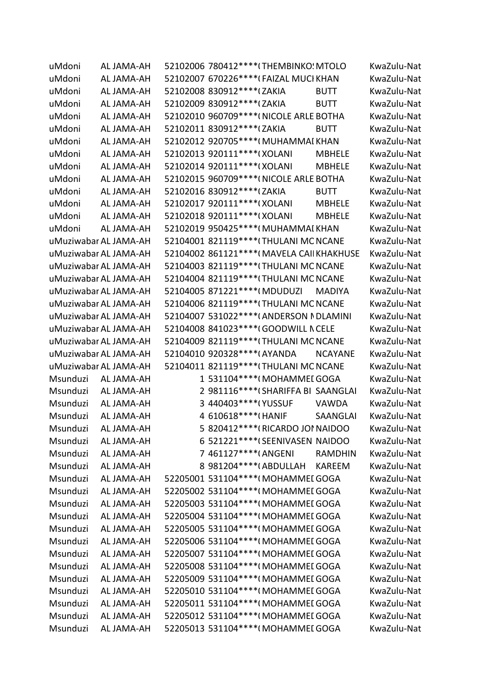| uMdoni   | AL JAMA-AH            | 52102006 780412 **** (THEMBINKO! MTOLO         | KwaZulu-Nat |
|----------|-----------------------|------------------------------------------------|-------------|
| uMdoni   | AL JAMA-AH            | 52102007 670226 **** (FAIZAL MUCI KHAN         | KwaZulu-Nat |
| uMdoni   | AL JAMA-AH            | 52102008 830912 **** (ZAKIA<br><b>BUTT</b>     | KwaZulu-Nat |
| uMdoni   | AL JAMA-AH            | 52102009 830912 **** (ZAKIA<br><b>BUTT</b>     | KwaZulu-Nat |
| uMdoni   | AL JAMA-AH            | 52102010 960709 **** (NICOLE ARLE BOTHA        | KwaZulu-Nat |
| uMdoni   | AL JAMA-AH            | 52102011 830912 **** (ZAKIA<br><b>BUTT</b>     | KwaZulu-Nat |
| uMdoni   | AL JAMA-AH            | 52102012 920705 **** (MUHAMMAI KHAN            | KwaZulu-Nat |
| uMdoni   | AL JAMA-AH            | 52102013 920111 **** (XOLANI<br><b>MBHELE</b>  | KwaZulu-Nat |
| uMdoni   | AL JAMA-AH            | 52102014 920111 **** (XOLANI<br><b>MBHELE</b>  | KwaZulu-Nat |
| uMdoni   | AL JAMA-AH            | 52102015 960709 **** (NICOLE ARLE BOTHA        | KwaZulu-Nat |
| uMdoni   | AL JAMA-AH            | 52102016 830912 **** (ZAKIA<br><b>BUTT</b>     | KwaZulu-Nat |
| uMdoni   | AL JAMA-AH            | 52102017 920111 **** (XOLANI<br><b>MBHELE</b>  | KwaZulu-Nat |
| uMdoni   | AL JAMA-AH            | 52102018 920111 **** (XOLANI<br><b>MBHELE</b>  | KwaZulu-Nat |
| uMdoni   | AL JAMA-AH            | 52102019 950425 **** (MUHAMMAI KHAN            | KwaZulu-Nat |
|          | uMuziwabar AL JAMA-AH | 52104001 821119 **** (THULANI MC NCANE         | KwaZulu-Nat |
|          | uMuziwabar AL JAMA-AH | 52104002 861121 **** (MAVELA CAII KHAKHUSE     | KwaZulu-Nat |
|          | uMuziwabar AL JAMA-AH | 52104003 821119 **** (THULANI MC NCANE         | KwaZulu-Nat |
|          | uMuziwabar AL JAMA-AH | 52104004 821119 **** (THULANI MC NCANE         | KwaZulu-Nat |
|          | uMuziwabar AL JAMA-AH | 52104005 871221 **** (MDUDUZI<br><b>MADIYA</b> | KwaZulu-Nat |
|          | uMuziwabar AL JAMA-AH | 52104006 821119 **** (THULANI MC NCANE         | KwaZulu-Nat |
|          | uMuziwabar AL JAMA-AH | 52104007 531022 **** (ANDERSON NDLAMINI        | KwaZulu-Nat |
|          | uMuziwabar AL JAMA-AH | 52104008 841023 **** (GOODWILL N CELE          | KwaZulu-Nat |
|          | uMuziwabar AL JAMA-AH | 52104009 821119 **** (THULANI MC NCANE         | KwaZulu-Nat |
|          | uMuziwabar AL JAMA-AH | 52104010 920328 **** (AYANDA<br><b>NCAYANE</b> | KwaZulu-Nat |
|          | uMuziwabar AL JAMA-AH | 52104011 821119 **** (THULANI MC NCANE         | KwaZulu-Nat |
| Msunduzi | AL JAMA-AH            | 1 531104****(MOHAMMEI GOGA                     | KwaZulu-Nat |
| Msunduzi | AL JAMA-AH            | 2 981116****(SHARIFFA BI SAANGLAI              | KwaZulu-Nat |
| Msunduzi | AL JAMA-AH            | 3 440403 **** (YUSSUF<br><b>VAWDA</b>          | KwaZulu-Nat |
| Msunduzi | AL JAMA-AH            | 4 610618 **** (HANIF<br><b>SAANGLAI</b>        | KwaZulu-Nat |
| Msunduzi | AL JAMA-AH            | 5 820412****(RICARDO JOI NAIDOO                | KwaZulu-Nat |
| Msunduzi | AL JAMA-AH            | 6 521221 **** (SEENIVASEN NAIDOO               | KwaZulu-Nat |
| Msunduzi | AL JAMA-AH            | 7 461127****(ANGENI<br><b>RAMDHIN</b>          | KwaZulu-Nat |
| Msunduzi | AL JAMA-AH            | 8 981204 **** (ABDULLAH<br><b>KAREEM</b>       | KwaZulu-Nat |
| Msunduzi | AL JAMA-AH            | 52205001 531104 **** (MOHAMMEI GOGA            | KwaZulu-Nat |
| Msunduzi | AL JAMA-AH            | 52205002 531104***** (MOHAMMEI GOGA            | KwaZulu-Nat |
| Msunduzi | AL JAMA-AH            | 52205003 531104****(MOHAMMEI GOGA              | KwaZulu-Nat |
| Msunduzi | AL JAMA-AH            | 52205004 531104****(MOHAMMEI GOGA              | KwaZulu-Nat |
| Msunduzi | AL JAMA-AH            | 52205005 531104****(MOHAMMEI GOGA              | KwaZulu-Nat |
| Msunduzi | AL JAMA-AH            | 52205006 531104**** (MOHAMMEI GOGA             | KwaZulu-Nat |
| Msunduzi | AL JAMA-AH            | 52205007 531104****(MOHAMMEI GOGA              | KwaZulu-Nat |
| Msunduzi | AL JAMA-AH            | 52205008 531104****(MOHAMMEI GOGA              | KwaZulu-Nat |
| Msunduzi | AL JAMA-AH            | 52205009 531104****(MOHAMMEI GOGA              | KwaZulu-Nat |
| Msunduzi | AL JAMA-AH            | 52205010 531104 **** (MOHAMMEI GOGA            | KwaZulu-Nat |
| Msunduzi | AL JAMA-AH            | 52205011 531104****(MOHAMMEI GOGA              | KwaZulu-Nat |
| Msunduzi | AL JAMA-AH            | 52205012 531104****(MOHAMMEI GOGA              | KwaZulu-Nat |
| Msunduzi | AL JAMA-AH            | 52205013 531104 **** (MOHAMMEI GOGA            | KwaZulu-Nat |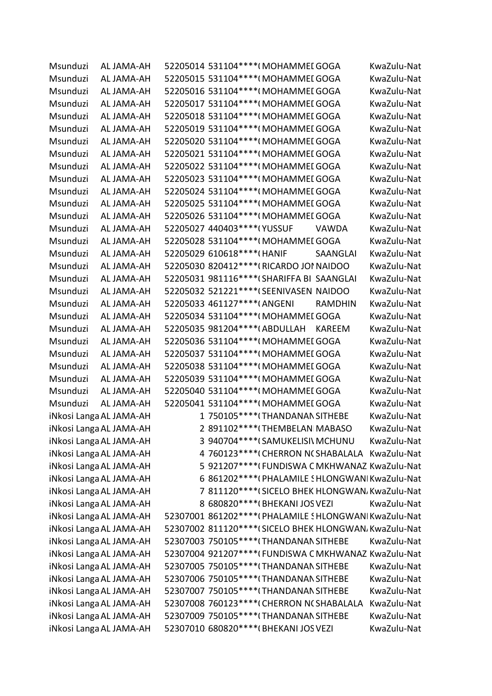| Msunduzi | AL JAMA-AH              |                                | 52205014 531104****(MOHAMMEI GOGA                       |                 | KwaZulu-Nat |
|----------|-------------------------|--------------------------------|---------------------------------------------------------|-----------------|-------------|
| Msunduzi | AL JAMA-AH              |                                | 52205015 531104****(MOHAMMEI GOGA                       |                 | KwaZulu-Nat |
| Msunduzi | AL JAMA-AH              |                                | 52205016 531104***** (MOHAMMEI GOGA                     |                 | KwaZulu-Nat |
| Msunduzi | AL JAMA-AH              |                                | 52205017 531104 **** (MOHAMMEI GOGA                     |                 | KwaZulu-Nat |
| Msunduzi | AL JAMA-AH              |                                | 52205018 531104**** (MOHAMMEI GOGA                      |                 | KwaZulu-Nat |
| Msunduzi | AL JAMA-AH              |                                | 52205019 531104**** (MOHAMMEI GOGA                      |                 | KwaZulu-Nat |
| Msunduzi | AL JAMA-AH              |                                | 52205020 531104***** (MOHAMMEI GOGA                     |                 | KwaZulu-Nat |
| Msunduzi | AL JAMA-AH              |                                | 52205021 531104***** (MOHAMMEI GOGA                     |                 | KwaZulu-Nat |
| Msunduzi | AL JAMA-AH              |                                | 52205022 531104**** (MOHAMMEI GOGA                      |                 | KwaZulu-Nat |
| Msunduzi | AL JAMA-AH              |                                | 52205023 531104**** (MOHAMMEI GOGA                      |                 | KwaZulu-Nat |
| Msunduzi | AL JAMA-AH              |                                | 52205024 531104****(MOHAMMEI GOGA                       |                 | KwaZulu-Nat |
| Msunduzi | AL JAMA-AH              |                                | 52205025 531104***** (MOHAMMEI GOGA                     |                 | KwaZulu-Nat |
| Msunduzi | AL JAMA-AH              |                                | 52205026 531104**** (MOHAMMEI GOGA                      |                 | KwaZulu-Nat |
| Msunduzi | AL JAMA-AH              | 52205027 440403 **** (YUSSUF   |                                                         | <b>VAWDA</b>    | KwaZulu-Nat |
| Msunduzi | AL JAMA-AH              |                                | 52205028 531104**** (MOHAMMEI GOGA                      |                 | KwaZulu-Nat |
| Msunduzi | AL JAMA-AH              | 52205029 610618 **** (HANIF    |                                                         | <b>SAANGLAI</b> | KwaZulu-Nat |
| Msunduzi | AL JAMA-AH              |                                | 52205030 820412 **** (RICARDO JOI NAIDOO                |                 | KwaZulu-Nat |
| Msunduzi | AL JAMA-AH              |                                | 52205031 981116 **** (SHARIFFA BI SAANGLAI              |                 | KwaZulu-Nat |
| Msunduzi | AL JAMA-AH              |                                | 52205032 521221 **** (SEENIVASEN NAIDOO                 |                 | KwaZulu-Nat |
| Msunduzi | AL JAMA-AH              | 52205033 461127 **** (ANGENI   |                                                         | <b>RAMDHIN</b>  | KwaZulu-Nat |
| Msunduzi | AL JAMA-AH              |                                | 52205034 531104**** (MOHAMMEI GOGA                      |                 | KwaZulu-Nat |
| Msunduzi | AL JAMA-AH              | 52205035 981204 **** (ABDULLAH |                                                         | <b>KAREEM</b>   | KwaZulu-Nat |
| Msunduzi | AL JAMA-AH              |                                | 52205036 531104**** (MOHAMMEI GOGA                      |                 | KwaZulu-Nat |
| Msunduzi | AL JAMA-AH              |                                | 52205037 531104***** (MOHAMMEI GOGA                     |                 | KwaZulu-Nat |
| Msunduzi | AL JAMA-AH              |                                | 52205038 531104**** (MOHAMMEI GOGA                      |                 | KwaZulu-Nat |
| Msunduzi | AL JAMA-AH              |                                | 52205039 531104***** (MOHAMMEI GOGA                     |                 | KwaZulu-Nat |
| Msunduzi | AL JAMA-AH              |                                | 52205040 531104 **** (MOHAMMEI GOGA                     |                 | KwaZulu-Nat |
| Msunduzi | AL JAMA-AH              |                                | 52205041 531104 **** (MOHAMMEI GOGA                     |                 | KwaZulu-Nat |
|          | iNkosi Langa AL JAMA-AH |                                | 1 750105****(THANDANAN SITHEBE                          |                 | KwaZulu-Nat |
|          | iNkosi Langa AL JAMA-AH |                                | 2 891102 **** (THEMBELAN MABASO                         |                 | KwaZulu-Nat |
|          | iNkosi Langa AL JAMA-AH |                                | 3 940704 **** (SAMUKELISI\ MCHUNU                       |                 | KwaZulu-Nat |
|          | iNkosi Langa AL JAMA-AH |                                | 4 760123 **** (CHERRON N(SHABALALA KwaZulu-Nat          |                 |             |
|          | iNkosi Langa AL JAMA-AH |                                | 5 921207**** (FUNDISWA C MKHWANAZ KwaZulu-Nat           |                 |             |
|          | iNkosi Langa AL JAMA-AH |                                | 6 861202 **** (PHALAMILE SHLONGWAN KwaZulu-Nat          |                 |             |
|          | iNkosi Langa AL JAMA-AH |                                | 7 811120**** (SICELO BHEK HLONGWAN, KwaZulu-Nat         |                 |             |
|          | iNkosi Langa AL JAMA-AH |                                | 8 680820 **** (BHEKANI JOS VEZI                         |                 | KwaZulu-Nat |
|          | iNkosi Langa AL JAMA-AH |                                | 52307001 861202 **** (PHALAMILE SHLONGWAN KwaZulu-Nat   |                 |             |
|          | iNkosi Langa AL JAMA-AH |                                | 52307002 811120 **** (SICELO BHEK HLONGWAN, KwaZulu-Nat |                 |             |
|          | iNkosi Langa AL JAMA-AH |                                | 52307003 750105 **** (THANDANAN SITHEBE                 |                 | KwaZulu-Nat |
|          | iNkosi Langa AL JAMA-AH |                                | 52307004 921207****(FUNDISWA C MKHWANAZ KwaZulu-Nat     |                 |             |
|          | iNkosi Langa AL JAMA-AH |                                | 52307005 750105 **** (THANDANAN SITHEBE                 |                 | KwaZulu-Nat |
|          | iNkosi Langa AL JAMA-AH |                                | 52307006 750105 **** (THANDANAN SITHEBE                 |                 | KwaZulu-Nat |
|          | iNkosi Langa AL JAMA-AH |                                | 52307007 750105 **** (THANDANAN SITHEBE                 |                 | KwaZulu-Nat |
|          | iNkosi Langa AL JAMA-AH |                                | 52307008 760123 **** (CHERRON N(SHABALALA               |                 | KwaZulu-Nat |
|          | iNkosi Langa AL JAMA-AH |                                | 52307009 750105 **** (THANDANAN SITHEBE                 |                 | KwaZulu-Nat |
|          |                         |                                |                                                         |                 |             |
|          | iNkosi Langa AL JAMA-AH |                                | 52307010 680820 **** (BHEKANI JOS VEZI                  |                 | KwaZulu-Nat |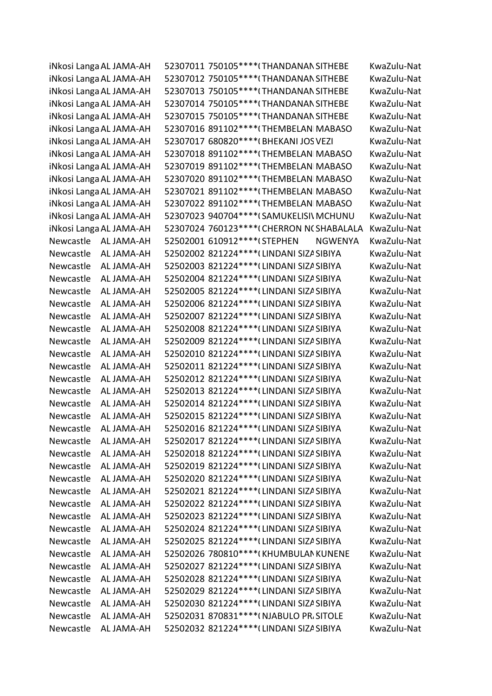|           | iNkosi Langa AL JAMA-AH | 52307011 750105 **** (THANDANAN SITHEBE   |                | KwaZulu-Nat |
|-----------|-------------------------|-------------------------------------------|----------------|-------------|
|           | iNkosi Langa AL JAMA-AH | 52307012 750105**** (THANDANAN SITHEBE    |                | KwaZulu-Nat |
|           | iNkosi Langa AL JAMA-AH | 52307013 750105 **** (THANDANAN SITHEBE   |                | KwaZulu-Nat |
|           | iNkosi Langa AL JAMA-AH | 52307014 750105 **** (THANDANAN SITHEBE   |                | KwaZulu-Nat |
|           | iNkosi Langa AL JAMA-AH | 52307015 750105 **** (THANDANAN SITHEBE   |                | KwaZulu-Nat |
|           | iNkosi Langa AL JAMA-AH | 52307016 891102 **** (THEMBELAN MABASO    |                | KwaZulu-Nat |
|           | iNkosi Langa AL JAMA-AH | 52307017 680820 **** (BHEKANI JOS VEZI    |                | KwaZulu-Nat |
|           | iNkosi Langa AL JAMA-AH | 52307018 891102 **** (THEMBELAN MABASO    |                | KwaZulu-Nat |
|           | iNkosi Langa AL JAMA-AH | 52307019 891102 **** (THEMBELAN MABASO    |                | KwaZulu-Nat |
|           | iNkosi Langa AL JAMA-AH | 52307020 891102 **** (THEMBELAN MABASO    |                | KwaZulu-Nat |
|           | iNkosi Langa AL JAMA-AH | 52307021 891102 **** (THEMBELAN MABASO    |                | KwaZulu-Nat |
|           | iNkosi Langa AL JAMA-AH | 52307022 891102 **** (THEMBELAN MABASO    |                | KwaZulu-Nat |
|           | iNkosi Langa AL JAMA-AH | 52307023 940704 **** (SAMUKELISI\ MCHUNU  |                | KwaZulu-Nat |
|           | iNkosi Langa AL JAMA-AH | 52307024 760123 **** (CHERRON N(SHABALALA |                | KwaZulu-Nat |
| Newcastle | AL JAMA-AH              | 52502001 610912 **** (STEPHEN             | <b>NGWENYA</b> | KwaZulu-Nat |
| Newcastle | AL JAMA-AH              | 52502002 821224 **** (LINDANI SIZA SIBIYA |                | KwaZulu-Nat |
| Newcastle | AL JAMA-AH              | 52502003 821224 **** (LINDANI SIZA SIBIYA |                | KwaZulu-Nat |
| Newcastle | AL JAMA-AH              | 52502004 821224 **** (LINDANI SIZA SIBIYA |                | KwaZulu-Nat |
| Newcastle | AL JAMA-AH              | 52502005 821224 **** (LINDANI SIZA SIBIYA |                | KwaZulu-Nat |
| Newcastle | AL JAMA-AH              | 52502006 821224 **** (LINDANI SIZA SIBIYA |                | KwaZulu-Nat |
| Newcastle | AL JAMA-AH              | 52502007 821224 **** (LINDANI SIZA SIBIYA |                | KwaZulu-Nat |
| Newcastle | AL JAMA-AH              | 52502008 821224 **** (LINDANI SIZA SIBIYA |                | KwaZulu-Nat |
| Newcastle | AL JAMA-AH              | 52502009 821224 **** (LINDANI SIZA SIBIYA |                | KwaZulu-Nat |
| Newcastle | AL JAMA-AH              | 52502010 821224 **** (LINDANI SIZA SIBIYA |                | KwaZulu-Nat |
| Newcastle | AL JAMA-AH              | 52502011 821224 **** (LINDANI SIZA SIBIYA |                | KwaZulu-Nat |
| Newcastle | AL JAMA-AH              | 52502012 821224 **** (LINDANI SIZA SIBIYA |                | KwaZulu-Nat |
| Newcastle | AL JAMA-AH              | 52502013 821224 **** (LINDANI SIZA SIBIYA |                | KwaZulu-Nat |
| Newcastle | AL JAMA-AH              | 52502014 821224 **** (LINDANI SIZA SIBIYA |                | KwaZulu-Nat |
| Newcastle | AL JAMA-AH              | 52502015 821224 **** (LINDANI SIZA SIBIYA |                | KwaZulu-Nat |
| Newcastle | AL JAMA-AH              | 52502016 821224 **** (LINDANI SIZA SIBIYA |                | KwaZulu-Nat |
| Newcastle | AL JAMA-AH              | 52502017 821224 **** (LINDANI SIZA SIBIYA |                | KwaZulu-Nat |
| Newcastle | AL JAMA-AH              | 52502018 821224 **** (LINDANI SIZA SIBIYA |                | KwaZulu-Nat |
| Newcastle | AL JAMA-AH              | 52502019 821224 **** (LINDANI SIZA SIBIYA |                | KwaZulu-Nat |
| Newcastle | AL JAMA-AH              | 52502020 821224 **** (LINDANI SIZA SIBIYA |                | KwaZulu-Nat |
| Newcastle | AL JAMA-AH              | 52502021 821224 **** (LINDANI SIZA SIBIYA |                | KwaZulu-Nat |
| Newcastle | AL JAMA-AH              | 52502022 821224 **** (LINDANI SIZA SIBIYA |                | KwaZulu-Nat |
| Newcastle | AL JAMA-AH              | 52502023 821224 **** (LINDANI SIZA SIBIYA |                | KwaZulu-Nat |
| Newcastle | AL JAMA-AH              | 52502024 821224 **** (LINDANI SIZA SIBIYA |                | KwaZulu-Nat |
| Newcastle | AL JAMA-AH              | 52502025 821224 **** (LINDANI SIZA SIBIYA |                | KwaZulu-Nat |
| Newcastle | AL JAMA-AH              | 52502026 780810 **** (KHUMBULAN KUNENE    |                | KwaZulu-Nat |
| Newcastle | AL JAMA-AH              | 52502027 821224 **** (LINDANI SIZA SIBIYA |                | KwaZulu-Nat |
| Newcastle | AL JAMA-AH              | 52502028 821224 **** (LINDANI SIZA SIBIYA |                | KwaZulu-Nat |
| Newcastle | AL JAMA-AH              | 52502029 821224 **** (LINDANI SIZA SIBIYA |                | KwaZulu-Nat |
| Newcastle | AL JAMA-AH              | 52502030 821224 **** (LINDANI SIZA SIBIYA |                | KwaZulu-Nat |
| Newcastle | AL JAMA-AH              | 52502031 870831 **** (NJABULO PR, SITOLE  |                | KwaZulu-Nat |
| Newcastle | AL JAMA-AH              | 52502032 821224 **** (LINDANI SIZA SIBIYA |                | KwaZulu-Nat |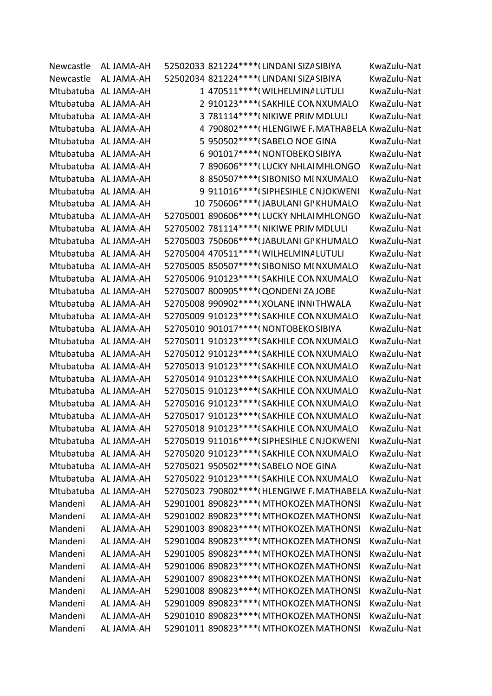| Newcastle | AL JAMA-AH           | 52502033 821224 **** (LINDANI SIZA SIBIYA              | KwaZulu-Nat |
|-----------|----------------------|--------------------------------------------------------|-------------|
| Newcastle | AL JAMA-AH           | 52502034 821224 **** (LINDANI SIZA SIBIYA              | KwaZulu-Nat |
|           | Mtubatuba AL JAMA-AH | 1 470511 **** (WILHELMINA LUTULI                       | KwaZulu-Nat |
|           | Mtubatuba AL JAMA-AH | 2 910123 **** (SAKHILE CON NXUMALO                     | KwaZulu-Nat |
|           | Mtubatuba AL JAMA-AH | 3 781114**** (NIKIWE PRIN MDLULI                       | KwaZulu-Nat |
|           | Mtubatuba AL JAMA-AH | 4 790802 **** (HLENGIWE F. MATHABELA KwaZulu-Nat       |             |
|           | Mtubatuba AL JAMA-AH | 5 950502 **** (SABELO NOE GINA                         | KwaZulu-Nat |
|           | Mtubatuba AL JAMA-AH | 6 901017 **** (NONTOBEKO SIBIYA                        | KwaZulu-Nat |
|           | Mtubatuba AL JAMA-AH | 7 890606*****(LUCKY NHLAI MHLONGO                      | KwaZulu-Nat |
|           | Mtubatuba AL JAMA-AH | 8 850507*****(SIBONISO MINXUMALO                       | KwaZulu-Nat |
|           | Mtubatuba AL JAMA-AH | 9 911016 **** (SIPHESIHLE C NJOKWENI                   | KwaZulu-Nat |
|           | Mtubatuba AL JAMA-AH | 10 750606 **** (JABULANI GI' KHUMALO                   | KwaZulu-Nat |
|           | Mtubatuba AL JAMA-AH | 52705001 890606 **** (LUCKY NHLA MHLONGO               | KwaZulu-Nat |
|           | Mtubatuba AL JAMA-AH | 52705002 781114 **** (NIKIWE PRIN MDLULI               | KwaZulu-Nat |
|           | Mtubatuba AL JAMA-AH | 52705003 750606****(JABULANI GI' KHUMALO               | KwaZulu-Nat |
|           | Mtubatuba AL JAMA-AH | 52705004 470511 **** (WILHELMINALUTULI                 | KwaZulu-Nat |
|           | Mtubatuba AL JAMA-AH | 52705005 850507**** (SIBONISO MI NXUMALO               | KwaZulu-Nat |
|           | Mtubatuba AL JAMA-AH | 52705006 910123 **** (SAKHILE CON NXUMALO              | KwaZulu-Nat |
|           | Mtubatuba AL JAMA-AH | 52705007 800905 **** (QONDENI ZA JOBE                  | KwaZulu-Nat |
|           | Mtubatuba AL JAMA-AH | 52705008 990902 **** (XOLANE INN THWALA                | KwaZulu-Nat |
|           | Mtubatuba AL JAMA-AH | 52705009 910123 **** (SAKHILE CON NXUMALO              | KwaZulu-Nat |
|           | Mtubatuba AL JAMA-AH | 52705010 901017 **** ( NONTOBEKO SIBIYA                | KwaZulu-Nat |
|           | Mtubatuba AL JAMA-AH | 52705011 910123 **** (SAKHILE CON NXUMALO              | KwaZulu-Nat |
|           | Mtubatuba AL JAMA-AH | 52705012 910123 **** (SAKHILE CON NXUMALO              | KwaZulu-Nat |
|           | Mtubatuba AL JAMA-AH | 52705013 910123 **** (SAKHILE CON NXUMALO              | KwaZulu-Nat |
|           | Mtubatuba AL JAMA-AH | 52705014 910123 **** (SAKHILE CON NXUMALO              | KwaZulu-Nat |
|           | Mtubatuba AL JAMA-AH | 52705015 910123 **** (SAKHILE CON NXUMALO              | KwaZulu-Nat |
|           | Mtubatuba AL JAMA-AH | 52705016 910123 **** (SAKHILE CON NXUMALO              | KwaZulu-Nat |
|           | Mtubatuba AL JAMA-AH | 52705017 910123 **** (SAKHILE CON NXUMALO              | KwaZulu-Nat |
|           | Mtubatuba AL JAMA-AH | 52705018 910123****(SAKHILE CON NXUMALO                | KwaZulu-Nat |
|           | Mtubatuba AL JAMA-AH | 52705019 911016 **** (SIPHESIHLE C NJOKWENI            | KwaZulu-Nat |
|           | Mtubatuba AL JAMA-AH | 52705020 910123 **** (SAKHILE CON NXUMALO              | KwaZulu-Nat |
|           | Mtubatuba AL JAMA-AH | 52705021 950502 **** (SABELO NOE GINA                  | KwaZulu-Nat |
|           | Mtubatuba AL JAMA-AH | 52705022 910123 **** (SAKHILE CON NXUMALO              | KwaZulu-Nat |
|           | Mtubatuba AL JAMA-AH | 52705023 790802**** (HLENGIWE F. MATHABELA KwaZulu-Nat |             |
| Mandeni   | AL JAMA-AH           | 52901001 890823 **** (MTHOKOZEN MATHONSI               | KwaZulu-Nat |
| Mandeni   | AL JAMA-AH           | 52901002 890823 **** (MTHOKOZEN MATHONSI               | KwaZulu-Nat |
| Mandeni   | AL JAMA-AH           | 52901003 890823 **** (MTHOKOZEN MATHONSI               | KwaZulu-Nat |
| Mandeni   | AL JAMA-AH           | 52901004 890823 **** (MTHOKOZEN MATHONSI               | KwaZulu-Nat |
| Mandeni   | AL JAMA-AH           | 52901005 890823 **** (MTHOKOZEN MATHONSI               | KwaZulu-Nat |
| Mandeni   | AL JAMA-AH           | 52901006 890823 **** (MTHOKOZEN MATHONSI               | KwaZulu-Nat |
| Mandeni   | AL JAMA-AH           | 52901007 890823 **** (MTHOKOZEN MATHONSI               | KwaZulu-Nat |
| Mandeni   | AL JAMA-AH           | 52901008 890823 **** (MTHOKOZEN MATHONSI               | KwaZulu-Nat |
| Mandeni   | AL JAMA-AH           | 52901009 890823 **** (MTHOKOZEN MATHONSI               | KwaZulu-Nat |
| Mandeni   | AL JAMA-AH           | 52901010 890823 **** (MTHOKOZEN MATHONSI               | KwaZulu-Nat |
| Mandeni   | AL JAMA-AH           | 52901011 890823 **** (MTHOKOZEN MATHONSI               | KwaZulu-Nat |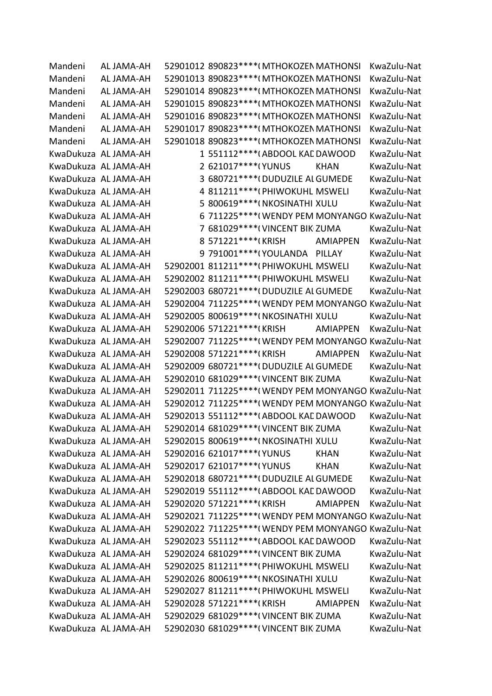| Mandeni | AL JAMA-AH           | 52901012 890823 **** (MTHOKOZEN MATHONSI             |                 | KwaZulu-Nat                                          |
|---------|----------------------|------------------------------------------------------|-----------------|------------------------------------------------------|
| Mandeni | AL JAMA-AH           | 52901013 890823 **** (MTHOKOZEN MATHONSI             |                 | KwaZulu-Nat                                          |
| Mandeni | AL JAMA-AH           | 52901014 890823 **** (MTHOKOZEN MATHONSI             |                 | KwaZulu-Nat                                          |
| Mandeni | AL JAMA-AH           | 52901015 890823 **** (MTHOKOZEN MATHONSI             |                 | KwaZulu-Nat                                          |
| Mandeni | AL JAMA-AH           | 52901016 890823 **** (MTHOKOZEN MATHONSI             |                 | KwaZulu-Nat                                          |
| Mandeni | AL JAMA-AH           | 52901017 890823 **** (MTHOKOZEN MATHONSI             |                 | KwaZulu-Nat                                          |
| Mandeni | AL JAMA-AH           | 52901018 890823 **** (MTHOKOZEN MATHONSI             |                 | KwaZulu-Nat                                          |
|         | KwaDukuza AL JAMA-AH | 1 551112 **** (ABDOOL KAL DAWOOD                     |                 | KwaZulu-Nat                                          |
|         | KwaDukuza AL JAMA-AH | 2 621017****(YUNUS                                   | <b>KHAN</b>     | KwaZulu-Nat                                          |
|         | KwaDukuza AL JAMA-AH | 3 680721 **** (DUDUZILE AL GUMEDE                    |                 | KwaZulu-Nat                                          |
|         | KwaDukuza AL JAMA-AH | 4 811211 **** (PHIWOKUHL MSWELI                      |                 | KwaZulu-Nat                                          |
|         | KwaDukuza AL JAMA-AH | 5 800619 **** (NKOSINATHI XULU                       |                 | KwaZulu-Nat                                          |
|         | KwaDukuza AL JAMA-AH | 6 711225 **** (WENDY PEM MONYANGO KwaZulu-Nat        |                 |                                                      |
|         | KwaDukuza AL JAMA-AH | 7 681029 **** (VINCENT BIK ZUMA                      |                 | KwaZulu-Nat                                          |
|         | KwaDukuza AL JAMA-AH | 8 571221 **** (KRISH                                 | <b>AMIAPPEN</b> | KwaZulu-Nat                                          |
|         | KwaDukuza AL JAMA-AH | 9 791001****(YOULANDA PILLAY                         |                 | KwaZulu-Nat                                          |
|         | KwaDukuza AL JAMA-AH | 52902001 811211 **** (PHIWOKUHL MSWELI               |                 | KwaZulu-Nat                                          |
|         | KwaDukuza AL JAMA-AH | 52902002 811211 **** (PHIWOKUHL MSWELI               |                 | KwaZulu-Nat                                          |
|         | KwaDukuza AL JAMA-AH | 52902003 680721 **** (DUDUZILE ALGUMEDE              |                 | KwaZulu-Nat                                          |
|         | KwaDukuza AL JAMA-AH | 52902004 711225 **** (WENDY PEM MONYANGO KwaZulu-Nat |                 |                                                      |
|         | KwaDukuza AL JAMA-AH | 52902005 800619 **** (NKOSINATHI XULU                |                 | KwaZulu-Nat                                          |
|         | KwaDukuza AL JAMA-AH | 52902006 571221 **** (KRISH                          | <b>AMIAPPEN</b> | KwaZulu-Nat                                          |
|         | KwaDukuza AL JAMA-AH | 52902007 711225 **** (WENDY PEM MONYANGO KwaZulu-Nat |                 |                                                      |
|         | KwaDukuza AL JAMA-AH | 52902008 571221 **** (KRISH                          | <b>AMIAPPEN</b> | KwaZulu-Nat                                          |
|         | KwaDukuza AL JAMA-AH | 52902009 680721 **** (DUDUZILE AL GUMEDE             |                 | KwaZulu-Nat                                          |
|         | KwaDukuza AL JAMA-AH | 52902010 681029 **** (VINCENT BIK ZUMA               |                 | KwaZulu-Nat                                          |
|         | KwaDukuza AL JAMA-AH | 52902011 711225 **** (WENDY PEM MONYANGO KwaZulu-Nat |                 |                                                      |
|         | KwaDukuza AL JAMA-AH | 52902012 711225 **** (WENDY PEM MONYANGO KwaZulu-Nat |                 |                                                      |
|         | KwaDukuza AL JAMA-AH | 52902013 551112**** (ABDOOL KAE DAWOOD               |                 | KwaZulu-Nat                                          |
|         | KwaDukuza AL JAMA-AH | 52902014 681029 **** (VINCENT BIK ZUMA               |                 | KwaZulu-Nat                                          |
|         | KwaDukuza AL JAMA-AH | 52902015 800619 **** (NKOSINATHI XULU                |                 | KwaZulu-Nat                                          |
|         | KwaDukuza AL JAMA-AH | 52902016 621017 **** (YUNUS                          | <b>KHAN</b>     | KwaZulu-Nat                                          |
|         | KwaDukuza AL JAMA-AH | 52902017 621017****(YUNUS                            | <b>KHAN</b>     | KwaZulu-Nat                                          |
|         | KwaDukuza AL JAMA-AH | 52902018 680721 **** (DUDUZILE ALGUMEDE              |                 | KwaZulu-Nat                                          |
|         | KwaDukuza AL JAMA-AH | 52902019 551112**** (ABDOOL KAE DAWOOD               |                 | KwaZulu-Nat                                          |
|         | KwaDukuza AL JAMA-AH | 52902020 571221 **** (KRISH                          | <b>AMIAPPEN</b> | KwaZulu-Nat                                          |
|         | KwaDukuza AL JAMA-AH |                                                      |                 | 52902021 711225 **** (WENDY PEM MONYANGO KwaZulu-Nat |
|         | KwaDukuza AL JAMA-AH |                                                      |                 | 52902022 711225 **** (WENDY PEM MONYANGO KwaZulu-Nat |
|         | KwaDukuza AL JAMA-AH | 52902023 551112****(ABDOOL KAE DAWOOD                |                 | KwaZulu-Nat                                          |
|         | KwaDukuza AL JAMA-AH | 52902024 681029 **** ( VINCENT BIK ZUMA              |                 | KwaZulu-Nat                                          |
|         | KwaDukuza AL JAMA-AH | 52902025 811211 **** (PHIWOKUHL MSWELI               |                 | KwaZulu-Nat                                          |
|         | KwaDukuza AL JAMA-AH | 52902026 800619 **** (NKOSINATHI XULU                |                 | KwaZulu-Nat                                          |
|         | KwaDukuza AL JAMA-AH | 52902027 811211 **** (PHIWOKUHL MSWELI               |                 | KwaZulu-Nat                                          |
|         | KwaDukuza AL JAMA-AH | 52902028 571221 **** (KRISH                          | <b>AMIAPPEN</b> | KwaZulu-Nat                                          |
|         | KwaDukuza AL JAMA-AH | 52902029 681029 **** ( VINCENT BIK ZUMA              |                 | KwaZulu-Nat                                          |
|         | KwaDukuza AL JAMA-AH | 52902030 681029 **** (VINCENT BIK ZUMA               |                 | KwaZulu-Nat                                          |
|         |                      |                                                      |                 |                                                      |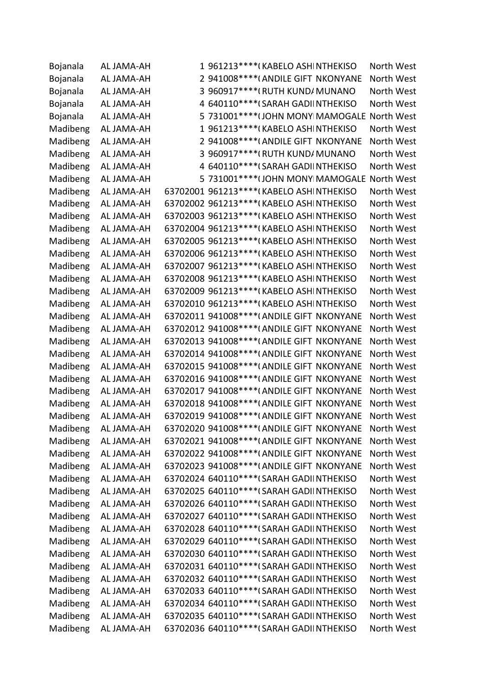| Bojanala | AL JAMA-AH |   | 1 961213 **** (KABELO ASHINTHEKISO           | North West |
|----------|------------|---|----------------------------------------------|------------|
| Bojanala | AL JAMA-AH |   | 2 941008 **** (ANDILE GIFT NKONYANE          | North West |
| Bojanala | AL JAMA-AH | 3 | 960917 **** (RUTH KUND/MUNANO                | North West |
| Bojanala | AL JAMA-AH |   | 4 640110****(SARAH GADIINTHEKISO             | North West |
| Bojanala | AL JAMA-AH |   | 5 731001 **** (JOHN MONY MAMOGALE North West |            |
| Madibeng | AL JAMA-AH |   | 1 961213 **** (KABELO ASHINTHEKISO           | North West |
| Madibeng | AL JAMA-AH |   | 2 941008 **** (ANDILE GIFT NKONYANE          | North West |
| Madibeng | AL JAMA-AH |   | 3 960917 **** (RUTH KUND/ MUNANO             | North West |
| Madibeng | AL JAMA-AH |   | 4 640110****(SARAH GADIINTHEKISO             | North West |
| Madibeng | AL JAMA-AH |   | 5 731001 **** (JOHN MONY MAMOGALE North West |            |
| Madibeng | AL JAMA-AH |   | 63702001 961213 **** (KABELO ASHINTHEKISO    | North West |
| Madibeng | AL JAMA-AH |   | 63702002 961213 **** (KABELO ASHINTHEKISO    | North West |
| Madibeng | AL JAMA-AH |   | 63702003 961213 **** (KABELO ASHINTHEKISO    | North West |
| Madibeng | AL JAMA-AH |   | 63702004 961213 **** (KABELO ASHINTHEKISO    | North West |
| Madibeng | AL JAMA-AH |   | 63702005 961213 **** (KABELO ASHINTHEKISO    | North West |
| Madibeng | AL JAMA-AH |   | 63702006 961213 **** (KABELO ASHINTHEKISO    | North West |
| Madibeng | AL JAMA-AH |   | 63702007 961213 **** (KABELO ASHINTHEKISO    | North West |
| Madibeng | AL JAMA-AH |   | 63702008 961213 **** (KABELO ASHINTHEKISO    | North West |
| Madibeng | AL JAMA-AH |   | 63702009 961213 **** (KABELO ASHINTHEKISO    | North West |
| Madibeng | AL JAMA-AH |   | 63702010 961213 **** (KABELO ASHINTHEKISO    | North West |
| Madibeng | AL JAMA-AH |   | 63702011 941008 **** (ANDILE GIFT NKONYANE   | North West |
| Madibeng | AL JAMA-AH |   | 63702012 941008 **** (ANDILE GIFT NKONYANE   | North West |
| Madibeng | AL JAMA-AH |   | 63702013 941008 **** (ANDILE GIFT NKONYANE   | North West |
| Madibeng | AL JAMA-AH |   | 63702014 941008 **** (ANDILE GIFT NKONYANE   | North West |
| Madibeng | AL JAMA-AH |   | 63702015 941008 **** (ANDILE GIFT NKONYANE   | North West |
| Madibeng | AL JAMA-AH |   | 63702016 941008 **** (ANDILE GIFT NKONYANE   | North West |
| Madibeng | AL JAMA-AH |   | 63702017 941008 **** (ANDILE GIFT NKONYANE   | North West |
| Madibeng | AL JAMA-AH |   | 63702018 941008 **** (ANDILE GIFT NKONYANE   | North West |
| Madibeng | AL JAMA-AH |   | 63702019 941008 **** (ANDILE GIFT NKONYANE   | North West |
| Madibeng | AL JAMA-AH |   | 63702020 941008 **** (ANDILE GIFT NKONYANE   | North West |
| Madibeng | AL JAMA-AH |   | 63702021 941008 **** (ANDILE GIFT NKONYANE   | North West |
| Madibeng | AL JAMA-AH |   | 63702022 941008 **** (ANDILE GIFT NKONYANE   | North West |
| Madibeng | AL JAMA-AH |   | 63702023 941008 **** (ANDILE GIFT NKONYANE   | North West |
| Madibeng | AL JAMA-AH |   | 63702024 640110 **** (SARAH GADIINTHEKISO    | North West |
| Madibeng | AL JAMA-AH |   | 63702025 640110 **** (SARAH GADIINTHEKISO    | North West |
| Madibeng | AL JAMA-AH |   | 63702026 640110 **** (SARAH GADIINTHEKISO    | North West |
| Madibeng | AL JAMA-AH |   | 63702027 640110 **** (SARAH GADIINTHEKISO    | North West |
| Madibeng | AL JAMA-AH |   | 63702028 640110 **** (SARAH GADIINTHEKISO    | North West |
| Madibeng | AL JAMA-AH |   | 63702029 640110 **** (SARAH GADIINTHEKISO    | North West |
| Madibeng | AL JAMA-AH |   | 63702030 640110 **** (SARAH GADIINTHEKISO    | North West |
| Madibeng | AL JAMA-AH |   | 63702031 640110 **** (SARAH GADIINTHEKISO    | North West |
| Madibeng | AL JAMA-AH |   | 63702032 640110 **** (SARAH GADIINTHEKISO    | North West |
| Madibeng | AL JAMA-AH |   | 63702033 640110 **** (SARAH GADIINTHEKISO    | North West |
| Madibeng | AL JAMA-AH |   | 63702034 640110 **** (SARAH GADIINTHEKISO    | North West |
| Madibeng | AL JAMA-AH |   | 63702035 640110 **** (SARAH GADIINTHEKISO    | North West |
| Madibeng | AL JAMA-AH |   | 63702036 640110 **** (SARAH GADIINTHEKISO    | North West |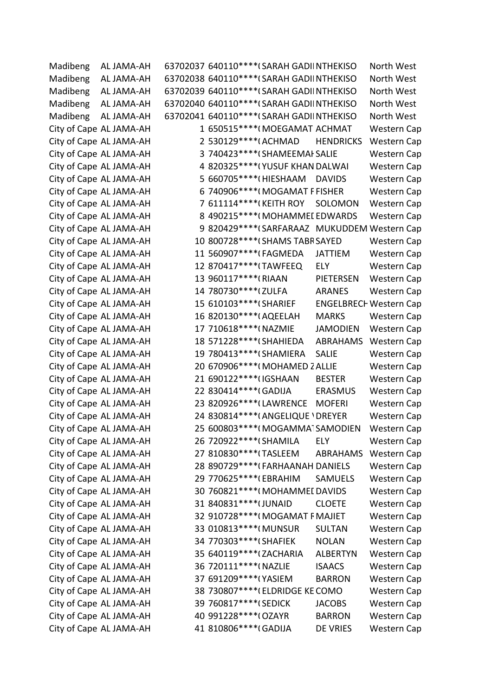| Madibeng | AL JAMA-AH              | 63702037 640110****(SARAH GADIINTHEKISO       |                               | North West         |  |
|----------|-------------------------|-----------------------------------------------|-------------------------------|--------------------|--|
| Madibeng | AL JAMA-AH              | 63702038 640110 **** (SARAH GADIINTHEKISO     |                               | North West         |  |
| Madibeng | AL JAMA-AH              | 63702039 640110 **** (SARAH GADIINTHEKISO     |                               | North West         |  |
| Madibeng | AL JAMA-AH              | 63702040 640110 **** (SARAH GADIINTHEKISO     |                               | North West         |  |
| Madibeng | AL JAMA-AH              | 63702041 640110 **** (SARAH GADIINTHEKISO     |                               | North West         |  |
|          | City of Cape AL JAMA-AH | 1 650515**** (MOEGAMAT ACHMAT                 |                               | <b>Western Cap</b> |  |
|          | City of Cape AL JAMA-AH | 2 530129 **** (ACHMAD                         | <b>HENDRICKS</b>              | <b>Western Cap</b> |  |
|          | City of Cape AL JAMA-AH | 3 740423 **** (SHAMEEMAI SALIE                |                               | <b>Western Cap</b> |  |
|          | City of Cape AL JAMA-AH | 4 820325 **** (YUSUF KHAN DALWAI              |                               | <b>Western Cap</b> |  |
|          | City of Cape AL JAMA-AH | 5 660705 **** (HIESHAAM                       | <b>DAVIDS</b>                 | <b>Western Cap</b> |  |
|          | City of Cape AL JAMA-AH | 6 740906**** (MOGAMAT F FISHER                |                               | Western Cap        |  |
|          | City of Cape AL JAMA-AH | 7 611114****(KEITH ROY                        | SOLOMON                       | <b>Western Cap</b> |  |
|          | City of Cape AL JAMA-AH | 8 490215 **** (MOHAMMEL EDWARDS               |                               | <b>Western Cap</b> |  |
|          | City of Cape AL JAMA-AH | 9 820429 **** (SARFARAAZ MUKUDDEM Western Cap |                               |                    |  |
|          | City of Cape AL JAMA-AH | 10 800728 **** (SHAMS TABR SAYED              |                               | Western Cap        |  |
|          | City of Cape AL JAMA-AH | 11 560907****(FAGMEDA                         | <b>JATTIEM</b>                | <b>Western Cap</b> |  |
|          | City of Cape AL JAMA-AH | 12 870417****(TAWFEEQ                         | ELY                           | <b>Western Cap</b> |  |
|          | City of Cape AL JAMA-AH | 13 960117*****(RIAAN                          | <b>PIETERSEN</b>              | <b>Western Cap</b> |  |
|          | City of Cape AL JAMA-AH | 14 780730 **** (ZULFA                         | <b>ARANES</b>                 | Western Cap        |  |
|          | City of Cape AL JAMA-AH | 15 610103 **** (SHARIEF                       | <b>ENGELBRECH Western Cap</b> |                    |  |
|          | City of Cape AL JAMA-AH | 16 820130 **** (AQEELAH                       | <b>MARKS</b>                  | <b>Western Cap</b> |  |
|          | City of Cape AL JAMA-AH | 17 710618 **** (NAZMIE                        | <b>JAMODIEN</b>               | <b>Western Cap</b> |  |
|          | City of Cape AL JAMA-AH | 18 571228 **** (SHAHIEDA                      | ABRAHAMS                      | Western Cap        |  |
|          | City of Cape AL JAMA-AH | 19 780413 **** (SHAMIERA                      | <b>SALIE</b>                  | <b>Western Cap</b> |  |
|          | City of Cape AL JAMA-AH | 20 670906****(MOHAMED 2 ALLIE                 |                               | <b>Western Cap</b> |  |
|          | City of Cape AL JAMA-AH | 21 690122 **** (IGSHAAN                       | <b>BESTER</b>                 | <b>Western Cap</b> |  |
|          | City of Cape AL JAMA-AH | 22 830414 **** (GADIJA                        | <b>ERASMUS</b>                | Western Cap        |  |
|          | City of Cape AL JAMA-AH | 23 820926 **** (LAWRENCE                      | <b>MOFERI</b>                 | <b>Western Cap</b> |  |
|          | City of Cape AL JAMA-AH | 24 830814 **** (ANGELIQUE ' DREYER            |                               | <b>Western Cap</b> |  |
|          | City of Cape AL JAMA-AH | 25 600803****(MOGAMMA1SAMODIEN                |                               | Western Cap        |  |
|          | City of Cape AL JAMA-AH | 26 720922 **** (SHAMILA                       | <b>ELY</b>                    | Western Cap        |  |
|          | City of Cape AL JAMA-AH | 27 810830 **** (TASLEEM                       | ABRAHAMS                      | <b>Western Cap</b> |  |
|          | City of Cape AL JAMA-AH | 28 890729 **** (FARHAANAH DANIELS             |                               | <b>Western Cap</b> |  |
|          | City of Cape AL JAMA-AH | 29 770625****(EBRAHIM                         | <b>SAMUELS</b>                | <b>Western Cap</b> |  |
|          | City of Cape AL JAMA-AH | 30 760821 **** (MOHAMMEI DAVIDS               |                               | <b>Western Cap</b> |  |
|          | City of Cape AL JAMA-AH | 31 840831 **** (JUNAID                        | <b>CLOETE</b>                 | <b>Western Cap</b> |  |
|          | City of Cape AL JAMA-AH | 32 910728 **** (MOGAMAT F MAJIET              |                               | <b>Western Cap</b> |  |
|          | City of Cape AL JAMA-AH | 33 010813 **** (MUNSUR                        | <b>SULTAN</b>                 | <b>Western Cap</b> |  |
|          | City of Cape AL JAMA-AH | 34 770303*****(SHAFIEK                        | <b>NOLAN</b>                  | <b>Western Cap</b> |  |
|          | City of Cape AL JAMA-AH | 35 640119 **** (ZACHARIA                      | <b>ALBERTYN</b>               | <b>Western Cap</b> |  |
|          | City of Cape AL JAMA-AH | 36 720111 **** (NAZLIE                        | <b>ISAACS</b>                 | <b>Western Cap</b> |  |
|          | City of Cape AL JAMA-AH | 37 691209 **** (YASIEM                        | <b>BARRON</b>                 | <b>Western Cap</b> |  |
|          | City of Cape AL JAMA-AH | 38 730807****(ELDRIDGE KE COMO                |                               | <b>Western Cap</b> |  |
|          | City of Cape AL JAMA-AH | 39 760817*****(SEDICK                         | <b>JACOBS</b>                 | <b>Western Cap</b> |  |
|          | City of Cape AL JAMA-AH | 40 991228 **** (OZAYR                         | <b>BARRON</b>                 | <b>Western Cap</b> |  |
|          | City of Cape AL JAMA-AH | 41 810806 **** (GADIJA                        | DE VRIES                      | <b>Western Cap</b> |  |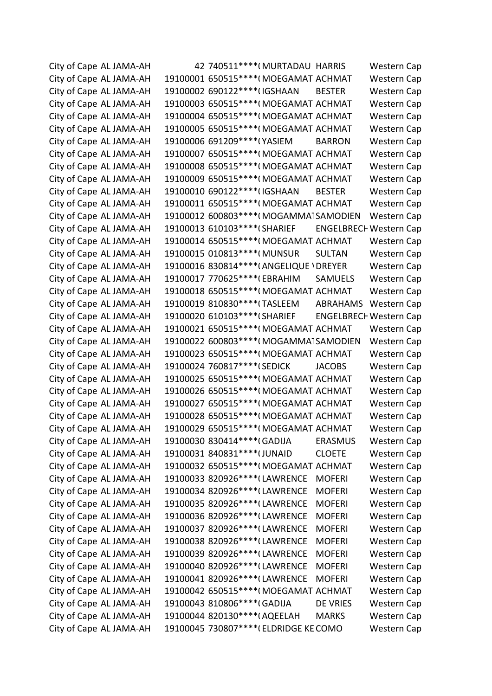City of Cape AL JAMA-AH 42 740511\*\*\*\*(MURTADAU HARRIS Western Cap City of Cape AL JAMA-AH 19100001 650515\*\*\*\*(MOEGAMAT ACHMAT Western Cap City of Cape AL JAMA-AH 19100002 690122\*\*\*\*(IGSHAAN BESTER Western Cap City of Cape AL JAMA-AH 19100003 650515\*\*\*\*(MOEGAMAT ACHMAT Western Cap City of Cape AL JAMA-AH 19100004 650515\*\*\*\*(MOEGAMAT ACHMAT Western Cap City of Cape AL JAMA-AH 19100005 650515\*\*\*\*(MOEGAMAT ACHMAT Western Cap City of Cape AL JAMA-AH 19100006 691209\*\*\*\*(YASIEM BARRON Western Cap City of Cape AL JAMA-AH 19100007 650515\*\*\*\*(MOEGAMAT ACHMAT Western Cap City of Cape AL JAMA-AH 19100008 650515\*\*\*\*(MOEGAMAT ACHMAT Western Cap City of Cape AL JAMA-AH 19100009 650515\*\*\*\*(MOEGAMAT ACHMAT Western Cap City of Cape AL JAMA-AH 19100010 690122\*\*\*\*(IGSHAAN BESTER Western Cap City of Cape AL JAMA-AH 19100011 650515\*\*\*\*(MOEGAMAT ACHMAT Western Cap City of Cape AL JAMA-AH 19100012 600803\*\*\*\*(MOGAMMATSAMODIEN Western Cap City of Cape AL JAMA-AH 19100013 610103\*\*\*\*(SHARIEF ENGELBRECH Western Cap City of Cape AL JAMA-AH 19100014 650515\*\*\*\*(MOEGAMAT ACHMAT Western Cap City of Cape AL JAMA-AH 19100015 010813\*\*\*\*(MUNSUR SULTAN Western Cap City of Cape AL JAMA-AH 19100016 830814\*\*\*\*(ANGELIQUE 'DREYER Western Cap City of Cape AL JAMA-AH 19100017 770625\*\*\*\*(EBRAHIM SAMUELS Western Cap City of Cape AL JAMA-AH 19100018 650515\*\*\*\*(MOEGAMAT ACHMAT Western Cap City of Cape AL JAMA-AH 19100019 810830\*\*\*\*(TASLEEM ABRAHAMS Western Cap City of Cape AL JAMA-AH 19100020 610103\*\*\*\*(SHARIEF ENGELBRECH Western Cap City of Cape AL JAMA-AH 19100021 650515\*\*\*\*(MOEGAMAT ACHMAT Western Cap City of Cape AL JAMA-AH 19100022 600803\*\*\*\*(MOGAMMATSAMODIEN Western Cap City of Cape AL JAMA-AH 19100023 650515\*\*\*\*(MOEGAMAT ACHMAT Western Cap City of Cape AL JAMA-AH 19100024 760817\*\*\*\*(SEDICK JACOBS Western Cap City of Cape AL JAMA-AH 19100025 650515\*\*\*\*(MOEGAMAT ACHMAT Western Cap City of Cape AL JAMA-AH 19100026 650515\*\*\*\*(MOEGAMAT ACHMAT Western Cap City of Cape AL JAMA-AH 19100027 650515\*\*\*\*(MOEGAMAT ACHMAT Western Cap City of Cape AL JAMA-AH 19100028 650515\*\*\*\*(MOEGAMAT ACHMAT Western Cap City of Cape AL JAMA-AH 19100029 650515\*\*\*\*(MOEGAMAT ACHMAT Western Cap City of Cape AL JAMA-AH 19100030 830414\*\*\*\*(GADIJA ERASMUS Western Cap City of Cape AL JAMA-AH 19100031 840831\*\*\*\*(JUNAID CLOETE Western Cap City of Cape AL JAMA-AH 19100032 650515\*\*\*\*(MOEGAMAT ACHMAT Western Cap City of Cape AL JAMA-AH 19100033 820926\*\*\*\* (LAWRENCE MOFERI Western Cap City of Cape AL JAMA-AH 19100034 820926\*\*\*\* (LAWRENCE MOFERI Western Cap City of Cape AL JAMA-AH 19100035 820926\*\*\*\* (LAWRENCE MOFERI Western Cap City of Cape AL JAMA-AH 19100036 820926\*\*\*\* (LAWRENCE MOFERI Western Cap City of Cape AL JAMA-AH 19100037 820926\*\*\*\* (LAWRENCE MOFERI Western Cap City of Cape AL JAMA-AH 19100038 820926\*\*\*\* (LAWRENCE MOFERI Western Cap City of Cape AL JAMA-AH 19100039 820926\*\*\*\* (LAWRENCE MOFERI Western Cap City of Cape AL JAMA-AH 19100040 820926\*\*\*\* (LAWRENCE MOFERI Western Cap City of Cape AL JAMA-AH 19100041 820926\*\*\*\*(LAWRENCE MOFERI Western Cap City of Cape AL JAMA-AH 19100042 650515\*\*\*\*(MOEGAMAT ACHMAT Western Cap City of Cape AL JAMA-AH 19100043 810806\*\*\*\*(GADIJA DE VRIES Western Cap City of Cape AL JAMA-AH 19100044 820130\*\*\*\*(AQEELAH MARKS Western Cap City of Cape AL JAMA-AH 19100045 730807\*\*\*\*(ELDRIDGE KE COMO Western Cap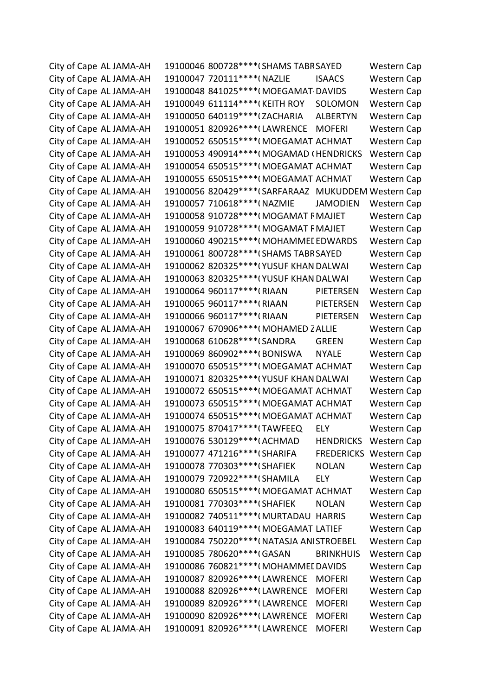City of Cape AL JAMA-AH 19100046 800728\*\*\*\*(SHAMS TABR SAYED Western Cap City of Cape AL JAMA-AH 19100047 720111\*\*\*\*(NAZLIE ISAACS Western Cap City of Cape AL JAMA-AH 19100048 841025\*\*\*\*(MOEGAMAT DAVIDS Western Cap City of Cape AL JAMA-AH 19100049 611114\*\*\*\*(KEITH ROY SOLOMON Western Cap City of Cape AL JAMA-AH 19100050 640119\*\*\*\* (ZACHARIA ALBERTYN Western Cap City of Cape AL JAMA-AH 19100051 820926\*\*\*\*(LAWRENCE MOFERI Western Cap City of Cape AL JAMA-AH 19100052 650515\*\*\*\*(MOEGAMAT ACHMAT Western Cap City of Cape AL JAMA-AH 19100053 490914\*\*\*\*(MOGAMAD (HENDRICKS Western Cap City of Cape AL JAMA-AH 19100054 650515\*\*\*\*(MOEGAMAT ACHMAT Western Cap City of Cape AL JAMA-AH 19100055 650515\*\*\*\*(MOEGAMAT ACHMAT Western Cap City of Cape AL JAMA-AH 19100056 820429\*\*\*\* (SARFARAAZ MUKUDDEM Western Cap City of Cape AL JAMA-AH 19100057 710618\*\*\*\*(NAZMIE JAMODIEN Western Cap City of Cape AL JAMA-AH 19100058 910728\*\*\*\*(MOGAMAT FMAJIET Western Cap City of Cape AL JAMA-AH 19100059 910728\*\*\*\*(MOGAMAT FMAJIET Western Cap City of Cape AL JAMA-AH 19100060 490215\*\*\*\*(MOHAMMEL EDWARDS Western Cap City of Cape AL JAMA-AH 19100061 800728\*\*\*\*(SHAMS TABR SAYED Western Cap City of Cape AL JAMA-AH 19100062 820325\*\*\*\*(YUSUF KHAN DALWAI Western Cap City of Cape AL JAMA-AH 19100063 820325\*\*\*\*(YUSUF KHAN DALWAI Western Cap City of Cape AL JAMA-AH 19100064 960117\*\*\*\*(RIAAN PIETERSEN Western Cap City of Cape AL JAMA-AH 19100065 960117\*\*\*\*(RIAAN PIETERSEN Western Cap City of Cape AL JAMA-AH 19100066 960117\*\*\*\*(RIAAN PIETERSEN Western Cap City of Cape AL JAMA-AH 19100067 670906\*\*\*\*(MOHAMED ZALLIE Western Cap City of Cape AL JAMA-AH 19100068 610628\*\*\*\* (SANDRA GREEN Western Cap City of Cape AL JAMA-AH 19100069 860902\*\*\*\*(BONISWA NYALE Western Cap City of Cape AL JAMA-AH 19100070 650515\*\*\*\*(MOEGAMAT ACHMAT Western Cap City of Cape AL JAMA-AH 19100071 820325\*\*\*\*(YUSUF KHAN DALWAI Western Cap City of Cape AL JAMA-AH 19100072 650515\*\*\*\*(MOEGAMAT ACHMAT Western Cap City of Cape AL JAMA-AH 19100073 650515\*\*\*\*(MOEGAMAT ACHMAT Western Cap City of Cape AL JAMA-AH 19100074 650515\*\*\*\*(MOEGAMAT ACHMAT Western Cap City of Cape AL JAMA-AH 19100075 870417\*\*\*\* (TAWFEEQ ELY Western Cap City of Cape AL JAMA-AH 19100076 530129\*\*\*\*(ACHMAD HENDRICKS Western Cap City of Cape AL JAMA-AH 19100077 471216\*\*\*\*(SHARIFA FREDERICKS Western Cap City of Cape AL JAMA-AH 19100078 770303\*\*\*\*(SHAFIEK NOLAN Western Cap City of Cape AL JAMA-AH 19100079 720922\*\*\*\*(SHAMILA ELY Western Cap City of Cape AL JAMA-AH 19100080 650515\*\*\*\*(MOEGAMAT ACHMAT Western Cap City of Cape AL JAMA-AH 19100081 770303\*\*\*\*(SHAFIEK NOLAN Western Cap City of Cape AL JAMA-AH 19100082 740511\*\*\*\*(MURTADAU HARRIS Western Cap City of Cape AL JAMA-AH 19100083 640119\*\*\*\*(MOEGAMAT LATIEF Western Cap City of Cape AL JAMA-AH 19100084 750220\*\*\*\*(NATASJA ANISTROEBEL Western Cap City of Cape AL JAMA-AH 19100085 780620\*\*\*\*(GASAN BRINKHUIS Western Cap City of Cape AL JAMA-AH 19100086 760821\*\*\*\*(MOHAMMEI DAVIDS Western Cap City of Cape AL JAMA-AH 19100087 820926\*\*\*\*(LAWRENCE MOFERI Western Cap City of Cape AL JAMA-AH 19100088 820926\*\*\*\* (LAWRENCE MOFERI Western Cap City of Cape AL JAMA-AH 19100089 820926\*\*\*\* (LAWRENCE MOFERI Western Cap City of Cape AL JAMA-AH 19100090 820926\*\*\*\*(LAWRENCE MOFERI Western Cap City of Cape AL JAMA-AH 19100091 820926\*\*\*\* (LAWRENCE MOFERI Western Cap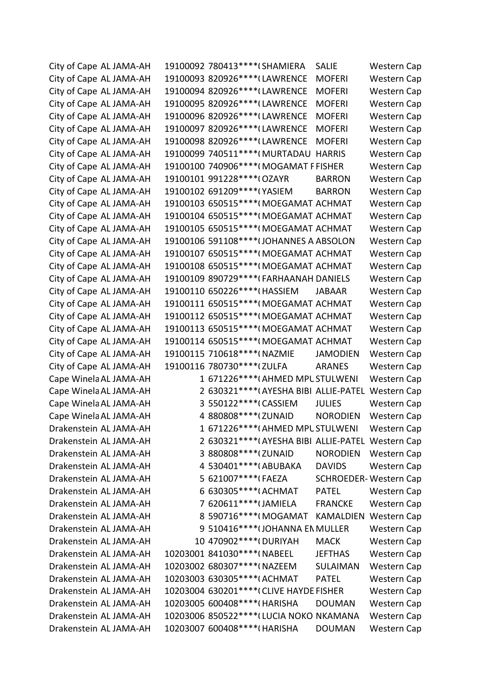City of Cape AL JAMA-AH 19100092 780413\*\*\*\* (SHAMIERA SALIE Western Cap City of Cape AL JAMA-AH 19100093 820926\*\*\*\* (LAWRENCE MOFERI Western Cap City of Cape AL JAMA-AH 19100094 820926\*\*\*\* (LAWRENCE MOFERI Western Cap City of Cape AL JAMA-AH 19100095 820926\*\*\*\* (LAWRENCE MOFERI Western Cap City of Cape AL JAMA-AH 19100096 820926\*\*\*\* (LAWRENCE MOFERI Western Cap City of Cape AL JAMA-AH 19100097 820926\*\*\*\* (LAWRENCE MOFERI Western Cap City of Cape AL JAMA-AH 19100098 820926\*\*\*\* (LAWRENCE MOFERI Western Cap City of Cape AL JAMA-AH 19100099 740511\*\*\*\*(MURTADAU HARRIS Western Cap City of Cape AL JAMA-AH 19100100 740906\*\*\*\*(MOGAMAT F FISHER Western Cap City of Cape AL JAMA-AH 19100101 991228\*\*\*\*(OZAYR BARRON Western Cap City of Cape AL JAMA-AH 19100102 691209\*\*\*\*(YASIEM BARRON Western Cap City of Cape AL JAMA-AH 19100103 650515\*\*\*\*(MOEGAMAT ACHMAT Western Cap City of Cape AL JAMA-AH 19100104 650515\*\*\*\*(MOEGAMAT ACHMAT Western Cap City of Cape AL JAMA-AH 19100105 650515\*\*\*\*(MOEGAMAT ACHMAT Western Cap City of Cape AL JAMA-AH 19100106 591108\*\*\*\* (JOHANNES A ABSOLON Western Cap City of Cape AL JAMA-AH 19100107 650515\*\*\*\*(MOEGAMAT ACHMAT Western Cap City of Cape AL JAMA-AH 19100108 650515\*\*\*\*(MOEGAMAT ACHMAT Western Cap City of Cape AL JAMA-AH 19100109 890729\*\*\*\*(FARHAANAH DANIELS Western Cap City of Cape AL JAMA-AH 19100110 650226\*\*\*\*(HASSIEM JABAAR Western Cap City of Cape AL JAMA-AH 19100111 650515\*\*\*\*(MOEGAMAT ACHMAT Western Cap City of Cape AL JAMA-AH 19100112 650515\*\*\*\*(MOEGAMAT ACHMAT Western Cap City of Cape AL JAMA-AH 19100113 650515\*\*\*\*(MOEGAMAT ACHMAT Western Cap City of Cape AL JAMA-AH 19100114 650515\*\*\*\*(MOEGAMAT ACHMAT Western Cap City of Cape AL JAMA-AH 19100115 710618\*\*\*\*(NAZMIE JAMODIEN Western Cap City of Cape AL JAMA-AH 19100116 780730\*\*\*\*(ZULFA ARANES Western Cap Cape Winela AL JAMA-AH 1 671226\*\*\*\*(AHMED MPUSTULWENI Western Cap Cape Winela AL JAMA-AH 2 630321\*\*\*\*(AYESHA BIBI ALLIE-PATEL Western Cap Cape Winela AL JAMA-AH 3 550122\*\*\*\*(CASSIEM JULIES Western Cap Cape Winela AL JAMA-AH 4 880808\*\*\*\* (ZUNAID NORODIEN Western Cap Drakenstein AL JAMA-AH 1 671226\*\*\*\*(AHMED MPUSTULWENI Western Cap Drakenstein AL JAMA-AH 2 630321\*\*\*\*(AYESHA BIBI ALLIE-PATEL Western Cap Drakenstein AL JAMA-AH 3 880808\*\*\*\* (ZUNAID NORODIEN Western Cap Drakenstein AL JAMA-AH 4 530401\*\*\*\*(ABUBAKA DAVIDS Western Cap Drakenstein AL JAMA-AH 5 621007\*\*\*\*(FAEZA SCHROEDER-Western Cap Drakenstein AL JAMA-AH 6 630305 \*\*\*\* (ACHMAT PATEL Western Cap Drakenstein AL JAMA-AH 7 620611\*\*\*\* (JAMIELA FRANCKE Western Cap Drakenstein AL JAMA-AH 8 590716\*\*\*\*(MOGAMAT KAMALDIEN Western Cap Drakenstein AL JAMA-AH 9 510416\*\*\*\* (JOHANNA EN MULLER Western Cap Drakenstein AL JAMA-AH 10 470902\*\*\*\*(DURIYAH MACK Western Cap Drakenstein AL JAMA-AH 10203001 841030\*\*\*\*(NABEEL JEFTHAS Western Cap Drakenstein AL JAMA-AH 10203002 680307\*\*\*\*(NAZEEM SULAIMAN Western Cap Drakenstein AL JAMA-AH 10203003 630305\*\*\*\*(ACHMAT PATEL Western Cap Drakenstein AL JAMA-AH 10203004 630201\*\*\*\*(CLIVE HAYDE FISHER Western Cap Drakenstein AL JAMA-AH 10203005 600408\*\*\*\*(HARISHA DOUMAN Western Cap Drakenstein AL JAMA-AH 10203006 850522\*\*\*\* (LUCIA NOKO NKAMANA Western Cap Drakenstein AL JAMA-AH 10203007 600408\*\*\*\*(HARISHA DOUMAN Western Cap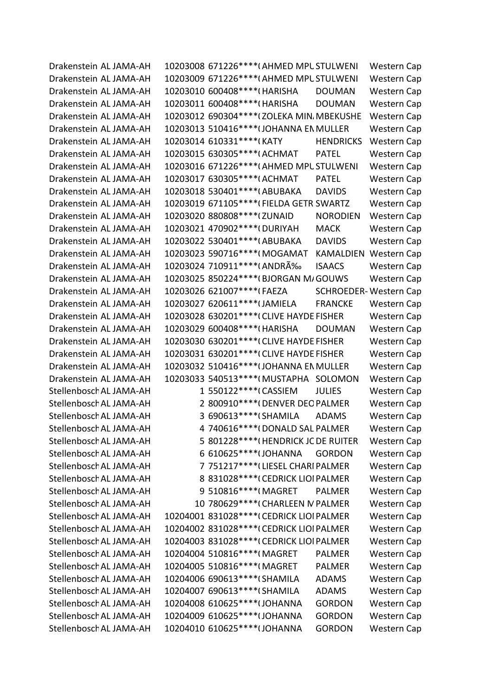Drakenstein AL JAMA-AH 10203008 671226\*\*\*\* (AHMED MPUSTULWENI Western Cap Drakenstein AL JAMA-AH 10203009 671226\*\*\*\* (AHMED MPUSTULWENI Western Cap Drakenstein AL JAMA-AH 10203010 600408\*\*\*\*(HARISHA DOUMAN Western Cap Drakenstein AL JAMA-AH 10203011 600408\*\*\*\*(HARISHA DOUMAN Western Cap Drakenstein AL JAMA-AH 10203012 690304\*\*\*\* (ZOLEKA MIN. MBEKUSHE Western Cap Drakenstein AL JAMA-AH 10203013 510416\*\*\*\* (JOHANNA EN MULLER Western Cap Drakenstein AL JAMA-AH 10203014 610331\*\*\*\*(KATY HENDRICKS Western Cap Drakenstein AL JAMA-AH 10203015 630305\*\*\*\*(ACHMAT PATEL Western Cap Drakenstein AL JAMA-AH 10203016 671226\*\*\*\*(AHMED MPUSTULWENI Western Cap Drakenstein AL JAMA-AH 10203017 630305\*\*\*\*(ACHMAT PATEL Western Cap Drakenstein AL JAMA-AH 10203018 530401\*\*\*\*(ABUBAKA DAVIDS Western Cap Drakenstein AL JAMA-AH 10203019 671105\*\*\*\*(FIELDA GETR SWARTZ Western Cap Drakenstein AL JAMA-AH 10203020 880808\*\*\*\* (ZUNAID NORODIEN Western Cap Drakenstein AL JAMA-AH 10203021 470902\*\*\*\*(DURIYAH MACK Western Cap Drakenstein AL JAMA-AH 10203022 530401\*\*\*\*(ABUBAKA DAVIDS Western Cap Drakenstein AL JAMA-AH 10203023 590716\*\*\*\*(MOGAMAT KAMALDIEN Western Cap Drakenstein AL JAMA-AH 10203024 710911 \*\*\*\* (ANDRÉ ISAACS Western Cap Drakenstein AL JAMA-AH 10203025 850224\*\*\*\* (BJORGAN M/GOUWS Western Cap Drakenstein AL JAMA-AH 10203026 621007\*\*\*\*(FAEZA SCHROEDER-Western Cap Drakenstein AL JAMA-AH 10203027 620611\*\*\*\* (JAMIELA FRANCKE Western Cap Drakenstein AL JAMA-AH 10203028 630201\*\*\*\*(CLIVE HAYDE FISHER Western Cap Drakenstein AL JAMA-AH 10203029 600408\*\*\*\*(HARISHA DOUMAN Western Cap Drakenstein AL JAMA-AH 10203030 630201\*\*\*\*(CLIVE HAYDE FISHER Western Cap Drakenstein AL JAMA-AH 10203031 630201\*\*\*\*(CLIVE HAYDE FISHER Western Cap Drakenstein AL JAMA-AH 10203032 510416\*\*\*\*(JOHANNA EN MULLER Western Cap Drakenstein AL JAMA-AH 10203033 540513\*\*\*\*(MUSTAPHA SOLOMON Western Cap Stellenbosch AL JAMA-AH 1 550122\*\*\*\*(CASSIEM JULIES Western Cap Stellenbosch AL JAMA-AH 2 800910\*\*\*\* (DENVER DEO PALMER Western Cap Stellenbosch AL JAMA-AH 3 690613\*\*\*\* (SHAMILA ADAMS Western Cap Stellenbosch AL JAMA-AH 4 740616\*\*\*\*(DONALD SAL PALMER Western Cap Stellenbosch AL JAMA-AH 5 801228\*\*\*\*(HENDRICK JC DE RUITER Western Cap Stellenbosch AL JAMA-AH 6610625\*\*\*\*\* (JOHANNA GORDON Western Cap Stellenbosch AL JAMA-AH 7 751217\*\*\*\* (LIESEL CHARI PALMER Western Cap Stellenbosch AL JAMA-AH 8 831028\*\*\*\*(CEDRICK LIOI PALMER Western Cap Stellenbosch AL JAMA-AH 9 510816\*\*\*\*(MAGRET PALMER Western Cap Stellenbosch AL JAMA-AH 10 780629\*\*\*\*(CHARLEEN N PALMER Western Cap Stellenbosch AL JAMA-AH 10204001 831028\*\*\*\*(CEDRICK LIOI PALMER Western Cap Stellenbosch AL JAMA-AH 10204002 831028\*\*\*\*(CEDRICK LIOI PALMER Western Cap Stellenbosch AL JAMA-AH 10204003 831028\*\*\*\*(CEDRICK LIOI PALMER Western Cap Stellenbosch AL JAMA-AH 10204004 510816\*\*\*\*(MAGRET PALMER Western Cap Stellenbosch AL JAMA-AH 10204005 510816\*\*\*\*(MAGRET PALMER Western Cap Stellenbosch AL JAMA-AH 10204006 690613\*\*\*\* (SHAMILA ADAMS Western Cap Stellenbosch AL JAMA-AH 10204007 690613\*\*\*\* (SHAMILA ADAMS Western Cap Stellenbosch AL JAMA-AH 10204008 610625\*\*\*\* (JOHANNA GORDON Western Cap Stellenbosch AL JAMA-AH 10204009 610625\*\*\*\* (JOHANNA GORDON Western Cap Stellenbosch AL JAMA-AH 10204010 610625\*\*\*\* (JOHANNA GORDON Western Cap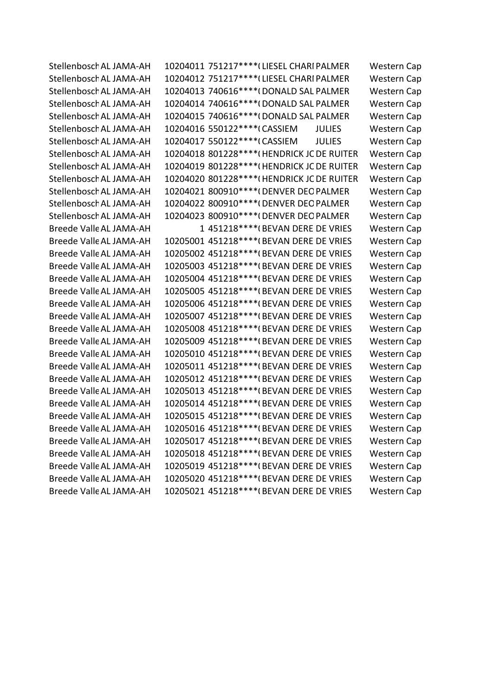Stellenbosch AL JAMA-AH 10204011 751217\*\*\*\* (LIESEL CHARI PALMER Western Cap Stellenbosch AL JAMA-AH 10204012 751217\*\*\*\* (LIESEL CHARI PALMER Western Cap Stellenbosch AL JAMA-AH 10204013 740616\*\*\*\*(DONALD SAL PALMER Western Cap Stellenbosch AL JAMA-AH 10204014 740616\*\*\*\* (DONALD SAL PALMER Western Cap Stellenbosch AL JAMA-AH 10204015 740616\*\*\*\* (DONALD SAL PALMER Western Cap Stellenbosch AL JAMA-AH 10204016 550122\*\*\*\*(CASSIEM JULIES Western Cap Stellenbosch AL JAMA-AH 10204017 550122\*\*\*\*(CASSIEM JULIES Western Cap Stellenbosch AL JAMA-AH 10204018 801228\*\*\*\*(HENDRICK JC DE RUITER Western Cap Stellenbosch AL JAMA-AH 10204019 801228\*\*\*\* (HENDRICK JC DE RUITER Western Cap Stellenbosch AL JAMA-AH 10204020 801228\*\*\*\* (HENDRICK JC DE RUITER Western Cap Stellenbosch AL JAMA-AH 10204021 800910\*\*\*\* (DENVER DEO PALMER Western Cap Stellenbosch AL JAMA-AH 10204022 800910\*\*\*\* (DENVER DEO PALMER Western Cap Stellenbosch AL JAMA-AH 10204023 800910\*\*\*\* (DENVER DEO PALMER Western Cap Breede Valle AL JAMA-AH 1 451218\*\*\*\*(BEVAN DERE DE VRIES Western Cap Breede Valle AL JAMA-AH 10205001 451218\*\*\*\* (BEVAN DERE DE VRIES Western Cap Breede Valle AL JAMA-AH 10205002 451218\*\*\*\* (BEVAN DERE DE VRIES Western Cap Breede Valle AL JAMA-AH 10205003 451218\*\*\*\* (BEVAN DERE DE VRIES Western Cap Breede Valle AL JAMA-AH 10205004 451218\*\*\*\* (BEVAN DERE DE VRIES Western Cap Breede Valle AL JAMA-AH 10205005 451218\*\*\*\* (BEVAN DERE DE VRIES Western Cap Breede Valle AL JAMA-AH 10205006 451218\*\*\*\* (BEVAN DERE DE VRIES Western Cap Breede Valle AL JAMA-AH 10205007 451218\*\*\*\* (BEVAN DERE DE VRIES Western Cap Breede Valle AL JAMA-AH 10205008 451218\*\*\*\* (BEVAN DERE DE VRIES Western Cap Breede Valle AL JAMA-AH 10205009 451218\*\*\*\* (BEVAN DERE DE VRIES Western Cap Breede Valle AL JAMA-AH 10205010 451218\*\*\*\* (BEVAN DERE DE VRIES Western Cap Breede Valle AL JAMA-AH 10205011 451218\*\*\*\* (BEVAN DERE DE VRIES Western Cap Breede Valle AL JAMA-AH 10205012 451218\*\*\*\* (BEVAN DERE DE VRIES Western Cap Breede Valle AL JAMA-AH 10205013 451218\*\*\*\* (BEVAN DERE DE VRIES Western Cap Breede Valle AL JAMA-AH 10205014 451218\*\*\*\* (BEVAN DERE DE VRIES Western Cap Breede Valle AL JAMA-AH 10205015 451218\*\*\*\* (BEVAN DERE DE VRIES Western Cap Breede Valle AL JAMA-AH 10205016 451218\*\*\*\* (BEVAN DERE DE VRIES Western Cap Breede Valle AL JAMA-AH 10205017 451218\*\*\*\* (BEVAN DERE DE VRIES Western Cap Breede Valle AL JAMA-AH 10205018 451218\*\*\*\* (BEVAN DERE DE VRIES Western Cap Breede Valle AL JAMA-AH 10205019 451218\*\*\*\* (BEVAN DERE DE VRIES Western Cap Breede Valle AL JAMA-AH 10205020 451218\*\*\*\* (BEVAN DERE DE VRIES Western Cap Breede Valle AL JAMA-AH 10205021 451218\*\*\*\* (BEVAN DERE DE VRIES Western Cap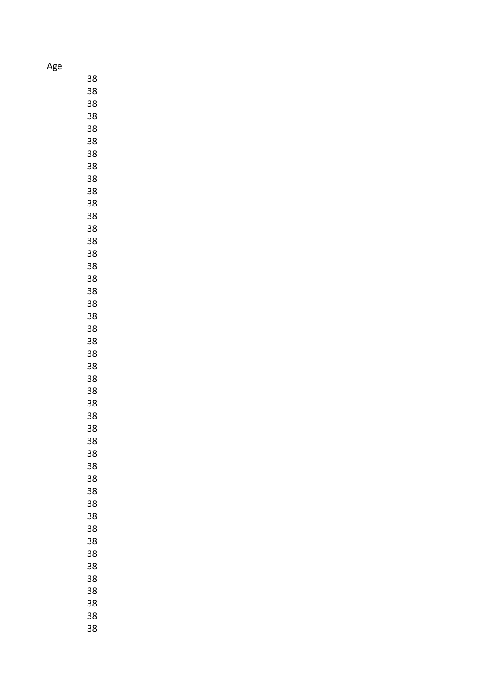Age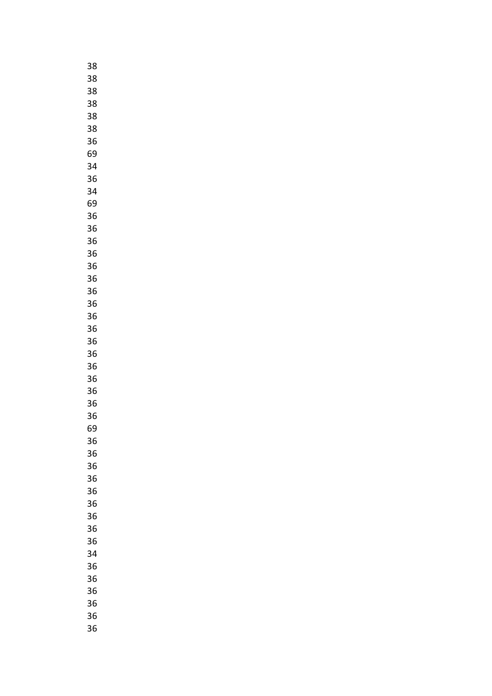| 38 |
|----|
| 38 |
| 38 |
| 38 |
| 38 |
| 38 |
| 36 |
| 69 |
| 34 |
|    |
| 36 |
| 34 |
| 69 |
| 36 |
| 36 |
| 36 |
| 36 |
| 36 |
| 36 |
| 36 |
| 36 |
| 36 |
| 36 |
| 36 |
| 36 |
| 36 |
| 36 |
| 36 |
| 36 |
| 36 |
| 69 |
|    |
| 36 |
| 36 |
| 36 |
| 36 |
| 36 |
| 36 |
| 36 |
| 36 |
| 36 |
| 34 |
| 36 |
| 36 |
| 36 |
| 36 |
| 36 |
| 36 |
|    |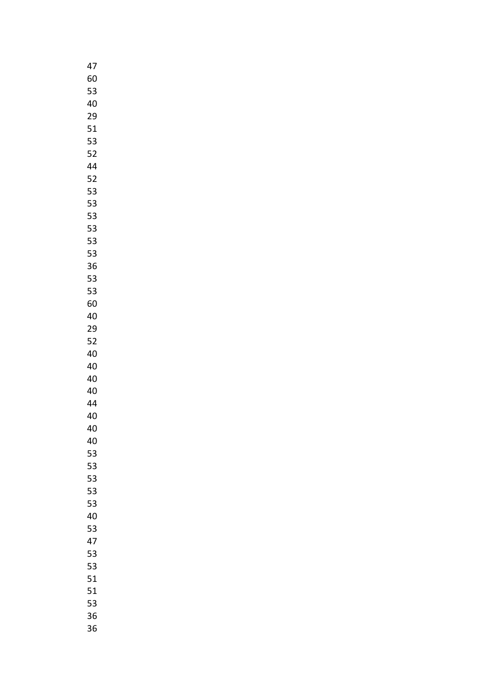| 47 |
|----|
| 60 |
| 53 |
| 40 |
| 29 |
| 51 |
| 53 |
| 52 |
| 44 |
| 52 |
| 53 |
| 53 |
| 53 |
| 53 |
| 53 |
| 53 |
| 36 |
|    |
| 53 |
| 53 |
| 60 |
| 40 |
| 29 |
| 52 |
| 40 |
| 40 |
| 40 |
| 40 |
| 44 |
| 40 |
| 40 |
| 40 |
| 53 |
| 53 |
| 53 |
| 53 |
| 53 |
| 40 |
| 53 |
| 47 |
| 53 |
| 53 |
| 51 |
| 51 |
| 53 |
| 36 |
| 36 |
|    |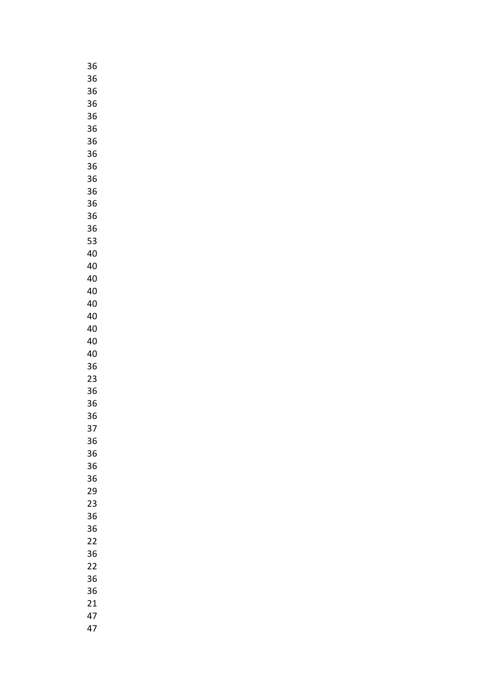| 36 |
|----|
| 36 |
| 36 |
| 36 |
| 36 |
| 36 |
| 36 |
| 36 |
| 36 |
|    |
| 36 |
| 36 |
| 36 |
| 36 |
| 36 |
| 53 |
| 40 |
| 40 |
| 40 |
| 40 |
| 40 |
| 40 |
| 40 |
| 40 |
| 40 |
| 36 |
| 23 |
| 36 |
| 36 |
| 36 |
| 37 |
|    |
| 36 |
| 36 |
| 36 |
| 36 |
| 29 |
| 23 |
| 36 |
| 36 |
| 22 |
| 36 |
| 22 |
| 36 |
| 36 |
| 21 |
| 47 |
| 47 |
|    |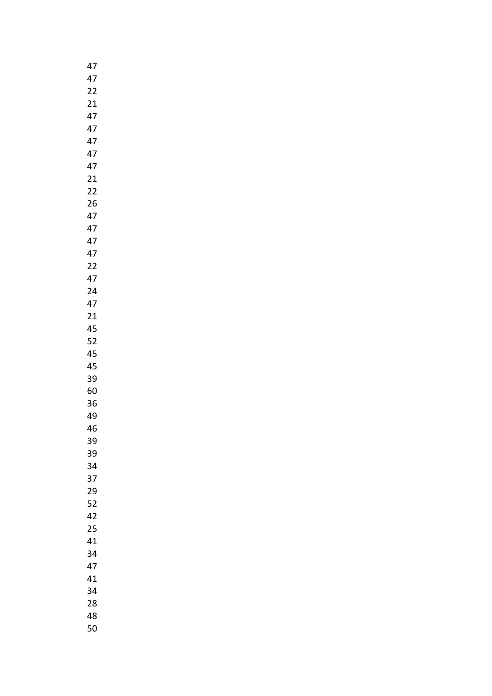| 47 |  |
|----|--|
| 47 |  |
| 22 |  |
| 21 |  |
| 47 |  |
| 47 |  |
| 47 |  |
| 47 |  |
|    |  |
| 47 |  |
| 21 |  |
| 22 |  |
| 26 |  |
| 47 |  |
| 47 |  |
| 47 |  |
| 47 |  |
| 22 |  |
| 47 |  |
| 24 |  |
| 47 |  |
| 21 |  |
| 45 |  |
| 52 |  |
| 45 |  |
| 45 |  |
| 39 |  |
| 60 |  |
|    |  |
| 36 |  |
| 49 |  |
| 46 |  |
| 39 |  |
| 39 |  |
| 34 |  |
| 37 |  |
| 29 |  |
| 52 |  |
| 42 |  |
| 25 |  |
| 41 |  |
| 34 |  |
| 47 |  |
| 41 |  |
| 34 |  |
| 28 |  |
| 48 |  |
| 50 |  |
|    |  |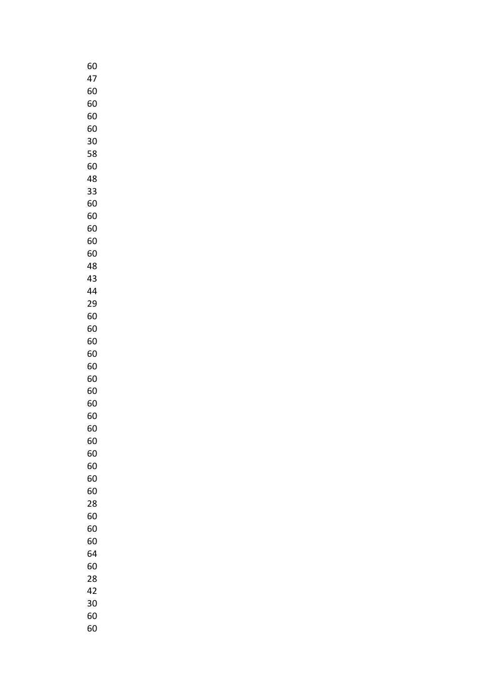| 60 |
|----|
|    |
| 47 |
| 60 |
| 60 |
| 60 |
| 60 |
| 30 |
| 58 |
| 60 |
| 48 |
| 33 |
| 60 |
| 60 |
| 60 |
|    |
| 60 |
| 60 |
| 48 |
| 43 |
| 44 |
| 29 |
| 60 |
| 60 |
| 60 |
| 60 |
| 60 |
| 60 |
| 60 |
| 60 |
|    |
| 60 |
| 60 |
| 60 |
| 60 |
| 60 |
| 60 |
| 60 |
| 28 |
| 60 |
| 60 |
| 60 |
| 64 |
| 60 |
| 28 |
| 42 |
| 30 |
|    |
| 60 |
| 60 |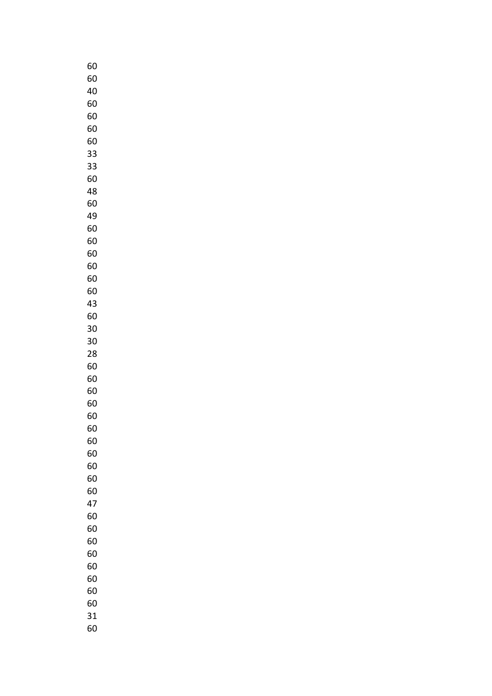| 60 |
|----|
| 60 |
| 40 |
| 60 |
| 60 |
|    |
| 60 |
| 60 |
| 33 |
| 33 |
| 60 |
| 48 |
| 60 |
|    |
| 49 |
| 60 |
| 60 |
| 60 |
| 60 |
| 60 |
| 60 |
| 43 |
| 60 |
|    |
| 30 |
| 30 |
| 28 |
| 60 |
| 60 |
| 60 |
| 60 |
| 60 |
| 60 |
|    |
| 60 |
| 60 |
| 60 |
| 60 |
| 60 |
| 47 |
| 60 |
| 60 |
| 60 |
| 60 |
| 60 |
|    |
| 60 |
| 60 |
| 60 |
| 31 |
| 60 |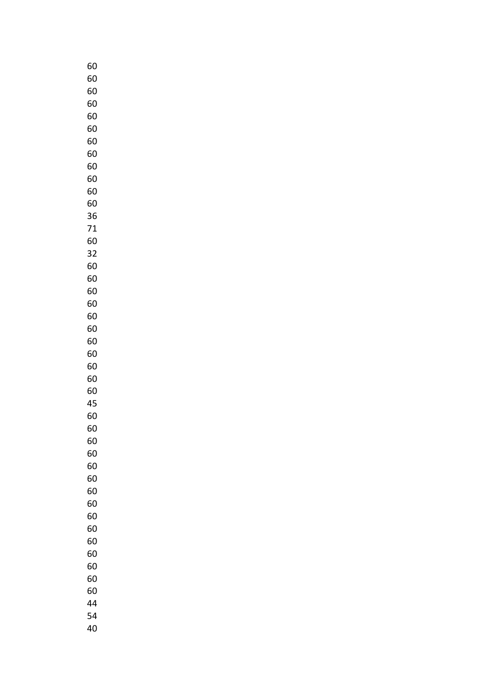| 60      |
|---------|
| 60      |
| 60      |
| 60      |
| 60      |
| 60      |
| 60      |
| 60      |
| 60      |
| 60      |
| 60      |
| 60      |
| 36      |
| 71      |
| 60      |
| 32      |
| 60      |
| 60      |
| 60      |
| 60      |
| 60      |
| 60      |
| 60      |
| 60      |
| 60      |
| 60      |
| 60      |
| 45      |
| 60      |
| 60      |
| 60      |
| 60      |
| 60      |
| 60      |
| 60      |
| 60      |
| 60      |
| 60      |
| 60      |
| 60      |
| 60      |
| 60      |
| 60      |
| 44      |
| E<br>54 |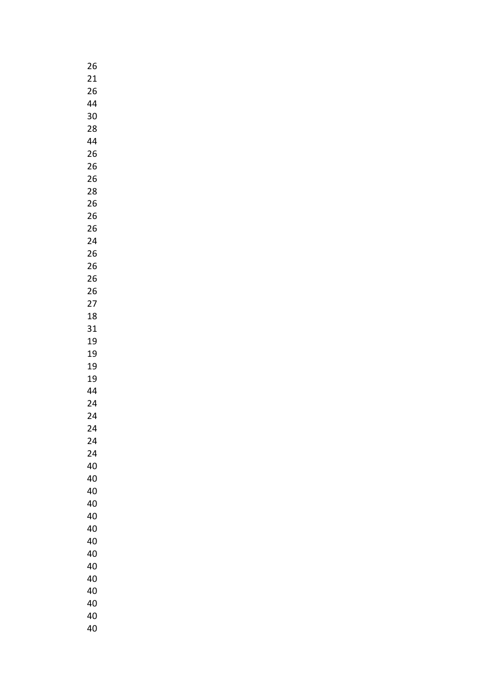| 26 |
|----|
| 21 |
| 26 |
| 44 |
| 30 |
| 28 |
| 44 |
| 26 |
| 26 |
| 26 |
| 28 |
| 26 |
| 26 |
| 26 |
| 24 |
| 26 |
| 26 |
| 26 |
| 26 |
| 27 |
| 18 |
| 31 |
| 19 |
| 19 |
| 19 |
| 19 |
| 44 |
| 24 |
| 24 |
| 24 |
| 24 |
| 24 |
| 40 |
| 40 |
| 40 |
| 40 |
| 40 |
| 40 |
| 40 |
| 40 |
| 40 |
| 40 |
| 40 |
| 40 |
| 40 |
| 40 |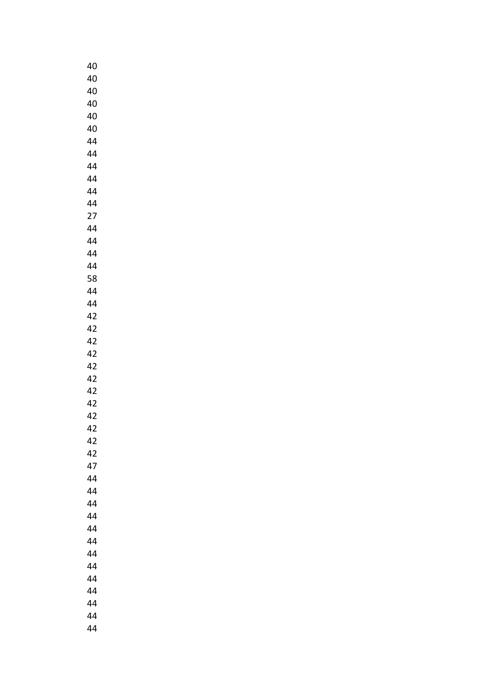| 40 |
|----|
| 40 |
| 40 |
| 40 |
| 40 |
| 40 |
| 44 |
| 44 |
| 44 |
| 44 |
| 44 |
| 44 |
| 27 |
| 44 |
| 44 |
| 44 |
| 44 |
| 58 |
| 44 |
| 44 |
| 42 |
| 42 |
| 42 |
| 42 |
| 42 |
| 42 |
| 42 |
| 42 |
| 42 |
| 42 |
| 42 |
| 42 |
| 47 |
| 44 |
| 44 |
| 44 |
| 44 |
| 44 |
| 44 |
| 44 |
| 44 |
| 44 |
| 44 |
| 44 |
| 44 |
| 44 |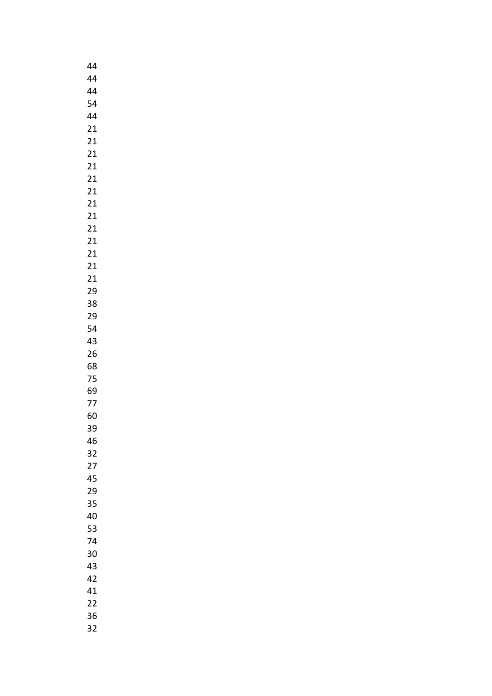| 44              |
|-----------------|
| 44              |
| 44              |
| 54              |
| 44              |
| 21              |
| 21              |
| 21              |
| 21              |
| 21              |
| 21              |
| 21              |
|                 |
| 21              |
| 21              |
| 21              |
| 21              |
| 21              |
| $\overline{21}$ |
| 29              |
| 38              |
| 29              |
| 54              |
| 43              |
| 26              |
| 68              |
| 75              |
| 69              |
| 77              |
| 60              |
| 39              |
| 46              |
| 32              |
| 27              |
| 45              |
| 29              |
| 35              |
| 40              |
| 53              |
| 74              |
| 30              |
|                 |
| 43              |
| 42              |
| 41              |
| 22              |
| 36              |
| 32              |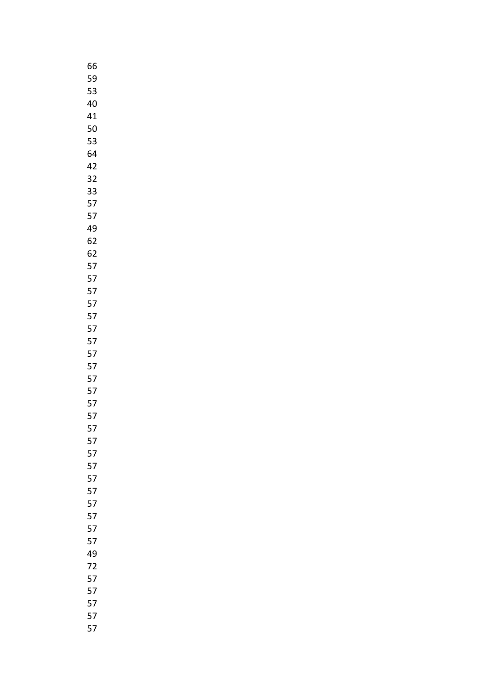| 66 |  |
|----|--|
| 59 |  |
| 53 |  |
| 40 |  |
| 41 |  |
|    |  |
| 50 |  |
| 53 |  |
| 64 |  |
| 42 |  |
| 32 |  |
| 33 |  |
| 57 |  |
| 57 |  |
| 49 |  |
|    |  |
| 62 |  |
| 62 |  |
| 57 |  |
| 57 |  |
| 57 |  |
| 57 |  |
| 57 |  |
| 57 |  |
| 57 |  |
|    |  |
| 57 |  |
| 57 |  |
| 57 |  |
| 57 |  |
| 57 |  |
| 57 |  |
| 57 |  |
| 57 |  |
| 57 |  |
| 57 |  |
|    |  |
| 57 |  |
| 57 |  |
| 57 |  |
| 57 |  |
| 57 |  |
| 57 |  |
| 49 |  |
| 72 |  |
| 57 |  |
| 57 |  |
|    |  |
| 57 |  |
| 57 |  |
| 57 |  |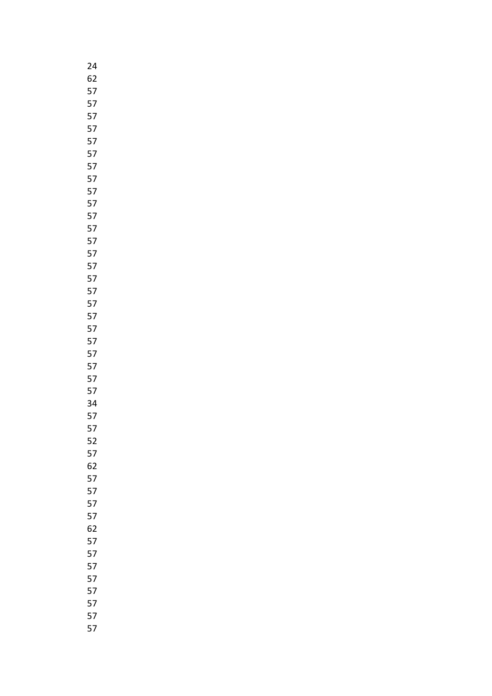| 24     |
|--------|
| 62     |
| 57     |
| 57     |
| 57     |
| 57     |
| 57     |
| 57     |
| 57     |
| 57     |
| 57     |
| 57     |
| 57     |
| 57     |
| 57     |
| 57     |
| 57     |
| 57     |
| 57     |
| 57     |
| 57     |
| 57     |
| 57     |
| 57     |
| 57     |
| 57     |
| 57     |
| 34     |
| 57     |
| 5<br>7 |
| 52     |
| 57     |
| 62     |
| 57     |
| 57     |
| 57     |
| 57     |
| 62     |
| 57     |
| 57     |
| 57     |
| 57     |
| 57     |
| 57     |
| 57     |
| 57     |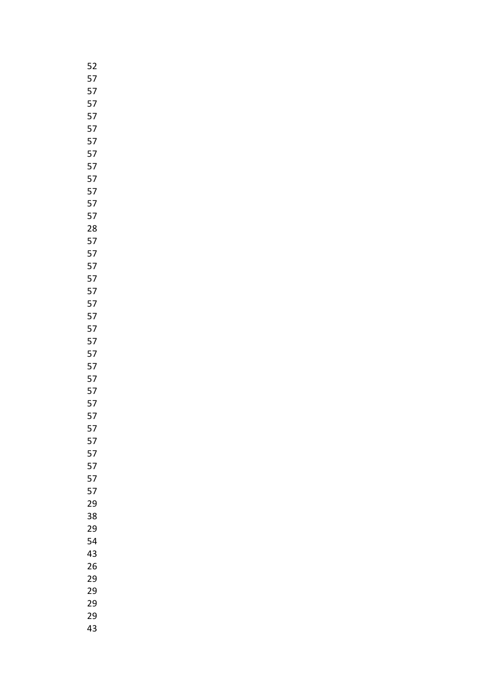| 52 |
|----|
| 57 |
| 57 |
| 57 |
| 57 |
| 57 |
| 57 |
| 57 |
| 57 |
| 57 |
| 57 |
| 57 |
| 57 |
| 28 |
| 57 |
| 57 |
| 57 |
| 57 |
| 57 |
| 57 |
| 57 |
| 57 |
| 57 |
| 57 |
| 57 |
| 57 |
| 57 |
| 57 |
| 57 |
| 5  |
| 57 |
| 57 |
| 57 |
| 57 |
| 57 |
| 29 |
| 38 |
| 29 |
| 54 |
| 43 |
| 26 |
| 29 |
| 29 |
| 29 |
| 29 |
| 43 |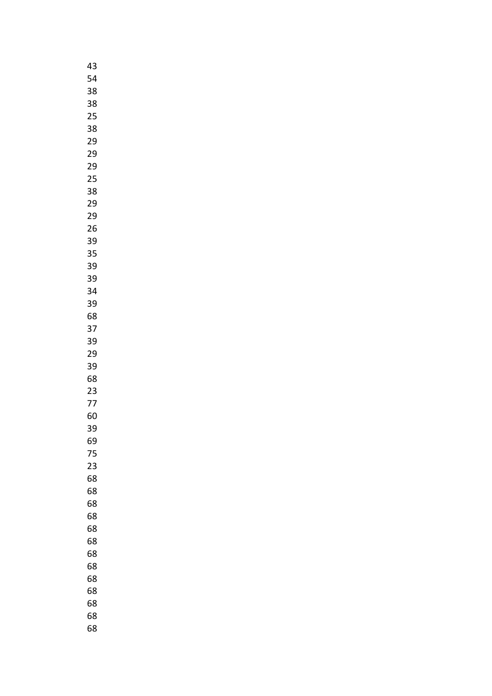| 43 |
|----|
| 54 |
| 38 |
| 38 |
| 25 |
| 38 |
| 29 |
|    |
| 29 |
| 29 |
| 25 |
| 38 |
| 29 |
| 29 |
| 26 |
| 39 |
| 35 |
| 39 |
| 39 |
| 34 |
| 39 |
| 68 |
| 37 |
| 39 |
| 29 |
| 39 |
| 68 |
| 23 |
|    |
| 77 |
| 60 |
| 39 |
| 69 |
| 75 |
| 23 |
| 68 |
| 68 |
| 68 |
| 68 |
| 68 |
| 68 |
| 68 |
| 68 |
| 68 |
| 68 |
| 68 |
| 68 |
| 68 |
|    |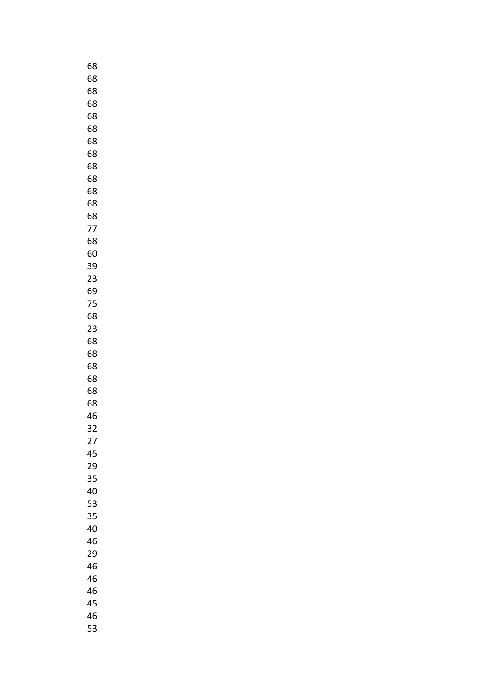| 68 |
|----|
| 68 |
| 68 |
| 68 |
| 68 |
| 68 |
| 68 |
| 68 |
| 68 |
| 68 |
| 68 |
| 68 |
| 68 |
| 77 |
|    |
| 68 |
| 60 |
| 39 |
| 23 |
| 69 |
| 75 |
| 68 |
| 23 |
| 68 |
| 68 |
| 68 |
| 68 |
| 68 |
| 68 |
| 46 |
| 32 |
| 27 |
| 45 |
| 29 |
| 35 |
| 40 |
| 53 |
| 35 |
| 40 |
| 46 |
| 29 |
| 46 |
| 46 |
| 46 |
| 45 |
|    |
| 46 |
| 53 |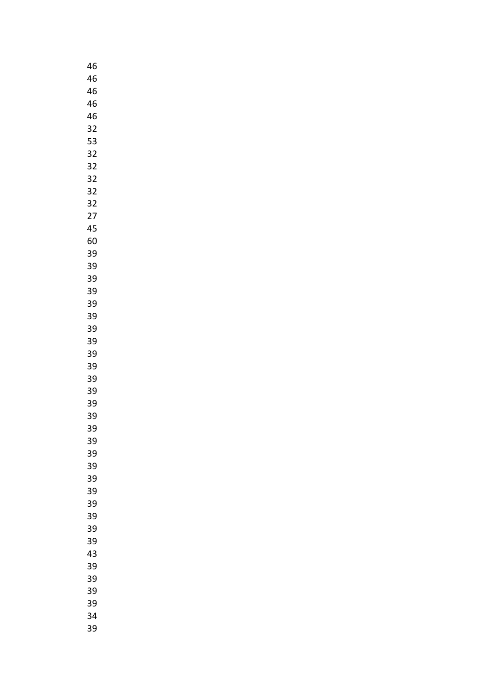| 46                         |
|----------------------------|
| 46                         |
| 46                         |
| 46                         |
| 46                         |
| 32                         |
| 53                         |
| 32                         |
| 32                         |
| 32                         |
| 32                         |
| 32                         |
| 27                         |
| 45                         |
| 60                         |
| 39                         |
| 39                         |
| 39                         |
| 39                         |
| 39                         |
| 39                         |
| 39                         |
| 39                         |
|                            |
| 39                         |
| 39                         |
| 39                         |
| 39                         |
| 39                         |
| 39                         |
| 39                         |
| 39                         |
| 39                         |
| 39                         |
| 39<br>$\ddot{\phantom{a}}$ |
| 39                         |
| 39                         |
| 39                         |
| 39                         |
| 39                         |
| 43                         |
| 39                         |
| 39                         |
| 39                         |
| 39                         |
| 34                         |
| 39                         |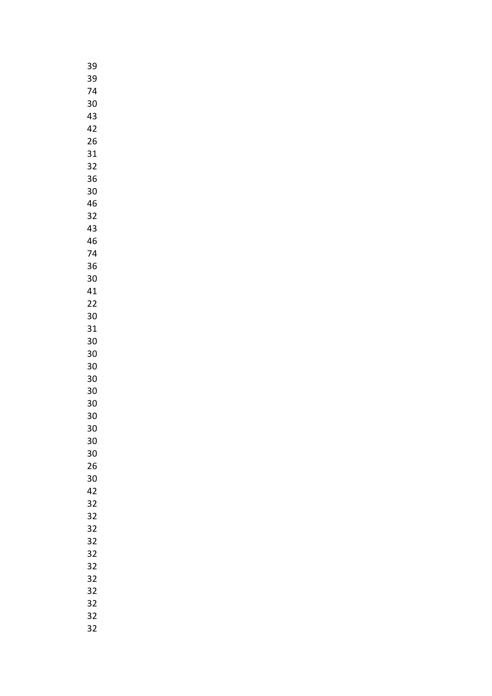| 39 |
|----|
| 39 |
| 74 |
| 30 |
|    |
| 43 |
| 42 |
| 26 |
| 31 |
| 32 |
| 36 |
| 30 |
|    |
| 46 |
| 32 |
| 43 |
| 46 |
| 74 |
| 36 |
| 30 |
| 41 |
| 22 |
|    |
| 30 |
| 31 |
| 30 |
| 30 |
| 30 |
| 30 |
| 30 |
| 30 |
|    |
| 30 |
| 30 |
| 30 |
| 30 |
| 26 |
| 30 |
| 42 |
| 32 |
| 32 |
|    |
| 32 |
| 32 |
| 32 |
| 32 |
| 32 |
| 32 |
| 32 |
| 32 |
| 32 |
|    |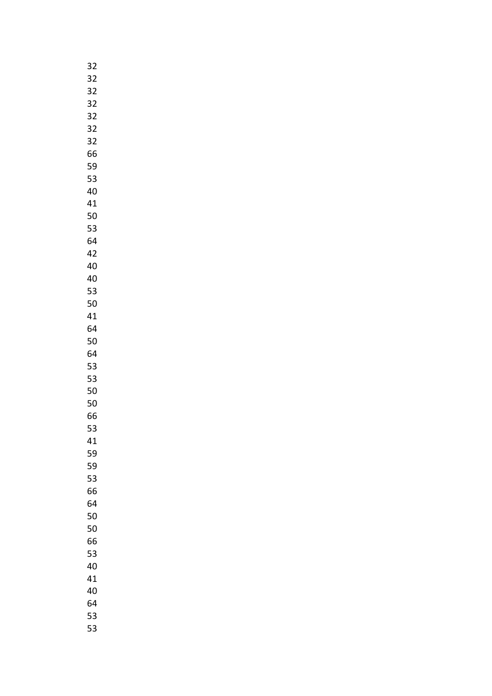| 32 |
|----|
| 32 |
| 32 |
| 32 |
| 32 |
|    |
| 32 |
| 32 |
| 66 |
| 59 |
| 53 |
| 40 |
| 41 |
| 50 |
| 53 |
| 64 |
| 42 |
|    |
| 40 |
| 40 |
| 53 |
| 50 |
| 41 |
| 64 |
| 50 |
| 64 |
| 53 |
| 53 |
| 50 |
| 50 |
|    |
| 66 |
| 53 |
| 41 |
| 59 |
| 59 |
| 53 |
| 66 |
| 64 |
| 50 |
| 50 |
| 66 |
|    |
| 53 |
| 40 |
| 41 |
| 40 |
| 64 |
| 53 |
| 53 |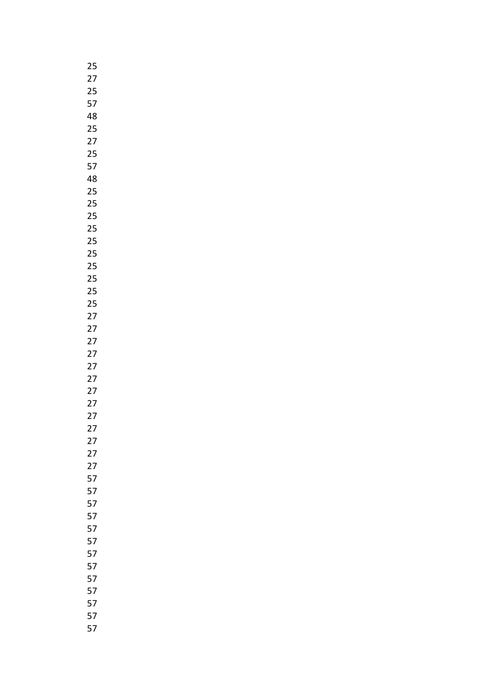| 25      |
|---------|
| 27      |
| 25      |
| 57      |
| 48      |
| 25      |
| 27      |
| 25      |
| 57      |
| 48      |
| 25      |
| 25      |
|         |
| 25      |
| 25      |
| 25      |
| 25      |
| 25      |
| 25      |
| 25      |
| 25      |
| 27      |
| 27      |
| 27      |
| 27      |
| 27      |
| 27      |
| 27      |
| 27      |
| 27      |
| 27      |
| 27      |
| 27      |
| 27      |
| 57      |
| 57      |
| 57      |
| 57      |
|         |
| 57      |
| 57      |
| 57      |
| 57      |
| 57      |
| 57      |
| 57      |
| Ę<br>57 |
| 57      |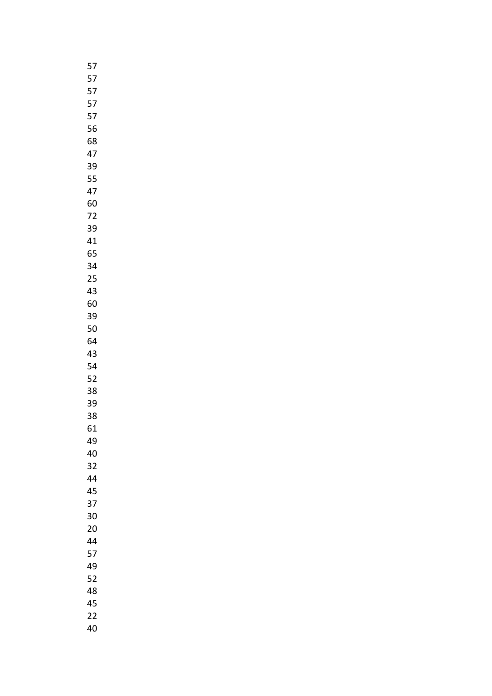| 57 |
|----|
| 57 |
| 57 |
| 57 |
| 57 |
| 56 |
| 68 |
| 47 |
| 39 |
| 55 |
|    |
| 47 |
| 60 |
| 72 |
| 39 |
| 41 |
| 65 |
| 34 |
| 25 |
| 43 |
| 60 |
| 39 |
| 50 |
| 64 |
| 43 |
| 54 |
| 52 |
| 38 |
| 39 |
| 38 |
| 61 |
| 49 |
| 40 |
| 32 |
|    |
| 44 |
| 45 |
| 37 |
| 30 |
| 20 |
| 44 |
| 57 |
| 49 |
| 52 |
| 48 |
| 45 |
| 22 |
| 40 |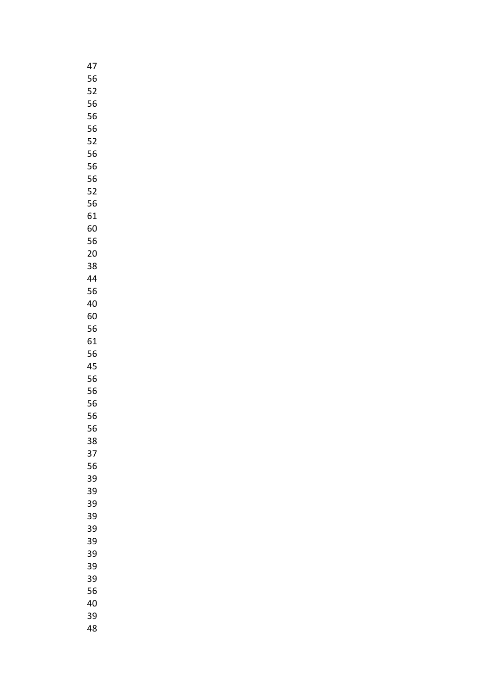| 47 |
|----|
| 56 |
| 52 |
| 56 |
| 56 |
| 56 |
| 52 |
|    |
| 56 |
| 56 |
| 56 |
| 52 |
| 56 |
| 61 |
| 60 |
| 56 |
| 20 |
| 38 |
| 44 |
| 56 |
| 40 |
| 60 |
| 56 |
| 61 |
| 56 |
| 45 |
| 56 |
|    |
| 56 |
| 56 |
| 56 |
| 56 |
| 38 |
| 37 |
| 56 |
| 39 |
| 39 |
| 39 |
| 39 |
| 39 |
| 39 |
| 39 |
| 39 |
| 39 |
| 56 |
| 40 |
| 39 |
| 48 |
|    |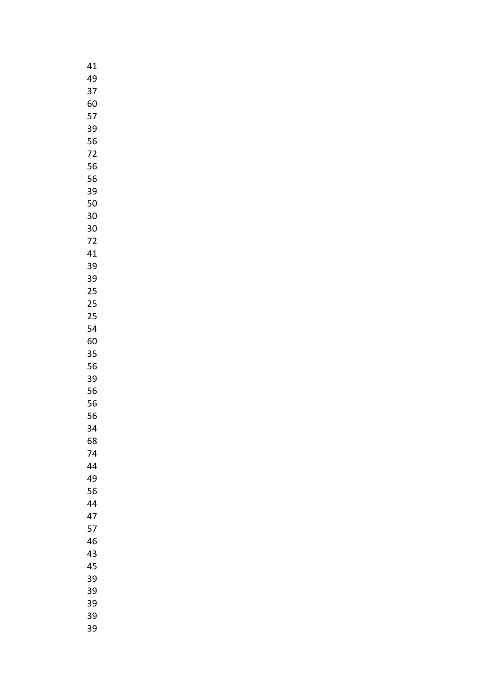| 41      |
|---------|
| 49      |
| 37      |
| 60      |
| 57      |
| 39      |
| 56      |
|         |
| 72      |
| 56      |
| 56      |
| 39      |
| 50      |
| 30      |
| 30      |
| 72      |
| 41      |
| 39      |
| 39      |
| 25      |
| 25      |
| 25      |
| 54      |
| 60      |
|         |
| 35      |
| 56      |
| 39      |
| 56      |
| 56      |
| 56      |
| 34<br>: |
| 68      |
| 74      |
| 44      |
| 49      |
| 56      |
| 44      |
| 47      |
| 57      |
| 46      |
| 43      |
| 45      |
| 39      |
| 39      |
|         |
| 39      |
| 39      |
| 39      |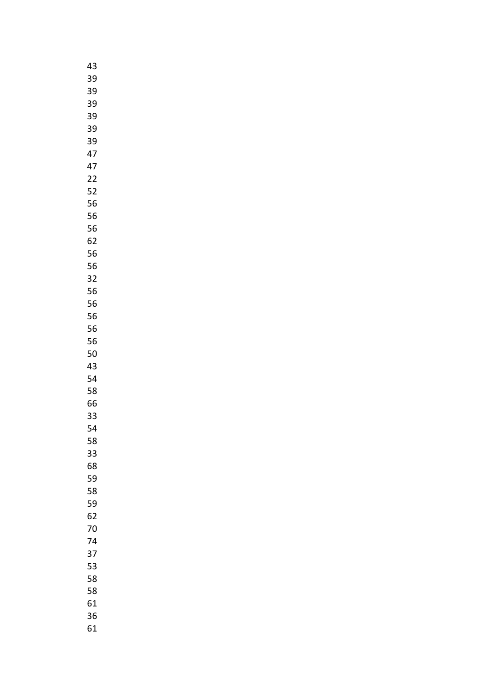| 43 |
|----|
| 39 |
| 39 |
| 39 |
| 39 |
| 39 |
| 39 |
|    |
| 47 |
| 47 |
| 22 |
| 52 |
| 56 |
| 56 |
| 56 |
| 62 |
| 56 |
| 56 |
| 32 |
| 56 |
| 56 |
| 56 |
| 56 |
| 56 |
| 50 |
| 43 |
| 54 |
| 58 |
|    |
| 66 |
| 33 |
| 54 |
| 58 |
| 33 |
| 68 |
| 59 |
| 58 |
| 59 |
| 62 |
| 70 |
| 74 |
| 37 |
| 53 |
| 58 |
| 58 |
| 61 |
| 36 |
| 61 |
|    |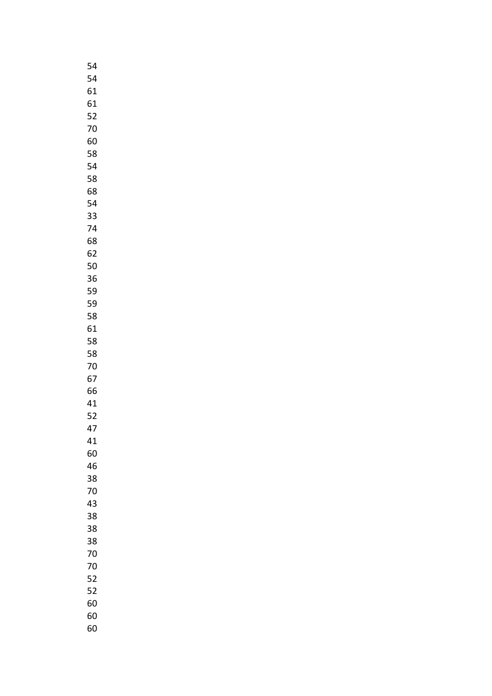| 54 |
|----|
| 54 |
| 61 |
| 61 |
| 52 |
| 70 |
| 60 |
|    |
| 58 |
| 54 |
| 58 |
| 68 |
| 54 |
| 33 |
| 74 |
| 68 |
| 62 |
| 50 |
| 36 |
| 59 |
| 59 |
| 58 |
| 61 |
| 58 |
| 58 |
| 70 |
|    |
| 67 |
| 66 |
| 41 |
| 52 |
| 47 |
| 41 |
| 60 |
| 46 |
| 38 |
| 70 |
| 43 |
| 38 |
| 38 |
| 38 |
| 70 |
| 70 |
| 52 |
| 52 |
| 60 |
| 60 |
|    |
| 60 |